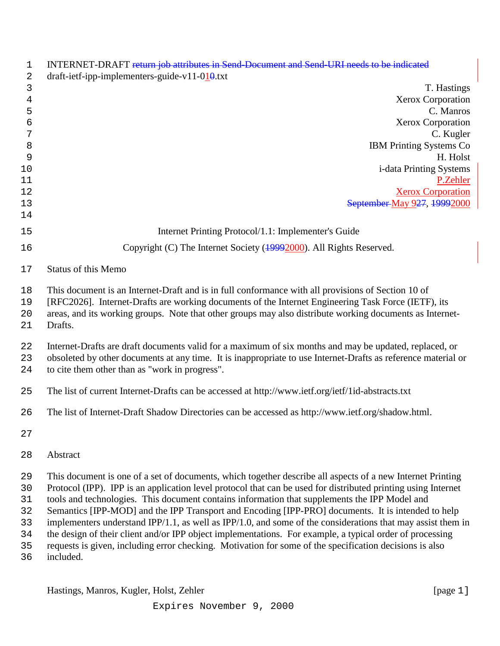| 1        | INTERNET-DRAFT return job attributes in Send-Document and Send-URI needs to be indicated                             |
|----------|----------------------------------------------------------------------------------------------------------------------|
| 2        | draft-ietf-ipp-implementers-guide-v11-0 $1\theta$ .txt                                                               |
| 3        | T. Hastings                                                                                                          |
| 4        | Xerox Corporation                                                                                                    |
| 5        | C. Manros                                                                                                            |
| 6        | Xerox Corporation                                                                                                    |
| 7        | C. Kugler                                                                                                            |
| $\,8\,$  | <b>IBM Printing Systems Co</b>                                                                                       |
| 9        | H. Holst                                                                                                             |
| 10       | i-data Printing Systems                                                                                              |
| 11       | P.Zehler                                                                                                             |
| 12<br>13 | <b>Xerox Corporation</b><br>September-May 927, 19992000                                                              |
| 14       |                                                                                                                      |
|          |                                                                                                                      |
| 15       | Internet Printing Protocol/1.1: Implementer's Guide                                                                  |
| 16       | Copyright (C) The Internet Society (19992000). All Rights Reserved.                                                  |
| 17       | <b>Status of this Memo</b>                                                                                           |
|          |                                                                                                                      |
| 18       | This document is an Internet-Draft and is in full conformance with all provisions of Section 10 of                   |
| 19       | [RFC2026]. Internet-Drafts are working documents of the Internet Engineering Task Force (IETF), its                  |
| 20       | areas, and its working groups. Note that other groups may also distribute working documents as Internet-             |
| 21       | Drafts.                                                                                                              |
| 22       | Internet-Drafts are draft documents valid for a maximum of six months and may be updated, replaced, or               |
| 23       | obsoleted by other documents at any time. It is inappropriate to use Internet-Drafts as reference material or        |
| 24       | to cite them other than as "work in progress".                                                                       |
| 25       | The list of current Internet-Drafts can be accessed at http://www.ietf.org/ietf/1id-abstracts.txt                    |
| 26       | The list of Internet-Draft Shadow Directories can be accessed as http://www.ietf.org/shadow.html.                    |
| 27       |                                                                                                                      |
| 28       | Abstract                                                                                                             |
|          |                                                                                                                      |
| 29       | This document is one of a set of documents, which together describe all aspects of a new Internet Printing           |
| 30       | Protocol (IPP). IPP is an application level protocol that can be used for distributed printing using Internet        |
| 31       | tools and technologies. This document contains information that supplements the IPP Model and                        |
| 32       | Semantics [IPP-MOD] and the IPP Transport and Encoding [IPP-PRO] documents. It is intended to help                   |
| 33       | implementers understand IPP/1.1, as well as IPP/1.0, and some of the considerations that may assist them in          |
| 34<br>35 | the design of their client and/or IPP object implementations. For example, a typical order of processing             |
| 36       | requests is given, including error checking. Motivation for some of the specification decisions is also<br>included. |
|          |                                                                                                                      |

Hastings, Manros, Kugler, Holst, Zehler [page 1]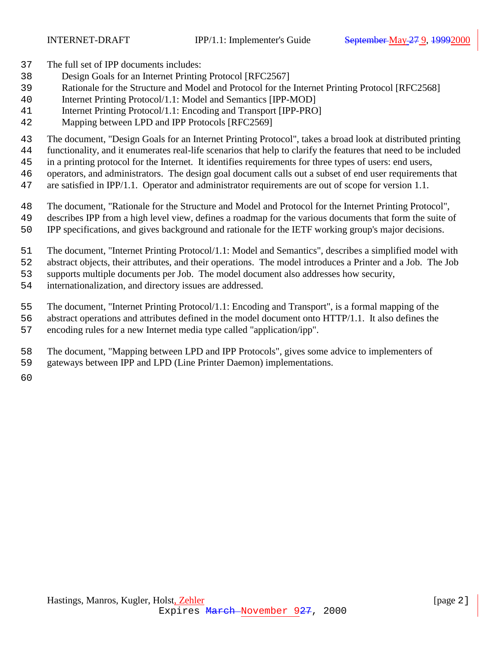- The full set of IPP documents includes:
- Design Goals for an Internet Printing Protocol [RFC2567]
- Rationale for the Structure and Model and Protocol for the Internet Printing Protocol [RFC2568]
- Internet Printing Protocol/1.1: Model and Semantics [IPP-MOD]
- Internet Printing Protocol/1.1: Encoding and Transport [IPP-PRO]
- Mapping between LPD and IPP Protocols [RFC2569]
- The document, "Design Goals for an Internet Printing Protocol", takes a broad look at distributed printing
- functionality, and it enumerates real-life scenarios that help to clarify the features that need to be included
- in a printing protocol for the Internet. It identifies requirements for three types of users: end users,

operators, and administrators. The design goal document calls out a subset of end user requirements that

- are satisfied in IPP/1.1. Operator and administrator requirements are out of scope for version 1.1.
- The document, "Rationale for the Structure and Model and Protocol for the Internet Printing Protocol",
- describes IPP from a high level view, defines a roadmap for the various documents that form the suite of
- IPP specifications, and gives background and rationale for the IETF working group's major decisions.
- The document, "Internet Printing Protocol/1.1: Model and Semantics", describes a simplified model with
- abstract objects, their attributes, and their operations. The model introduces a Printer and a Job. The Job
- supports multiple documents per Job. The model document also addresses how security,
- internationalization, and directory issues are addressed.
- The document, "Internet Printing Protocol/1.1: Encoding and Transport", is a formal mapping of the
- abstract operations and attributes defined in the model document onto HTTP/1.1. It also defines the
- encoding rules for a new Internet media type called "application/ipp".
- The document, "Mapping between LPD and IPP Protocols", gives some advice to implementers of
- gateways between IPP and LPD (Line Printer Daemon) implementations.
-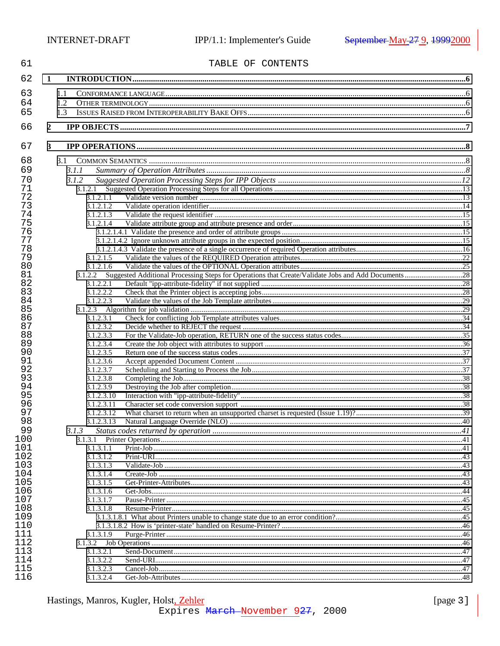| 61         | TABLE OF CONTENTS      |  |
|------------|------------------------|--|
| 62         | 1                      |  |
| 63         | 1.1                    |  |
| 64         | 1.2                    |  |
| 65         | 1.3                    |  |
|            |                        |  |
| 66         | 2                      |  |
| 67         | 3                      |  |
| 68         | 3.1                    |  |
| 69         | 3.1.1                  |  |
| 70         | 3.1.2                  |  |
| 71         |                        |  |
| 72         | 3.1.2.1.1              |  |
| 73         | 3.1.2.1.2              |  |
| 74         | 3.1.2.1.3              |  |
| 75         | 3.1.2.1.4              |  |
| 76         |                        |  |
| 77         |                        |  |
| 78         |                        |  |
| 79         | 3.1.2.1.5              |  |
| 80         | 3.1.2.1.6              |  |
| 81         |                        |  |
| 82         | 3.1.2.2.1              |  |
| 83         | 3.1.2.2.2              |  |
| 84         | 3.1.2.2.3              |  |
| 85         |                        |  |
| 86<br>87   | 3.1.2.3.1              |  |
| 88         | 3.1.2.3.2              |  |
| 89         | 3.1.2.3.3<br>3.1.2.3.4 |  |
| 90         | 3.1.2.3.5              |  |
| 91         | 3.1.2.3.6              |  |
| 92         | 3.1.2.3.7              |  |
| 93         | 3.1.2.3.8              |  |
| 94         | 3.1.2.3.9              |  |
| 95         | 3.1.2.3.10             |  |
| 96         | 3.1.2.3.11             |  |
| 97         | 3.1.2.3.12             |  |
| 98         | 3.1.2.3.13             |  |
| 99         | 3.1.3                  |  |
| 100        | 3.1.3.1                |  |
| 101        | 3.1.3.1.1              |  |
| 102        | 3.1.3.1.2              |  |
| 103        | 3.1.3.1.3              |  |
| 104        | 3.1.3.1.4              |  |
| 105        | 3.1.3.1.5              |  |
| 106        | 3.1.3.1.6              |  |
| 107        | 3.1.3.1.7              |  |
| 108        | 3.1.3.1.8              |  |
| 109        |                        |  |
| 110        |                        |  |
| 111        | 3.1.3.1.9              |  |
| 112<br>113 |                        |  |
| 114        | 3.1.3.2.1              |  |
| 115        | 3.1.3.2.2<br>3.1.3.2.3 |  |
| 116        | 3.1.3.2.4              |  |
|            |                        |  |

[page 3]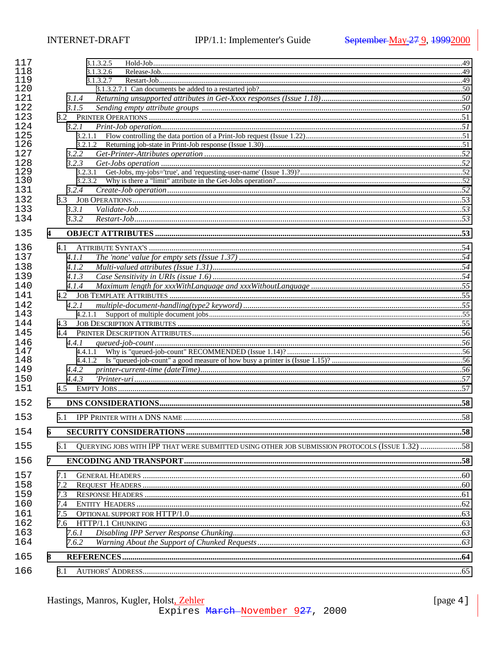| 117<br>118<br>119<br>120<br>121<br>122<br>123<br>124<br>125<br>126<br>127<br>128<br>129<br>130<br>131<br>132<br>133<br>134 | 3.1.3.2.5<br>3.1.3.2.6<br>3.1.3.2.7<br>3.1.4<br>3.1.5<br>3.2.1<br>3.2.1.1<br>3.2.2<br>3.2.3<br>3.2.3.1<br>3.2.4<br>3.3.1<br>3.3.2 |  |
|----------------------------------------------------------------------------------------------------------------------------|-----------------------------------------------------------------------------------------------------------------------------------|--|
| 135                                                                                                                        | $\overline{\mathbf{4}}$                                                                                                           |  |
| 136<br>137<br>138<br>139<br>140<br>141<br>142<br>143<br>144<br>145<br>146<br>147<br>148<br>149<br>150<br>151<br>152        | 4.1<br>4.1.1<br>4.1.2<br>4.1.3<br>4.1.4<br>4.2.1<br>4.2.1.1<br>4.3<br>4.4<br>4.4.1<br>4.4.1.1<br>4.4.2<br>4.4.3<br>4.5<br>5       |  |
| 153                                                                                                                        | 5.1                                                                                                                               |  |
| 154                                                                                                                        | 6                                                                                                                                 |  |
| 155                                                                                                                        | QUERYING JOBS WITH IPP THAT WERE SUBMITTED USING OTHER JOB SUBMISSION PROTOCOLS (ISSUE 1.32) 58<br>6.1                            |  |
| 156<br>157<br>158<br>159<br>160<br>161<br>162<br>163<br>164                                                                | 7<br>7.1<br>7.2<br>7.3<br>7.4<br>7.5<br>7.6<br>7.6.1<br>7.6.2                                                                     |  |
| 165                                                                                                                        | 8                                                                                                                                 |  |
| 166                                                                                                                        | 8.1                                                                                                                               |  |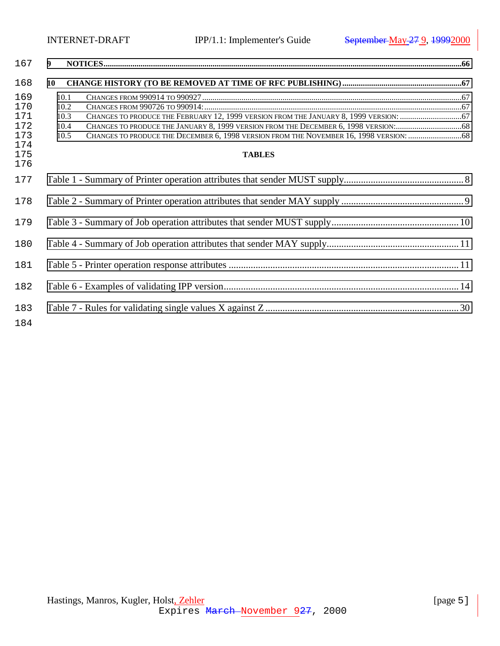| 167                                                  | 9                                                                                                                                                                                                                                      |  |
|------------------------------------------------------|----------------------------------------------------------------------------------------------------------------------------------------------------------------------------------------------------------------------------------------|--|
| 168                                                  | 10                                                                                                                                                                                                                                     |  |
| 169<br>170<br>171<br>172<br>173<br>174<br>175<br>176 | 10.1<br>10.2<br>10.3<br>CHANGES TO PRODUCE THE JANUARY 8, 1999 VERSION FROM THE DECEMBER 6, 1998 VERSION:68<br>10.4<br>CHANGES TO PRODUCE THE DECEMBER 6, 1998 VERSION FROM THE NOVEMBER 16, 1998 VERSION: 68<br>10.5<br><b>TABLES</b> |  |
| 177                                                  |                                                                                                                                                                                                                                        |  |
| 178                                                  |                                                                                                                                                                                                                                        |  |
| 179                                                  |                                                                                                                                                                                                                                        |  |
| 180                                                  |                                                                                                                                                                                                                                        |  |
| 181                                                  |                                                                                                                                                                                                                                        |  |
| 182                                                  |                                                                                                                                                                                                                                        |  |
| 183<br>184                                           |                                                                                                                                                                                                                                        |  |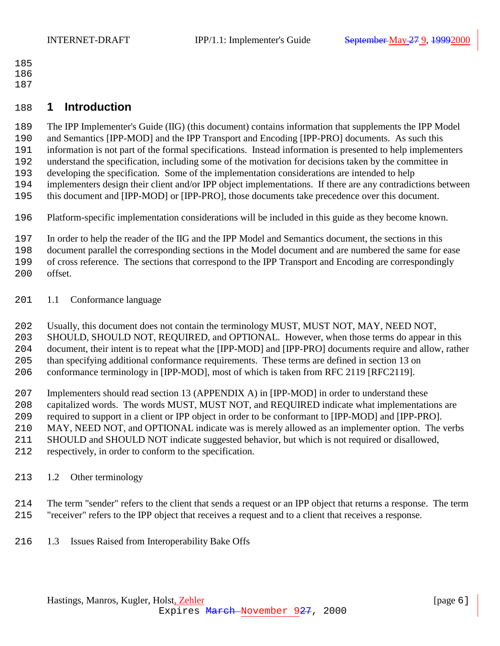- <span id="page-5-0"></span>
- 
- 

## **1 Introduction**

 The IPP Implementer's Guide (IIG) (this document) contains information that supplements the IPP Model and Semantics [IPP-MOD] and the IPP Transport and Encoding [IPP-PRO] documents. As such this information is not part of the formal specifications. Instead information is presented to help implementers

understand the specification, including some of the motivation for decisions taken by the committee in

developing the specification. Some of the implementation considerations are intended to help

implementers design their client and/or IPP object implementations. If there are any contradictions between

this document and [IPP-MOD] or [IPP-PRO], those documents take precedence over this document.

Platform-specific implementation considerations will be included in this guide as they become known.

In order to help the reader of the IIG and the IPP Model and Semantics document, the sections in this

document parallel the corresponding sections in the Model document and are numbered the same for ease

of cross reference. The sections that correspond to the IPP Transport and Encoding are correspondingly

- offset.
- 1.1 Conformance language
- Usually, this document does not contain the terminology MUST, MUST NOT, MAY, NEED NOT,
- SHOULD, SHOULD NOT, REQUIRED, and OPTIONAL. However, when those terms do appear in this

document, their intent is to repeat what the [IPP-MOD] and [IPP-PRO] documents require and allow, rather

than specifying additional conformance requirements. These terms are defined in section 13 on

conformance terminology in [IPP-MOD], most of which is taken from RFC 2119 [RFC2119].

 Implementers should read section 13 (APPENDIX A) in [IPP-MOD] in order to understand these capitalized words. The words MUST, MUST NOT, and REQUIRED indicate what implementations are

required to support in a client or IPP object in order to be conformant to [IPP-MOD] and [IPP-PRO].

MAY, NEED NOT, and OPTIONAL indicate was is merely allowed as an implementer option. The verbs

SHOULD and SHOULD NOT indicate suggested behavior, but which is not required or disallowed,

- respectively, in order to conform to the specification.
- 1.2 Other terminology
- The term "sender" refers to the client that sends a request or an IPP object that returns a response. The term "receiver" refers to the IPP object that receives a request and to a client that receives a response.
- 1.3 Issues Raised from Interoperability Bake Offs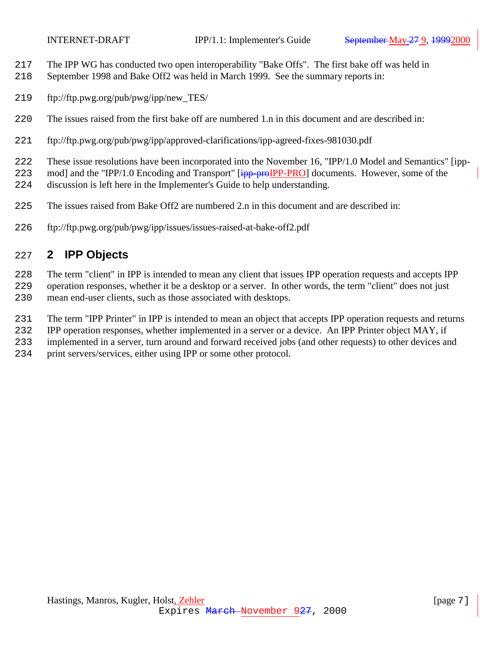<span id="page-6-0"></span>

- The IPP WG has conducted two open interoperability "Bake Offs". The first bake off was held in
- September 1998 and Bake Off2 was held in March 1999. See the summary reports in:
- ftp://ftp.pwg.org/pub/pwg/ipp/new\_TES/
- The issues raised from the first bake off are numbered 1.n in this document and are described in:
- ftp://ftp.pwg.org/pub/pwg/ipp/approved-clarifications/ipp-agreed-fixes-981030.pdf
- These issue resolutions have been incorporated into the November 16, "IPP/1.0 Model and Semantics" [ipp-

223 mod] and the "IPP/1.0 Encoding and Transport" [ipp-proIPP-PRO] documents. However, some of the

- discussion is left here in the Implementer's Guide to help understanding.
- The issues raised from Bake Off2 are numbered 2.n in this document and are described in:
- ftp://ftp.pwg.org/pub/pwg/ipp/issues/issues-raised-at-bake-off2.pdf

# **2 IPP Objects**

- The term "client" in IPP is intended to mean any client that issues IPP operation requests and accepts IPP
- operation responses, whether it be a desktop or a server. In other words, the term "client" does not just
- mean end-user clients, such as those associated with desktops.
- The term "IPP Printer" in IPP is intended to mean an object that accepts IPP operation requests and returns
- IPP operation responses, whether implemented in a server or a device. An IPP Printer object MAY, if
- implemented in a server, turn around and forward received jobs (and other requests) to other devices and
- print servers/services, either using IPP or some other protocol.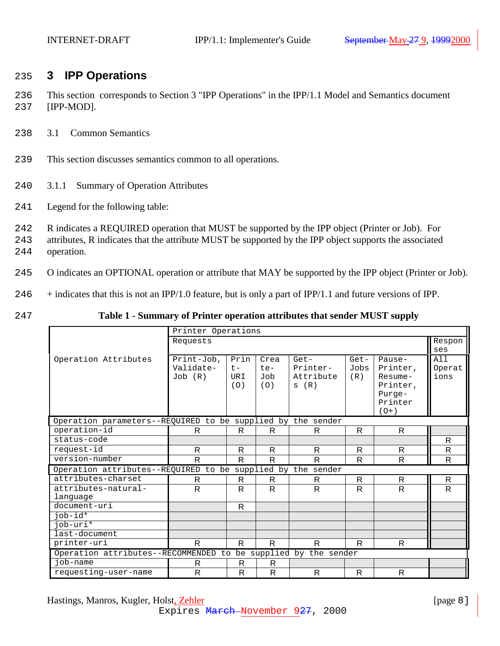## <span id="page-7-0"></span>235 **3 IPP Operations**

236 This section corresponds to Section 3 "IPP Operations" in the IPP/1.1 Model and Semantics document 237 [IPP-MOD].

- 238 3.1 Common Semantics
- 239 This section discusses semantics common to all operations.
- 240 3.1.1 Summary of Operation Attributes
- 241 Legend for the following table:
- 242 R indicates a REQUIRED operation that MUST be supported by the IPP object (Printer or Job). For
- 243 attributes, R indicates that the attribute MUST be supported by the IPP object supports the associated 244 operation.
- 245 O indicates an OPTIONAL operation or attribute that MAY be supported by the IPP object (Printer or Job).
	- 246 + indicates that this is not an IPP/1.0 feature, but is only a part of IPP/1.1 and future versions of IPP.
	-

247 **Table 1 - Summary of Printer operation attributes that sender MUST supply**

|                                                                | Printer Operations                 |                             |                             |                                         |                       |                                                                          |                       |
|----------------------------------------------------------------|------------------------------------|-----------------------------|-----------------------------|-----------------------------------------|-----------------------|--------------------------------------------------------------------------|-----------------------|
|                                                                | Requests                           |                             |                             |                                         |                       |                                                                          | Respon                |
|                                                                |                                    |                             |                             |                                         |                       |                                                                          | ses                   |
| Operation Attributes                                           | Print-Job,<br>Validate-<br>Job (R) | Prin<br>$t -$<br>URI<br>(O) | Crea<br>$te-$<br>Job<br>(O) | $Get-$<br>Printer-<br>Attribute<br>s(R) | $Get-$<br>Jobs<br>(R) | Pause-<br>Printer,<br>Resume-<br>Printer,<br>Purge-<br>Printer<br>$(0+)$ | A11<br>Operat<br>ions |
| Operation parameters--REQUIRED to be supplied by the sender    |                                    |                             |                             |                                         |                       |                                                                          |                       |
| operation-id                                                   | R                                  | R.                          | R.                          | R.                                      | R.                    | R.                                                                       |                       |
| status-code                                                    |                                    |                             |                             |                                         |                       |                                                                          | $\mathsf{R}$          |
| request-id                                                     | R                                  | R                           | R                           | R                                       | R                     | R.                                                                       | $\mathsf{R}$          |
| version-number                                                 | R                                  | R                           | R.                          | R                                       | R                     | R.                                                                       | R                     |
| Operation attributes--REQUIRED to be supplied by the sender    |                                    |                             |                             |                                         |                       |                                                                          |                       |
| attributes-charset                                             | R                                  | R                           | R.                          | R                                       | R.                    | R.                                                                       | $\mathsf{R}$          |
| attributes-natural-<br>language                                | $\mathsf{R}$                       | R                           | R                           | R                                       | R                     | R                                                                        | $\mathsf{R}$          |
| document-uri                                                   |                                    | $\mathsf{R}$                |                             |                                         |                       |                                                                          |                       |
| job-id*                                                        |                                    |                             |                             |                                         |                       |                                                                          |                       |
| job-uri*                                                       |                                    |                             |                             |                                         |                       |                                                                          |                       |
| last-document                                                  |                                    |                             |                             |                                         |                       |                                                                          |                       |
| printer-uri                                                    | R                                  | R                           | R                           | R                                       | R.                    | R.                                                                       |                       |
| Operation attributes--RECOMMENDED to be supplied by the sender |                                    |                             |                             |                                         |                       |                                                                          |                       |
| iob-name                                                       | R                                  | $\mathsf{R}$                | R.                          |                                         |                       |                                                                          |                       |
| requesting-user-name                                           | $\mathsf{R}$                       | $\mathsf{R}$                | $\mathsf{R}$                | $\mathsf{R}$                            | $\mathsf{R}$          | $\mathsf{R}$                                                             |                       |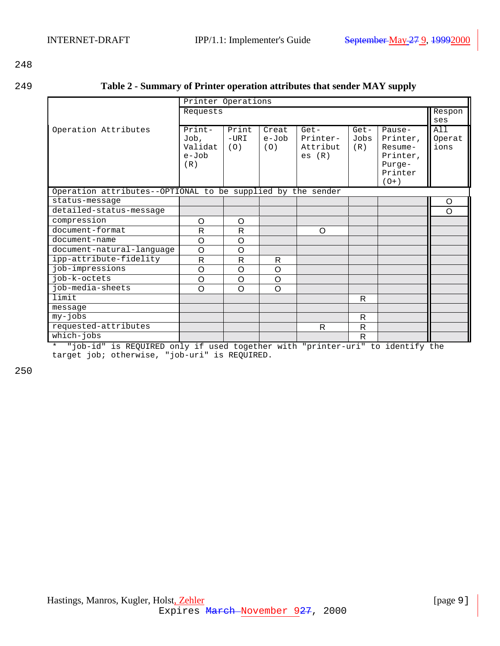### <span id="page-8-0"></span>249 **Table 2 - Summary of Printer operation attributes that sender MAY supply**

|                                                             |                                                | Printer Operations           |                          |                                         |                       |                                                                          |                       |  |
|-------------------------------------------------------------|------------------------------------------------|------------------------------|--------------------------|-----------------------------------------|-----------------------|--------------------------------------------------------------------------|-----------------------|--|
|                                                             | Requests                                       |                              |                          |                                         |                       |                                                                          |                       |  |
|                                                             |                                                |                              |                          |                                         |                       |                                                                          |                       |  |
| Operation Attributes                                        | $Print-$<br>Job,<br>Validat<br>$e$ -Job<br>(R) | Print<br>$-{\rm URI}$<br>(0) | Creat<br>$e$ -Job<br>(0) | $Get-$<br>Printer-<br>Attribut<br>es(R) | $Get-$<br>Jobs<br>(R) | Pause-<br>Printer,<br>Resume-<br>Printer,<br>Purge-<br>Printer<br>$(0+)$ | A11<br>Operat<br>ions |  |
| Operation attributes--OPTIONAL to be supplied by the sender |                                                |                              |                          |                                         |                       |                                                                          |                       |  |
| status-message                                              |                                                |                              |                          |                                         |                       |                                                                          | O                     |  |
| detailed-status-message                                     |                                                |                              |                          |                                         |                       |                                                                          | $\Omega$              |  |
| compression                                                 | O                                              | O                            |                          |                                         |                       |                                                                          |                       |  |
| document-format                                             | $\mathsf{R}$                                   | R                            |                          | O                                       |                       |                                                                          |                       |  |
| document-name                                               | $\circ$                                        | O                            |                          |                                         |                       |                                                                          |                       |  |
| document-natural-language                                   | $\circ$                                        | $\circ$                      |                          |                                         |                       |                                                                          |                       |  |
| ipp-attribute-fidelity                                      | $\mathsf{R}$                                   | $\mathsf{R}$                 | R                        |                                         |                       |                                                                          |                       |  |
| job-impressions                                             | O                                              | $\circ$                      | O                        |                                         |                       |                                                                          |                       |  |
| job-k-octets                                                | $\circ$                                        | $\circ$                      | $\circ$                  |                                         |                       |                                                                          |                       |  |
| job-media-sheets                                            | $\Omega$                                       | $\Omega$                     | O                        |                                         |                       |                                                                          |                       |  |
| limit                                                       |                                                |                              |                          |                                         | $\mathsf{R}$          |                                                                          |                       |  |
| message                                                     |                                                |                              |                          |                                         |                       |                                                                          |                       |  |
| my-jobs                                                     |                                                |                              |                          |                                         | $\mathsf{R}$          |                                                                          |                       |  |
| requested-attributes                                        |                                                |                              |                          | R                                       | $\mathsf{R}$          |                                                                          |                       |  |
| which-jobs                                                  |                                                |                              |                          |                                         | $\mathsf{R}$          |                                                                          |                       |  |

\* "job-id" is REQUIRED only if used together with "printer-uri" to identify the target job; otherwise, "job-uri" is REQUIRED.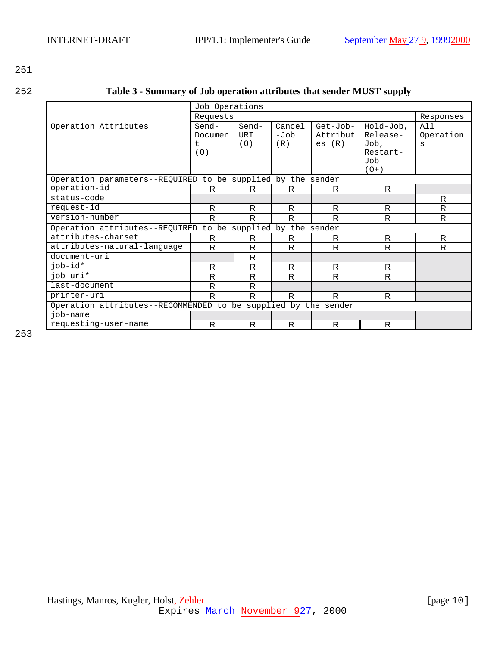## <span id="page-9-0"></span>252 **Table 3 - Summary of Job operation attributes that sender MUST supply**

|                                                             | Job Operations                                                 |                     |                       |                                                   |                                                              |                       |  |
|-------------------------------------------------------------|----------------------------------------------------------------|---------------------|-----------------------|---------------------------------------------------|--------------------------------------------------------------|-----------------------|--|
|                                                             | Requests                                                       |                     |                       |                                                   |                                                              | Responses             |  |
| Operation Attributes                                        | Send-<br>Documen<br>t.<br>(0)                                  | Send-<br>URI<br>(0) | Cancel<br>doT-<br>(R) | Get-Job-<br>Attribut<br>$\mathsf{es}(\mathsf{R})$ | $Hold-Job,$<br>Release-<br>Job,<br>Restart-<br>Job<br>$(0+)$ | All<br>Operation<br>S |  |
| Operation parameters--REQUIRED to be supplied by the sender |                                                                |                     |                       |                                                   |                                                              |                       |  |
| operation-id                                                | R                                                              | R                   | R                     | R                                                 | R                                                            |                       |  |
| status-code                                                 |                                                                |                     |                       |                                                   |                                                              | R                     |  |
| request-id                                                  | R                                                              | R                   | R                     | R                                                 | R.                                                           | R                     |  |
| version-number                                              | R                                                              | R                   | R                     | R                                                 | R                                                            | R                     |  |
| Operation attributes--REQUIRED to be supplied by the sender |                                                                |                     |                       |                                                   |                                                              |                       |  |
| attributes-charset                                          | R                                                              | R                   | R                     | R                                                 | R                                                            | R                     |  |
| attributes-natural-language                                 | R                                                              | R                   | R                     | R                                                 | R                                                            | R                     |  |
| document-uri                                                |                                                                | R                   |                       |                                                   |                                                              |                       |  |
| $job-id*$                                                   | R                                                              | R                   | R                     | R                                                 | R.                                                           |                       |  |
| job-uri*                                                    | R                                                              | R                   | R                     | R                                                 | R                                                            |                       |  |
| last-document                                               | R                                                              | R                   |                       |                                                   |                                                              |                       |  |
| printer-uri                                                 | R                                                              | R                   | R                     | R                                                 | R                                                            |                       |  |
|                                                             | Operation attributes--RECOMMENDED to be supplied by the sender |                     |                       |                                                   |                                                              |                       |  |
| job-name                                                    |                                                                |                     |                       |                                                   |                                                              |                       |  |
| requesting-user-name                                        | R                                                              | R                   | R                     | R                                                 | R                                                            |                       |  |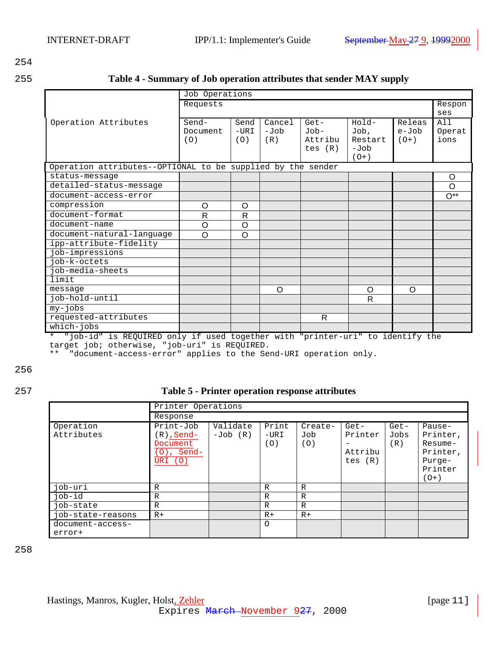<span id="page-10-0"></span>255 **Table 4 - Summary of Job operation attributes that sender MAY supply**

|                                                             | Job Operations |          |          |           |                  |          |                |  |
|-------------------------------------------------------------|----------------|----------|----------|-----------|------------------|----------|----------------|--|
|                                                             | Requests       |          |          |           |                  |          |                |  |
|                                                             |                |          |          |           |                  |          |                |  |
| Operation Attributes                                        | Send-          | Send     | Cancel   | $Get-$    | Hold-            | Releas   | All            |  |
|                                                             | Document       | $-IJRI$  | -Job     | $Job-$    | Job,             | e-Job    | Operat         |  |
|                                                             | (O)            | (0)      | (R)      | Attribu   | Restart          | $(0+)$   | ions           |  |
|                                                             |                |          |          | tes $(R)$ | $-Job$<br>$(0+)$ |          |                |  |
|                                                             |                |          |          |           |                  |          |                |  |
| Operation attributes--OPTIONAL to be supplied by the sender |                |          |          |           |                  |          |                |  |
| status-message                                              |                |          |          |           |                  |          | O              |  |
| detailed-status-message                                     |                |          |          |           |                  |          | $\Omega$       |  |
| document-access-error                                       |                |          |          |           |                  |          | $\bigcap^{**}$ |  |
| compression                                                 | O              | O        |          |           |                  |          |                |  |
| document-format                                             | R              | R        |          |           |                  |          |                |  |
| document-name                                               | O              | O        |          |           |                  |          |                |  |
| document-natural-language                                   | $\Omega$       | $\Omega$ |          |           |                  |          |                |  |
| ipp-attribute-fidelity                                      |                |          |          |           |                  |          |                |  |
| job-impressions                                             |                |          |          |           |                  |          |                |  |
| job-k-octets                                                |                |          |          |           |                  |          |                |  |
| job-media-sheets                                            |                |          |          |           |                  |          |                |  |
| limit                                                       |                |          |          |           |                  |          |                |  |
| message                                                     |                |          | $\Omega$ |           | $\Omega$         | $\Omega$ |                |  |
| job-hold-until                                              |                |          |          |           | R                |          |                |  |
| my-jobs                                                     |                |          |          |           |                  |          |                |  |
| requested-attributes                                        |                |          |          | R         |                  |          |                |  |
| which-jobs                                                  |                |          |          |           |                  |          |                |  |

\* "job-id" is REQUIRED only if used together with "printer-uri" to identify the target job; otherwise, "job-uri" is REQUIRED.

\*\* "document-access-error" applies to the Send-URI operation only.

256

### 257 **Table 5 - Printer operation response attributes**

|                            | Printer Operations                                                   |                        |                          |                       |                                                |                       |                                                                          |  |  |
|----------------------------|----------------------------------------------------------------------|------------------------|--------------------------|-----------------------|------------------------------------------------|-----------------------|--------------------------------------------------------------------------|--|--|
|                            | Response                                                             |                        |                          |                       |                                                |                       |                                                                          |  |  |
| Operation<br>Attributes    | Print-Job<br>(R), Send-<br>Document<br>Send-<br>$\circ$ )<br>URI (O) | Validate<br>$-Job (R)$ | Print<br>$-URI$<br>( O ) | Create-<br>Job<br>(0) | $Get-$<br>Printer<br>-<br>Attribu<br>tes $(R)$ | $Get-$<br>Jobs<br>(R) | Pause-<br>Printer,<br>Resume-<br>Printer,<br>Purge-<br>Printer<br>( O+ ) |  |  |
| job-uri                    | R                                                                    |                        | R                        | R                     |                                                |                       |                                                                          |  |  |
| job-id                     | R                                                                    |                        | $\mathbb{R}$             | R                     |                                                |                       |                                                                          |  |  |
| job-state                  | R                                                                    |                        | R                        | R                     |                                                |                       |                                                                          |  |  |
| iob-state-reasons          | $R+$                                                                 |                        | $R+$                     | $R+$                  |                                                |                       |                                                                          |  |  |
| document-access-<br>error+ |                                                                      |                        | $\circ$                  |                       |                                                |                       |                                                                          |  |  |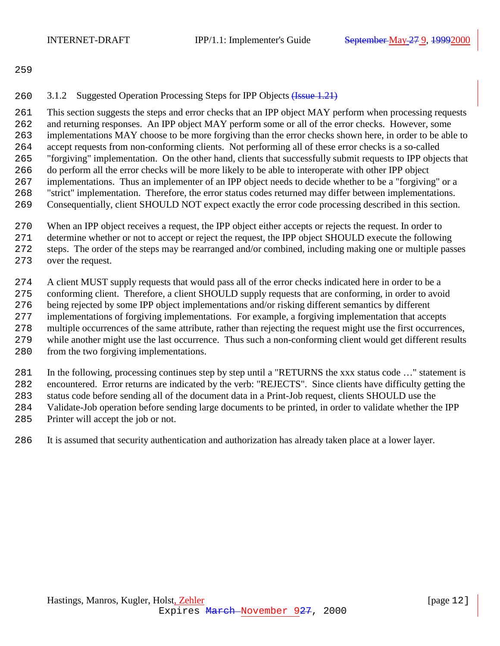## <span id="page-11-0"></span>260 3.1.2 Suggested Operation Processing Steps for IPP Objects (Issue 1.21)

 This section suggests the steps and error checks that an IPP object MAY perform when processing requests and returning responses. An IPP object MAY perform some or all of the error checks. However, some implementations MAY choose to be more forgiving than the error checks shown here, in order to be able to accept requests from non-conforming clients. Not performing all of these error checks is a so-called "forgiving" implementation. On the other hand, clients that successfully submit requests to IPP objects that do perform all the error checks will be more likely to be able to interoperate with other IPP object implementations. Thus an implementer of an IPP object needs to decide whether to be a "forgiving" or a "strict" implementation. Therefore, the error status codes returned may differ between implementations. Consequentially, client SHOULD NOT expect exactly the error code processing described in this section.

When an IPP object receives a request, the IPP object either accepts or rejects the request. In order to

determine whether or not to accept or reject the request, the IPP object SHOULD execute the following

steps. The order of the steps may be rearranged and/or combined, including making one or multiple passes

- over the request.
- A client MUST supply requests that would pass all of the error checks indicated here in order to be a

conforming client. Therefore, a client SHOULD supply requests that are conforming, in order to avoid

being rejected by some IPP object implementations and/or risking different semantics by different

implementations of forgiving implementations. For example, a forgiving implementation that accepts

multiple occurrences of the same attribute, rather than rejecting the request might use the first occurrences,

while another might use the last occurrence. Thus such a non-conforming client would get different results

from the two forgiving implementations.

 In the following, processing continues step by step until a "RETURNS the xxx status code …" statement is encountered. Error returns are indicated by the verb: "REJECTS". Since clients have difficulty getting the

status code before sending all of the document data in a Print-Job request, clients SHOULD use the

Validate-Job operation before sending large documents to be printed, in order to validate whether the IPP

Printer will accept the job or not.

It is assumed that security authentication and authorization has already taken place at a lower layer.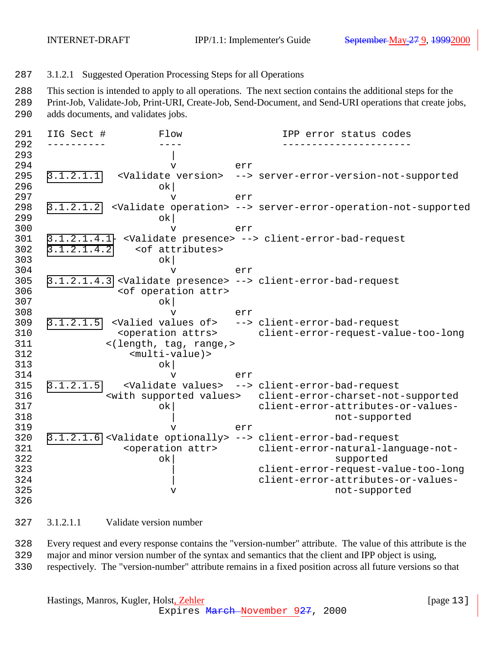<span id="page-12-0"></span>

### 3.1.2.1 Suggested Operation Processing Steps for all Operations

 This section is intended to apply to all operations. The next section contains the additional steps for the Print-Job, Validate-Job, Print-URI, Create-Job, Send-Document, and Send-URI operations that create jobs, adds documents, and validates jobs.

 IIG Sect # Flow IPP error status codes ---------- ---- ---------------------- | v err 3.1.2.1.1 <Validate version> --> server-error-version-not-supported ok| v err [3.1.2.1.2](#page-13-0) <Validate operation> --> server-error-operation-not-supported ok| v err [3.1.2.1.4.1-](#page-14-0) <Validate presence> --> client-error-bad-request [3.1.2.1.4.2](#page-14-0) <of attributes> ok| v err [3.1.2.1.4.3](#page-15-0) <Validate presence> --> client-error-bad-request 306 <of operation attr> ok| v err [3.1.2.1.5](#page-21-0) <Valied values of> --> client-error-bad-request <operation attrs> client-error-request-value-too-long <(length, tag, range,> <multi-value)> ok| v err [3.1.2.1.5](#page-21-0) <Validate values> --> client-error-bad-request <with supported values> client-error-charset-not-supported ok| client-error-attributes-or-values- | not-supported v err [3.1.2.1.6](#page-24-0) <Validate optionally> --> client-error-bad-request <operation attr> client-error-natural-language-not- ok| supported | client-error-request-value-too-long | client-error-attributes-or-values- v not-supported 

3.1.2.1.1 Validate version number

 Every request and every response contains the "version-number" attribute. The value of this attribute is the major and minor version number of the syntax and semantics that the client and IPP object is using, respectively. The "version-number" attribute remains in a fixed position across all future versions so that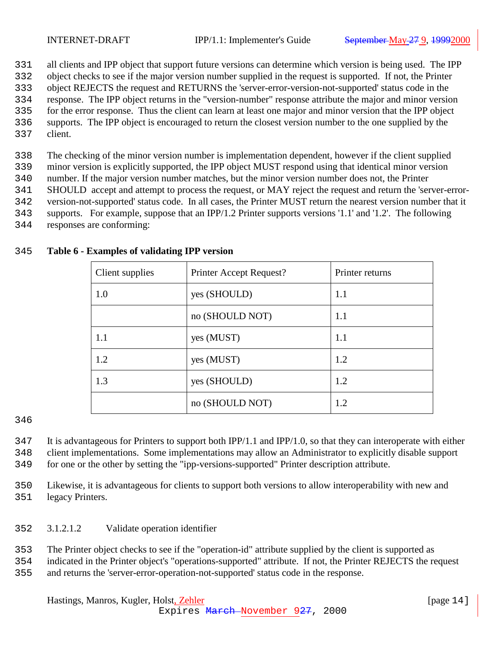<span id="page-13-0"></span>

- all clients and IPP object that support future versions can determine which version is being used. The IPP
- object checks to see if the major version number supplied in the request is supported. If not, the Printer
- object REJECTS the request and RETURNS the 'server-error-version-not-supported' status code in the
- response. The IPP object returns in the "version-number" response attribute the major and minor version
- for the error response. Thus the client can learn at least one major and minor version that the IPP object
- supports. The IPP object is encouraged to return the closest version number to the one supplied by the
- client.

 The checking of the minor version number is implementation dependent, however if the client supplied minor version is explicitly supported, the IPP object MUST respond using that identical minor version

- number. If the major version number matches, but the minor version number does not, the Printer
- SHOULD accept and attempt to process the request, or MAY reject the request and return the 'server-error-
- version-not-supported' status code. In all cases, the Printer MUST return the nearest version number that it
- supports. For example, suppose that an IPP/1.2 Printer supports versions '1.1' and '1.2'. The following
- responses are conforming:

| Client supplies | Printer Accept Request? | Printer returns |
|-----------------|-------------------------|-----------------|
| 1.0             | yes (SHOULD)            | 1.1             |
|                 | no (SHOULD NOT)         | 1.1             |
| 1.1             | yes (MUST)              | 1.1             |
| 1.2             | yes (MUST)              | 1.2             |
| 1.3             | yes (SHOULD)            | 1.2             |
|                 | no (SHOULD NOT)         | 1.2             |

### **Table 6 - Examples of validating IPP version**

It is advantageous for Printers to support both IPP/1.1 and IPP/1.0, so that they can interoperate with either

 client implementations. Some implementations may allow an Administrator to explicitly disable support for one or the other by setting the "ipp-versions-supported" Printer description attribute.

 Likewise, it is advantageous for clients to support both versions to allow interoperability with new and legacy Printers.

3.1.2.1.2 Validate operation identifier

The Printer object checks to see if the "operation-id" attribute supplied by the client is supported as

indicated in the Printer object's "operations-supported" attribute. If not, the Printer REJECTS the request

and returns the 'server-error-operation-not-supported' status code in the response.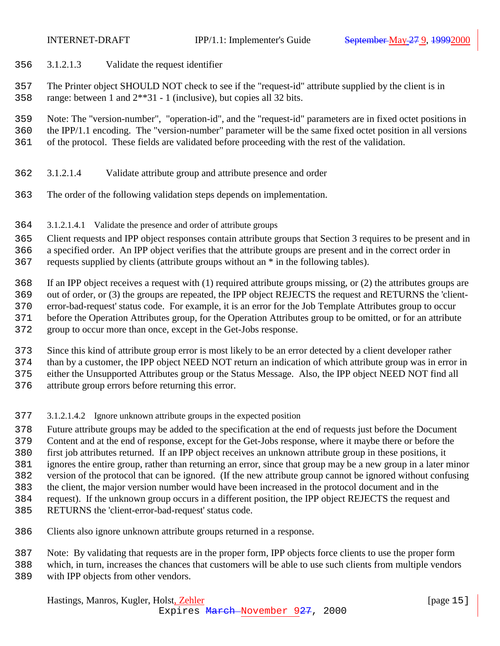- <span id="page-14-0"></span>3.1.2.1.3 Validate the request identifier
- The Printer object SHOULD NOT check to see if the "request-id" attribute supplied by the client is in
- range: between 1 and 2\*\*31 1 (inclusive), but copies all 32 bits.

 Note: The "version-number", "operation-id", and the "request-id" parameters are in fixed octet positions in the IPP/1.1 encoding. The "version-number" parameter will be the same fixed octet position in all versions of the protocol. These fields are validated before proceeding with the rest of the validation.

- 3.1.2.1.4 Validate attribute group and attribute presence and order
- The order of the following validation steps depends on implementation.
- 3.1.2.1.4.1 Validate the presence and order of attribute groups
- Client requests and IPP object responses contain attribute groups that Section 3 requires to be present and in

a specified order. An IPP object verifies that the attribute groups are present and in the correct order in

requests supplied by clients (attribute groups without an \* in the following tables).

 If an IPP object receives a request with (1) required attribute groups missing, or (2) the attributes groups are out of order, or (3) the groups are repeated, the IPP object REJECTS the request and RETURNS the 'client-

- error-bad-request' status code. For example, it is an error for the Job Template Attributes group to occur
- before the Operation Attributes group, for the Operation Attributes group to be omitted, or for an attribute
- group to occur more than once, except in the Get-Jobs response.
- Since this kind of attribute group error is most likely to be an error detected by a client developer rather
- than by a customer, the IPP object NEED NOT return an indication of which attribute group was in error in
- either the Unsupported Attributes group or the Status Message. Also, the IPP object NEED NOT find all
- attribute group errors before returning this error.
- 3.1.2.1.4.2 Ignore unknown attribute groups in the expected position
- Future attribute groups may be added to the specification at the end of requests just before the Document
- Content and at the end of response, except for the Get-Jobs response, where it maybe there or before the
- first job attributes returned. If an IPP object receives an unknown attribute group in these positions, it
- ignores the entire group, rather than returning an error, since that group may be a new group in a later minor
- version of the protocol that can be ignored. (If the new attribute group cannot be ignored without confusing
- the client, the major version number would have been increased in the protocol document and in the
- request). If the unknown group occurs in a different position, the IPP object REJECTS the request and
- RETURNS the 'client-error-bad-request' status code.
- Clients also ignore unknown attribute groups returned in a response.

Note: By validating that requests are in the proper form, IPP objects force clients to use the proper form

which, in turn, increases the chances that customers will be able to use such clients from multiple vendors

with IPP objects from other vendors.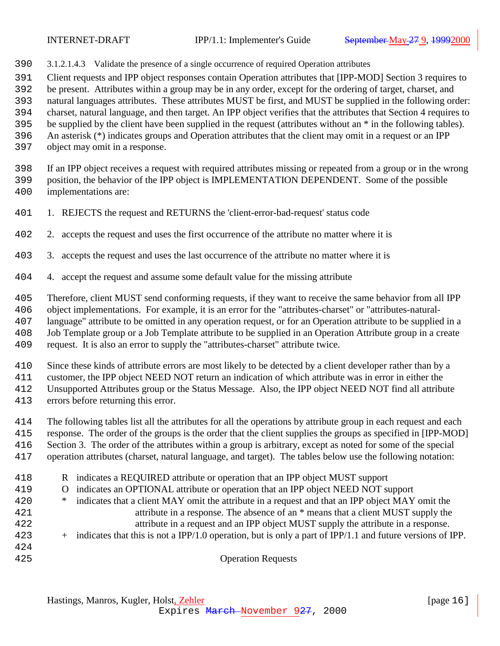<span id="page-15-0"></span>

3.1.2.1.4.3 Validate the presence of a single occurrence of required Operation attributes

Client requests and IPP object responses contain Operation attributes that [IPP-MOD] Section 3 requires to

be present. Attributes within a group may be in any order, except for the ordering of target, charset, and

natural languages attributes. These attributes MUST be first, and MUST be supplied in the following order:

charset, natural language, and then target. An IPP object verifies that the attributes that Section 4 requires to

be supplied by the client have been supplied in the request (attributes without an \* in the following tables).

An asterisk (\*) indicates groups and Operation attributes that the client may omit in a request or an IPP

object may omit in a response.

 If an IPP object receives a request with required attributes missing or repeated from a group or in the wrong position, the behavior of the IPP object is IMPLEMENTATION DEPENDENT. Some of the possible implementations are:

1. REJECTS the request and RETURNS the 'client-error-bad-request' status code

2. accepts the request and uses the first occurrence of the attribute no matter where it is

3. accepts the request and uses the last occurrence of the attribute no matter where it is

4. accept the request and assume some default value for the missing attribute

Therefore, client MUST send conforming requests, if they want to receive the same behavior from all IPP

object implementations. For example, it is an error for the "attributes-charset" or "attributes-natural-

language" attribute to be omitted in any operation request, or for an Operation attribute to be supplied in a

Job Template group or a Job Template attribute to be supplied in an Operation Attribute group in a create

request. It is also an error to supply the "attributes-charset" attribute twice.

Since these kinds of attribute errors are most likely to be detected by a client developer rather than by a

customer, the IPP object NEED NOT return an indication of which attribute was in error in either the

Unsupported Attributes group or the Status Message. Also, the IPP object NEED NOT find all attribute

errors before returning this error.

 The following tables list all the attributes for all the operations by attribute group in each request and each response. The order of the groups is the order that the client supplies the groups as specified in [IPP-MOD] Section 3. The order of the attributes within a group is arbitrary, except as noted for some of the special

operation attributes (charset, natural language, and target). The tables below use the following notation:

- R indicates a REQUIRED attribute or operation that an IPP object MUST support
- O indicates an OPTIONAL attribute or operation that an IPP object NEED NOT support \* indicates that a client MAY omit the attribute in a request and that an IPP object MAY omit the
- attribute in a response. The absence of an \* means that a client MUST supply the attribute in a request and an IPP object MUST supply the attribute in a response.
- + indicates that this is not a IPP/1.0 operation, but is only a part of IPP/1.1 and future versions of IPP.
- 

Operation Requests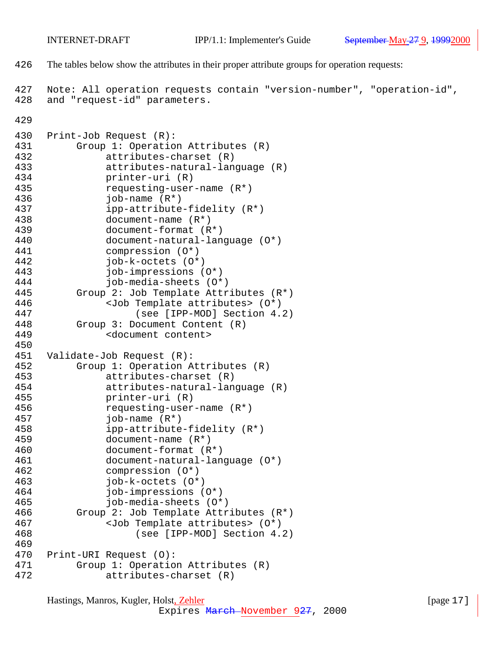The tables below show the attributes in their proper attribute groups for operation requests:

```
Hastings, Manros, Kugler, Holst, Zehler [page 17]
427 Note: All operation requests contain "version-number", "operation-id",
428 and "request-id" parameters.
429
430 Print-Job Request (R):
431 Group 1: Operation Attributes (R)
432 attributes-charset (R)<br>433 attributes-natural-lan
            attributes-natural-language (R)
434 printer-uri (R)
435 requesting-user-name (R*)
436 job-name (R*)
437 ipp-attribute-fidelity (R*)
438 document-name (R*)
439 document-format (R*)
440 document-natural-language (0*)<br>441 compression (0*)
            compression (O*)
442 job-k-octets (O*)
443 job-impressions (O*)
444 job-media-sheets (O*)
445 Group 2: Job Template Attributes (R*)
446 <Job Template attributes> (O*)
447 (see [IPP-MOD] Section 4.2)
448 Group 3: Document Content (R)
449 <document content>
450
451 Validate-Job Request (R):
452 Group 1: Operation Attributes (R)
            attributes-charset (R)
454 attributes-natural-language (R)
455 printer-uri (R)
456 requesting-user-name (R*)
457 job-name (R*)
458 ipp-attribute-fidelity (R*)
459 document-name (R*)
460 document-format (R*)
461 document-natural-language (O*)
462 compression (O*)
463 job-k-octets (O*)
464 job-impressions (O*)
465 job-media-sheets (O*)
466 Group 2: Job Template Attributes (R*)
467 <Job Template attributes> (O*)
468 (see [IPP-MOD] Section 4.2)
469
470 Print-URI Request (O):
471 Group 1: Operation Attributes (R)
472 attributes-charset (R)
```
Expires March November 927, 2000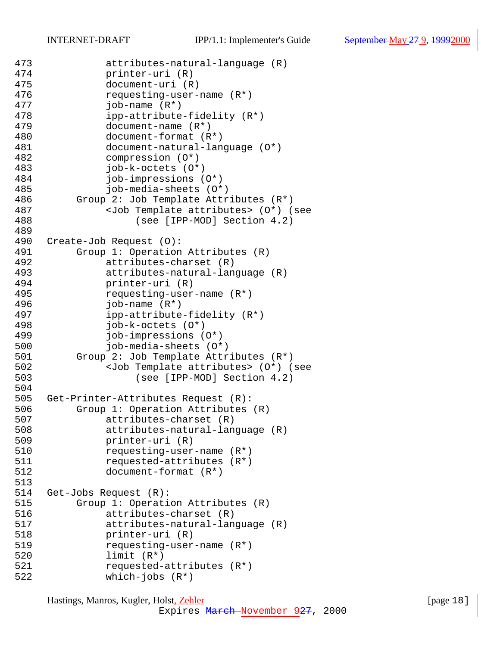```
473 attributes-natural-language (R)
474 printer-uri (R)
475 document-uri (R)
476 requesting-user-name (R*)
477 job-name (R*)
478 ipp-attribute-fidelity (R*)
479 document-name (R*)
480 document-format (R*)
481 document-natural-language (O*)
482 compression (O*)
483 job-k-octets (O*)
484 job-impressions (O*)
485 job-media-sheets (O*)
486 Group 2: Job Template Attributes (R*)
487 <Job Template attributes> (O*) (see
488 (see [IPP-MOD] Section 4.2)
489
490 Create-Job Request (O):
491 Group 1: Operation Attributes (R)
492 attributes-charset (R)
493 attributes-natural-language (R)
494 printer-uri (R)
495 requesting-user-name (R*)
496 job-name (R*)
497 ipp-attribute-fidelity (R*)
498 job-k-octets (O*)
499 job-impressions (O*)
500 job-media-sheets (O*)
501 Group 2: Job Template Attributes (R*)
502 <Job Template attributes> (0*) (see<br>503 (see [IPP-MOD] Section 4.2)
               (see [IPP-MOD] Section 4.2)
504
505 Get-Printer-Attributes Request (R):
506 Group 1: Operation Attributes (R)
507 attributes-charset (R)
508 attributes-natural-language (R)
509 printer-uri (R)
510 requesting-user-name (R*)
511 requested-attributes (R*)
512 document-format (R*)
513
514 Get-Jobs Request (R):
515 Group 1: Operation Attributes (R)
516 attributes-charset (R)
517 attributes-natural-language (R)
518 printer-uri (R)
519 requesting-user-name (R*)
520 limit (R*)
521 requested-attributes (R*)
522 which-jobs (R*)
```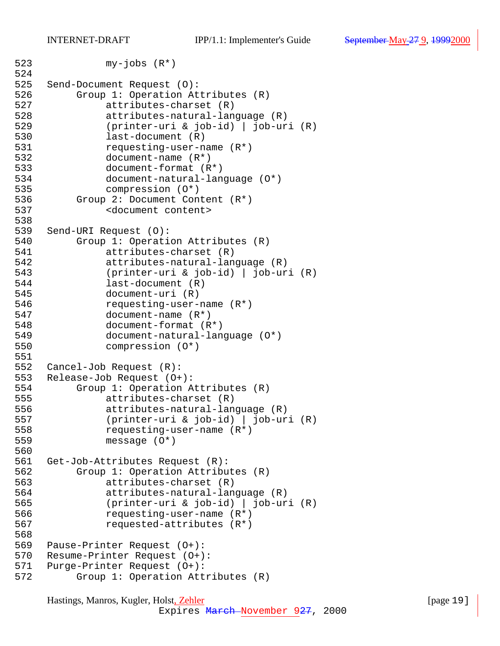```
523 my-jobs (R^*)524
525 Send-Document Request (O):
526 Group 1: Operation Attributes (R)
527 attributes-charset (R)
528 attributes-natural-language (R)
529 (printer-uri & job-id) | job-uri (R)
530 last-document (R)
531 requesting-user-name (R<sup>*</sup>)532 document-name (R*)
533 document-format (R*)
534 document-natural-language (O*)
535 compression (O*)
536 Group 2: Document Content (R*)
537 <document content>
538
539 Send-URI Request (O):
540 Group 1: Operation Attributes (R)
541 attributes-charset (R)
542 attributes-natural-language (R)
543 (printer-uri & job-id) | job-uri (R)
544 last-document (R)
545 document-uri (R)
546 requesting-user-name (R*)
547 document-name (R*)
548 document-format (R*)
549 document-natural-language (O*)
550 compression (O*)
551
552 Cancel-Job Request (R):
553 Release-Job Request (O+):
554 Group 1: Operation Attributes (R)
555 attributes-charset (R)
556 attributes-natural-language (R)
557 (printer-uri & job-id) | job-uri (R)
558 requesting-user-name (R*)
559 message (O*)
560
561 Get-Job-Attributes Request (R):
562 Group 1: Operation Attributes (R)
563 attributes-charset (R)
564 attributes-natural-language (R)
565 (printer-uri & job-id) | job-uri (R)
566 requesting-user-name (R*)
567 requested-attributes (R*)
568
569 Pause-Printer Request (O+):
570 Resume-Printer Request (O+):
571 Purge-Printer Request (O+):
572 Group 1: Operation Attributes (R)
```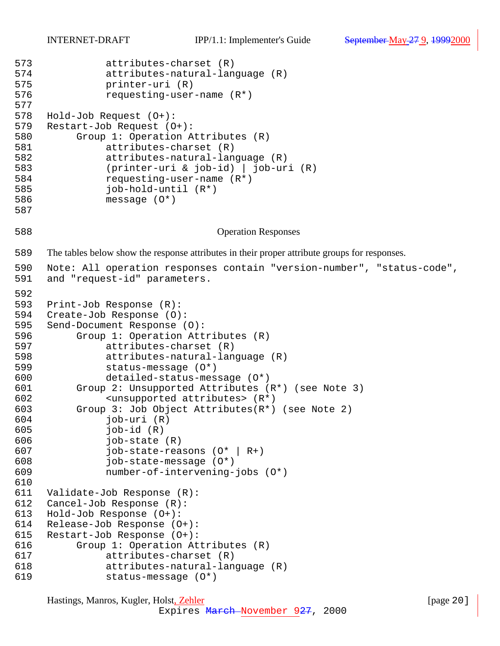```
573 attributes-charset (R)
574 attributes-natural-language (R)
575 printer-uri (R)
576 requesting-user-name (R*)
577
578 Hold-Job Request (O+):
579 Restart-Job Request (O+):
580 Group 1: Operation Attributes (R)
581 attributes-charset (R)
582 attributes-natural-language (R)
583 (printer-uri & job-id) | job-uri (R)
584 requesting-user-name (R*)
585 job-hold-until (R*)
586 message (O*)
587
588 Operation Responses
589 The tables below show the response attributes in their proper attribute groups for responses.
590 Note: All operation responses contain "version-number", "status-code",<br>591 and "request-id" parameters.
    and "request-id" parameters.
592
593 Print-Job Response (R):
594 Create-Job Response (O):
595 Send-Document Response (O):
596 Group 1: Operation Attributes (R)
597 attributes-charset (R)
598 attributes-natural-language (R)
599 status-message (O*)
600 detailed-status-message (O*)
601 Group 2: Unsupported Attributes (R*) (see Note 3)
602 <unsupported attributes> (R*)
603 Group 3: Job Object Attributes(R*) (see Note 2)
604 job-uri (R)
605 job-id (R)
606 job-state (R)
607 job-state-reasons (O* | R+)
608 job-state-message (O*)
609 number-of-intervening-jobs (O*)
610
611 Validate-Job Response (R):
612 Cancel-Job Response (R):
613 Hold-Job Response (O+):
614 Release-Job Response (O+):
615 Restart-Job Response (O+):
616 Group 1: Operation Attributes (R)
617 attributes-charset (R)
618 attributes-natural-language (R)
619 status-message (O*)
```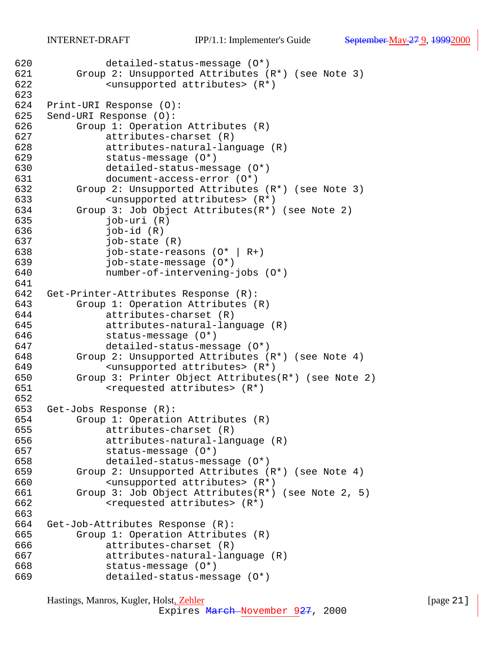```
620 detailed-status-message (O*)
621 Group 2: Unsupported Attributes (R*) (see Note 3)
622 <unsupported attributes> (R*)
623
624 Print-URI Response (O):
625 Send-URI Response (O):
626 Group 1: Operation Attributes (R)
627 attributes-charset (R)
628 attributes-natural-language (R)
629 status-message (O*)
630 detailed-status-message (O*)
631 document-access-error (O*)
632 Group 2: Unsupported Attributes (R*) (see Note 3)
633 <unsupported attributes> (R*)
634 Group 3: Job Object Attributes(R*) (see Note 2)
635 job-uri (R)
636 job-id (R)
637 job-state (R)
638 job-state-reasons (O* | R+)
639 job-state-message (O*)
640 number-of-intervening-jobs (O*)
641
642 Get-Printer-Attributes Response (R):
643 Group 1: Operation Attributes (R)
644 attributes-charset (R)
645 attributes-natural-language (R)
646 status-message (O*)
647 detailed-status-message (O*)
648 Group 2: Unsupported Attributes (R*) (see Note 4)
649 <unsupported attributes> (R*)
650 Group 3: Printer Object Attributes(R*) (see Note 2)
651 <requested attributes> (R*)
652
653 Get-Jobs Response (R):
654 Group 1: Operation Attributes (R)
655 attributes-charset (R)
656 attributes-natural-language (R)
657 status-message (O*)
658 detailed-status-message (O*)
659 Group 2: Unsupported Attributes (R*) (see Note 4)
660 <unsupported attributes> (R*)
661 Group 3: Job Object Attributes(R*) (see Note 2, 5)
662 <requested attributes> (R*)
663
664 Get-Job-Attributes Response (R):
665 Group 1: Operation Attributes (R)
666 attributes-charset (R)
667 attributes-natural-language (R)
668 status-message (O*)
669 detailed-status-message (O*)
```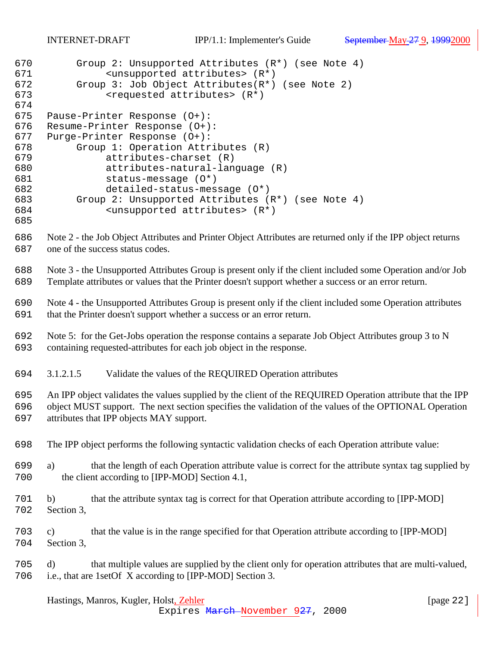<span id="page-21-0"></span>

| 670<br>671        | Group 2: Unsupported Attributes (R*) (see Note 4)<br><unsupported attributes=""> (R*)</unsupported>                                                                                                                                                              |
|-------------------|------------------------------------------------------------------------------------------------------------------------------------------------------------------------------------------------------------------------------------------------------------------|
| 672<br>673        | Group 3: Job Object Attributes(R*) (see Note 2)<br><requested attributes=""> (R*)</requested>                                                                                                                                                                    |
| 674<br>675<br>676 | Pause-Printer Response (0+):<br>Resume-Printer Response (0+):                                                                                                                                                                                                    |
| 677               | Purge-Printer Response (0+):                                                                                                                                                                                                                                     |
| 678<br>679        | Group 1: Operation Attributes (R)<br>attributes-charset (R)                                                                                                                                                                                                      |
| 680               | attributes-natural-language (R)                                                                                                                                                                                                                                  |
| 681               | status-message (0*)                                                                                                                                                                                                                                              |
| 682               | detailed-status-message (0*)                                                                                                                                                                                                                                     |
| 683               | Group 2: Unsupported Attributes (R*) (see Note 4)                                                                                                                                                                                                                |
| 684               | <unsupported attributes=""> (R*)</unsupported>                                                                                                                                                                                                                   |
| 685               |                                                                                                                                                                                                                                                                  |
| 686<br>687        | Note 2 - the Job Object Attributes and Printer Object Attributes are returned only if the IPP object returns<br>one of the success status codes.                                                                                                                 |
| 688<br>689        | Note 3 - the Unsupported Attributes Group is present only if the client included some Operation and/or Job<br>Template attributes or values that the Printer doesn't support whether a success or an error return.                                               |
| 690<br>691        | Note 4 - the Unsupported Attributes Group is present only if the client included some Operation attributes<br>that the Printer doesn't support whether a success or an error return.                                                                             |
| 692<br>693        | Note 5: for the Get-Jobs operation the response contains a separate Job Object Attributes group 3 to N<br>containing requested-attributes for each job object in the response.                                                                                   |
| 694               | Validate the values of the REQUIRED Operation attributes<br>3.1.2.1.5                                                                                                                                                                                            |
| 695<br>696<br>697 | An IPP object validates the values supplied by the client of the REQUIRED Operation attribute that the IPP<br>object MUST support. The next section specifies the validation of the values of the OPTIONAL Operation<br>attributes that IPP objects MAY support. |
| 698               | The IPP object performs the following syntactic validation checks of each Operation attribute value:                                                                                                                                                             |
| 699<br>700        | that the length of each Operation attribute value is correct for the attribute syntax tag supplied by<br>a)<br>the client according to [IPP-MOD] Section 4.1,                                                                                                    |
| 701<br>702        | that the attribute syntax tag is correct for that Operation attribute according to [IPP-MOD]<br>b)<br>Section 3,                                                                                                                                                 |
| 703<br>704        | that the value is in the range specified for that Operation attribute according to [IPP-MOD]<br>$\mathbf{c})$<br>Section 3,                                                                                                                                      |
| 705<br>706        | that multiple values are supplied by the client only for operation attributes that are multi-valued,<br>d)<br>i.e., that are 1setOf X according to [IPP-MOD] Section 3.                                                                                          |
|                   | Hastings, Manros, Kugler, Holst, Zehler<br>[page 22]<br>Expires March November 927, 2000                                                                                                                                                                         |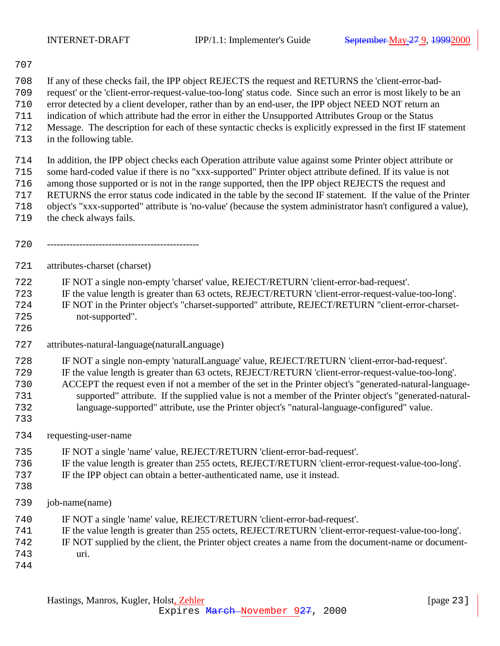- If any of these checks fail, the IPP object REJECTS the request and RETURNS the 'client-error-bad-
- request' or the 'client-error-request-value-too-long' status code. Since such an error is most likely to be an
- error detected by a client developer, rather than by an end-user, the IPP object NEED NOT return an
- indication of which attribute had the error in either the Unsupported Attributes Group or the Status
- Message. The description for each of these syntactic checks is explicitly expressed in the first IF statement
- in the following table.

In addition, the IPP object checks each Operation attribute value against some Printer object attribute or

- some hard-coded value if there is no "xxx-supported" Printer object attribute defined. If its value is not
- among those supported or is not in the range supported, then the IPP object REJECTS the request and
- RETURNS the error status code indicated in the table by the second IF statement. If the value of the Printer object's "xxx-supported" attribute is 'no-value' (because the system administrator hasn't configured a value),
- the check always fails.
	- -----------------------------------------------

attributes-charset (charset)

- IF NOT a single non-empty 'charset' value, REJECT/RETURN 'client-error-bad-request'.
- IF the value length is greater than 63 octets, REJECT/RETURN 'client-error-request-value-too-long'.
- IF NOT in the Printer object's "charset-supported" attribute, REJECT/RETURN "client-error-charset-not-supported".
- 
- attributes-natural-language(naturalLanguage)
- IF NOT a single non-empty 'naturalLanguage' value, REJECT/RETURN 'client-error-bad-request'.
- IF the value length is greater than 63 octets, REJECT/RETURN 'client-error-request-value-too-long'.
- ACCEPT the request even if not a member of the set in the Printer object's "generated-natural-language- supported" attribute. If the supplied value is not a member of the Printer object's "generated-natural-language-supported" attribute, use the Printer object's "natural-language-configured" value.
- 
- requesting-user-name
- IF NOT a single 'name' value, REJECT/RETURN 'client-error-bad-request'.
- IF the value length is greater than 255 octets, REJECT/RETURN 'client-error-request-value-too-long'.
- IF the IPP object can obtain a better-authenticated name, use it instead.
- 
- job-name(name)
- IF NOT a single 'name' value, REJECT/RETURN 'client-error-bad-request'.
- IF the value length is greater than 255 octets, REJECT/RETURN 'client-error-request-value-too-long'.
- IF NOT supplied by the client, the Printer object creates a name from the document-name or document-
- uri.
-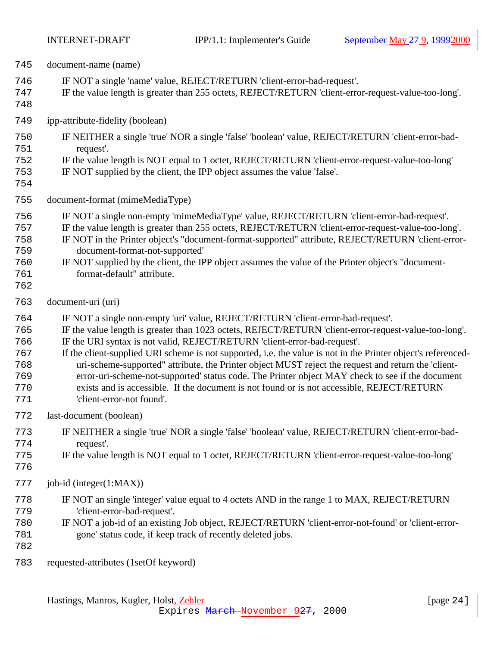|                                                      | IN LEINNET-DIVAL T                                                   | $\text{II}$ 1/1.1. Implementer S Other                                                                                                                                                                                                                                                                                                                                                                                                                                                                                                                                                                                                                                                           | $\frac{1}{1}$ |
|------------------------------------------------------|----------------------------------------------------------------------|--------------------------------------------------------------------------------------------------------------------------------------------------------------------------------------------------------------------------------------------------------------------------------------------------------------------------------------------------------------------------------------------------------------------------------------------------------------------------------------------------------------------------------------------------------------------------------------------------------------------------------------------------------------------------------------------------|---------------|
| 745                                                  | document-name (name)                                                 |                                                                                                                                                                                                                                                                                                                                                                                                                                                                                                                                                                                                                                                                                                  |               |
| 746<br>747<br>748                                    |                                                                      | IF NOT a single 'name' value, REJECT/RETURN 'client-error-bad-request'.<br>IF the value length is greater than 255 octets, REJECT/RETURN 'client-error-request-value-too-long'.                                                                                                                                                                                                                                                                                                                                                                                                                                                                                                                  |               |
| 749                                                  | ipp-attribute-fidelity (boolean)                                     |                                                                                                                                                                                                                                                                                                                                                                                                                                                                                                                                                                                                                                                                                                  |               |
| 750<br>751<br>752<br>753<br>754                      | request'.                                                            | IF NEITHER a single 'true' NOR a single 'false' 'boolean' value, REJECT/RETURN 'client-error-bad-<br>IF the value length is NOT equal to 1 octet, REJECT/RETURN 'client-error-request-value-too-long'<br>IF NOT supplied by the client, the IPP object assumes the value 'false'.                                                                                                                                                                                                                                                                                                                                                                                                                |               |
| 755                                                  | document-format (mimeMediaType)                                      |                                                                                                                                                                                                                                                                                                                                                                                                                                                                                                                                                                                                                                                                                                  |               |
| 756<br>757<br>758<br>759<br>760<br>761<br>762        | document-format-not-supported'<br>format-default" attribute.         | IF NOT a single non-empty 'mimeMediaType' value, REJECT/RETURN 'client-error-bad-request'.<br>IF the value length is greater than 255 octets, REJECT/RETURN 'client-error-request-value-too-long'.<br>IF NOT in the Printer object's "document-format-supported" attribute, REJECT/RETURN 'client-error-<br>IF NOT supplied by the client, the IPP object assumes the value of the Printer object's "document-                                                                                                                                                                                                                                                                                   |               |
| 763                                                  | document-uri (uri)                                                   |                                                                                                                                                                                                                                                                                                                                                                                                                                                                                                                                                                                                                                                                                                  |               |
| 764<br>765<br>766<br>767<br>768<br>769<br>770<br>771 | 'client-error-not found'.                                            | IF NOT a single non-empty 'uri' value, REJECT/RETURN 'client-error-bad-request'.<br>IF the value length is greater than 1023 octets, REJECT/RETURN 'client-error-request-value-too-long'.<br>IF the URI syntax is not valid, REJECT/RETURN 'client-error-bad-request'.<br>If the client-supplied URI scheme is not supported, i.e. the value is not in the Printer object's referenced-<br>uri-scheme-supported" attribute, the Printer object MUST reject the request and return the 'client-<br>error-uri-scheme-not-supported' status code. The Printer object MAY check to see if the document<br>exists and is accessible. If the document is not found or is not accessible, REJECT/RETURN |               |
| 772                                                  | last-document (boolean)                                              |                                                                                                                                                                                                                                                                                                                                                                                                                                                                                                                                                                                                                                                                                                  |               |
| 773<br>774<br>775<br>776                             | request'.                                                            | IF NEITHER a single 'true' NOR a single 'false' 'boolean' value, REJECT/RETURN 'client-error-bad-<br>IF the value length is NOT equal to 1 octet, REJECT/RETURN 'client-error-request-value-too-long'                                                                                                                                                                                                                                                                                                                                                                                                                                                                                            |               |
| 777                                                  | job-id (integer(1:MAX))                                              |                                                                                                                                                                                                                                                                                                                                                                                                                                                                                                                                                                                                                                                                                                  |               |
| 778<br>779<br>780<br>781<br>782<br>783               | 'client-error-bad-request'.<br>requested-attributes (1setOf keyword) | IF NOT an single 'integer' value equal to 4 octets AND in the range 1 to MAX, REJECT/RETURN<br>IF NOT a job-id of an existing Job object, REJECT/RETURN 'client-error-not-found' or 'client-error-<br>gone' status code, if keep track of recently deleted jobs.                                                                                                                                                                                                                                                                                                                                                                                                                                 |               |
|                                                      |                                                                      |                                                                                                                                                                                                                                                                                                                                                                                                                                                                                                                                                                                                                                                                                                  |               |
|                                                      | Hastings, Manros, Kugler, Holst, Zehler                              |                                                                                                                                                                                                                                                                                                                                                                                                                                                                                                                                                                                                                                                                                                  | [page $24$ ]  |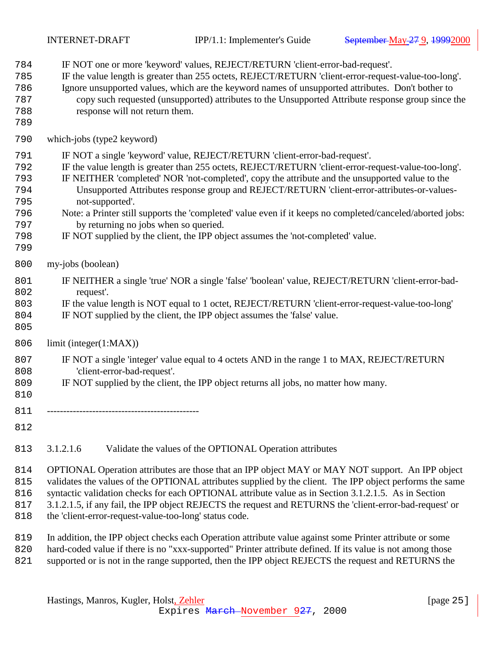<span id="page-24-0"></span>

| 784<br>785<br>786<br>787<br>788<br>789                      | IF NOT one or more 'keyword' values, REJECT/RETURN 'client-error-bad-request'.<br>IF the value length is greater than 255 octets, REJECT/RETURN 'client-error-request-value-too-long'.<br>Ignore unsupported values, which are the keyword names of unsupported attributes. Don't bother to<br>copy such requested (unsupported) attributes to the Unsupported Attribute response group since the<br>response will not return them.                                                                                                                                                                                                               |  |  |  |  |  |
|-------------------------------------------------------------|---------------------------------------------------------------------------------------------------------------------------------------------------------------------------------------------------------------------------------------------------------------------------------------------------------------------------------------------------------------------------------------------------------------------------------------------------------------------------------------------------------------------------------------------------------------------------------------------------------------------------------------------------|--|--|--|--|--|
| 790                                                         | which-jobs (type2 keyword)                                                                                                                                                                                                                                                                                                                                                                                                                                                                                                                                                                                                                        |  |  |  |  |  |
| 791<br>792<br>793<br>794<br>795<br>796<br>797<br>798<br>799 | IF NOT a single 'keyword' value, REJECT/RETURN 'client-error-bad-request'.<br>IF the value length is greater than 255 octets, REJECT/RETURN 'client-error-request-value-too-long'.<br>IF NEITHER 'completed' NOR 'not-completed', copy the attribute and the unsupported value to the<br>Unsupported Attributes response group and REJECT/RETURN 'client-error-attributes-or-values-<br>not-supported'.<br>Note: a Printer still supports the 'completed' value even if it keeps no completed/canceled/aborted jobs:<br>by returning no jobs when so queried.<br>IF NOT supplied by the client, the IPP object assumes the 'not-completed' value. |  |  |  |  |  |
| 800                                                         | my-jobs (boolean)                                                                                                                                                                                                                                                                                                                                                                                                                                                                                                                                                                                                                                 |  |  |  |  |  |
| 801<br>802<br>803<br>804<br>805                             | IF NEITHER a single 'true' NOR a single 'false' 'boolean' value, REJECT/RETURN 'client-error-bad-<br>request'.<br>IF the value length is NOT equal to 1 octet, REJECT/RETURN 'client-error-request-value-too-long'<br>IF NOT supplied by the client, the IPP object assumes the 'false' value.                                                                                                                                                                                                                                                                                                                                                    |  |  |  |  |  |
| 806                                                         | limit (integer(1:MAX))                                                                                                                                                                                                                                                                                                                                                                                                                                                                                                                                                                                                                            |  |  |  |  |  |
| 807<br>808<br>809<br>810                                    | IF NOT a single 'integer' value equal to 4 octets AND in the range 1 to MAX, REJECT/RETURN<br>'client-error-bad-request'.<br>IF NOT supplied by the client, the IPP object returns all jobs, no matter how many.                                                                                                                                                                                                                                                                                                                                                                                                                                  |  |  |  |  |  |
| 811                                                         |                                                                                                                                                                                                                                                                                                                                                                                                                                                                                                                                                                                                                                                   |  |  |  |  |  |
| 812                                                         |                                                                                                                                                                                                                                                                                                                                                                                                                                                                                                                                                                                                                                                   |  |  |  |  |  |
| 813                                                         | 3.1.2.1.6<br>Validate the values of the OPTIONAL Operation attributes                                                                                                                                                                                                                                                                                                                                                                                                                                                                                                                                                                             |  |  |  |  |  |

 OPTIONAL Operation attributes are those that an IPP object MAY or MAY NOT support. An IPP object validates the values of the OPTIONAL attributes supplied by the client. The IPP object performs the same 816 syntactic validation checks for each OPTIONAL attribute value as in Section 3.1.2.1.5. As in Section 3.1.2.1.5, if any fail, the IPP object REJECTS the request and RETURNS the 'client-error-bad-request' or

- the 'client-error-request-value-too-long' status code.
- In addition, the IPP object checks each Operation attribute value against some Printer attribute or some
- hard-coded value if there is no "xxx-supported" Printer attribute defined. If its value is not among those
- 821 supported or is not in the range supported, then the IPP object REJECTS the request and RETURNS the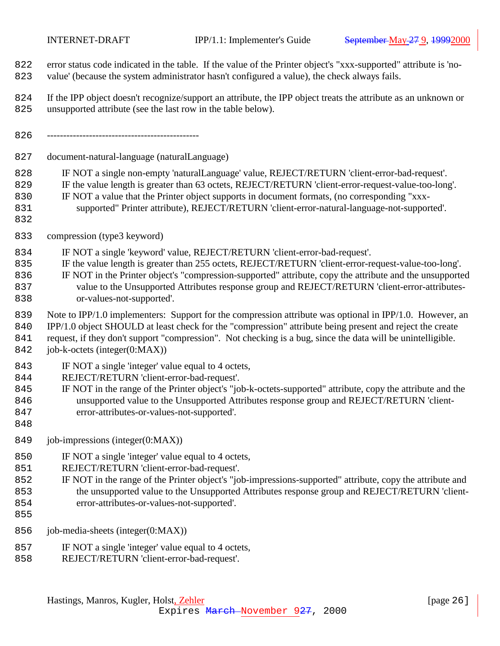- error status code indicated in the table. If the value of the Printer object's "xxx-supported" attribute is 'no-
- value' (because the system administrator hasn't configured a value), the check always fails.
- If the IPP object doesn't recognize/support an attribute, the IPP object treats the attribute as an unknown or unsupported attribute (see the last row in the table below).
- -----------------------------------------------
- document-natural-language (naturalLanguage)
- IF NOT a single non-empty 'naturalLanguage' value, REJECT/RETURN 'client-error-bad-request'.
- IF the value length is greater than 63 octets, REJECT/RETURN 'client-error-request-value-too-long'.
- IF NOT a value that the Printer object supports in document formats, (no corresponding "xxx-
- supported" Printer attribute), REJECT/RETURN 'client-error-natural-language-not-supported'.
- 
- compression (type3 keyword)
- IF NOT a single 'keyword' value, REJECT/RETURN 'client-error-bad-request'.
- IF the value length is greater than 255 octets, REJECT/RETURN 'client-error-request-value-too-long'.
- IF NOT in the Printer object's "compression-supported" attribute, copy the attribute and the unsupported 837 value to the Unsupported Attributes response group and REJECT/RETURN 'client-error-attributes-or-values-not-supported'.
- Note to IPP/1.0 implementers: Support for the compression attribute was optional in IPP/1.0. However, an
- IPP/1.0 object SHOULD at least check for the "compression" attribute being present and reject the create
- 841 request, if they don't support "compression". Not checking is a bug, since the data will be unintelligible.
- job-k-octets (integer(0:MAX))
- 843 IF NOT a single 'integer' value equal to 4 octets,
- REJECT/RETURN 'client-error-bad-request'.
- IF NOT in the range of the Printer object's "job-k-octets-supported" attribute, copy the attribute and the unsupported value to the Unsupported Attributes response group and REJECT/RETURN 'client-error-attributes-or-values-not-supported'.
- 
- job-impressions (integer(0:MAX))
- IF NOT a single 'integer' value equal to 4 octets,
- REJECT/RETURN 'client-error-bad-request'.
- IF NOT in the range of the Printer object's "job-impressions-supported" attribute, copy the attribute and the unsupported value to the Unsupported Attributes response group and REJECT/RETURN 'client-error-attributes-or-values-not-supported'.
- 
- job-media-sheets (integer(0:MAX))
- 857 IF NOT a single 'integer' value equal to 4 octets,
- REJECT/RETURN 'client-error-bad-request'.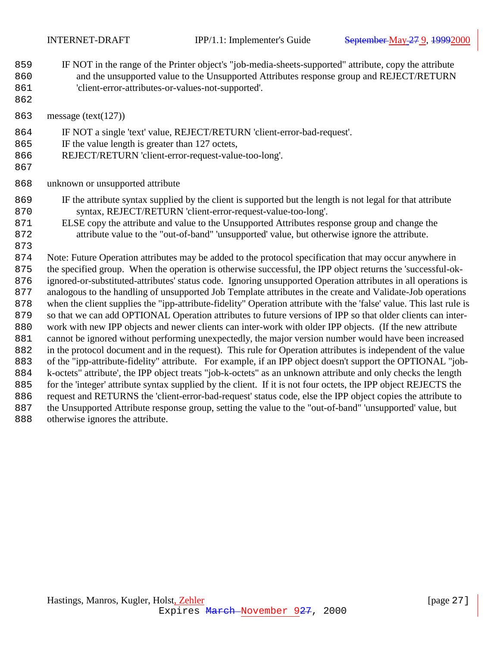- IF NOT in the range of the Printer object's "job-media-sheets-supported" attribute, copy the attribute 860 and the unsupported value to the Unsupported Attributes response group and REJECT/RETURN 'client-error-attributes-or-values-not-supported'.
- 
- message (text(127))
- IF NOT a single 'text' value, REJECT/RETURN 'client-error-bad-request'.
- 865 IF the value length is greater than 127 octets,
- REJECT/RETURN 'client-error-request-value-too-long'.
- 

unknown or unsupported attribute

- IF the attribute syntax supplied by the client is supported but the length is not legal for that attribute syntax, REJECT/RETURN 'client-error-request-value-too-long'.
- ELSE copy the attribute and value to the Unsupported Attributes response group and change the attribute value to the "out-of-band" 'unsupported' value, but otherwise ignore the attribute.
- 

 Note: Future Operation attributes may be added to the protocol specification that may occur anywhere in 875 the specified group. When the operation is otherwise successful, the IPP object returns the 'successful-ok- ignored-or-substituted-attributes' status code. Ignoring unsupported Operation attributes in all operations is analogous to the handling of unsupported Job Template attributes in the create and Validate-Job operations when the client supplies the "ipp-attribute-fidelity" Operation attribute with the 'false' value. This last rule is 879 so that we can add OPTIONAL Operation attributes to future versions of IPP so that older clients can inter- work with new IPP objects and newer clients can inter-work with older IPP objects. (If the new attribute cannot be ignored without performing unexpectedly, the major version number would have been increased in the protocol document and in the request). This rule for Operation attributes is independent of the value of the "ipp-attribute-fidelity" attribute. For example, if an IPP object doesn't support the OPTIONAL "job- k-octets" attribute', the IPP object treats "job-k-octets" as an unknown attribute and only checks the length for the 'integer' attribute syntax supplied by the client. If it is not four octets, the IPP object REJECTS the 886 request and RETURNS the 'client-error-bad-request' status code, else the IPP object copies the attribute to 887 the Unsupported Attribute response group, setting the value to the "out-of-band" 'unsupported' value, but otherwise ignores the attribute.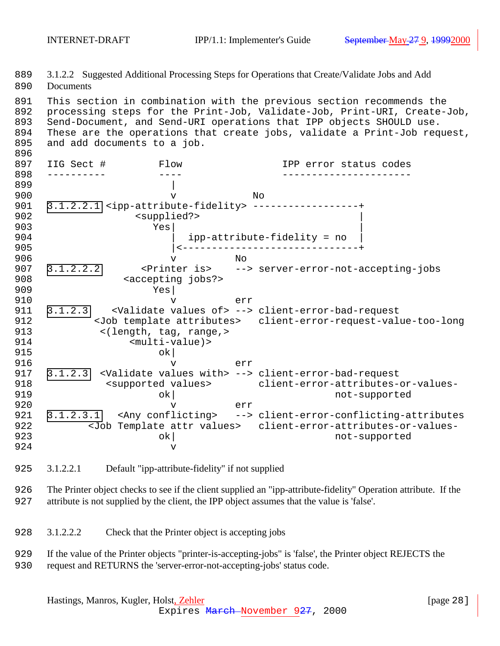<span id="page-27-0"></span> 3.1.2.2 Suggested Additional Processing Steps for Operations that Create/Validate Jobs and Add Documents This section in combination with the previous section recommends the processing steps for the Print-Job, Validate-Job, Print-URI, Create-Job, Send-Document, and Send-URI operations that IPP objects SHOULD use. These are the operations that create jobs, validate a Print-Job request, and add documents to a job. IIG Sect # Flow IPP error status codes ---------- ---- ---------------------- | 900 v No 3.1.2.2.1 <ipp-attribute-fidelity> ------------------+ 902 <supplied?> Yes| | 904 | ipp-attribute-fidelity = no |<------------------------------+ 906 v No 3.1.2.2.2 <Printer is> --> server-error-not-accepting-jobs <accepting jobs?> Yes| v err [3.1.2.3](#page-28-0) <Validate values of> --> client-error-bad-request <Job template attributes> client-error-request-value-too-long <(length, tag, range,> <multi-value)> ok| v err [3.1.2.3](#page-28-0) <Validate values with> --> client-error-bad-request <supported values> client-error-attributes-or-values-919 ok ok https://www.industrial.com/industrial/solution.com/industrial/solution.com/industrial/solution.com/i v err [3.1.2.3.1](#page-33-0) <Any conflicting> --> client-error-conflicting-attributes <Job Template attr values> client-error-attributes-or-values- ok| not-supported v 3.1.2.2.1 Default "ipp-attribute-fidelity" if not supplied

 The Printer object checks to see if the client supplied an "ipp-attribute-fidelity" Operation attribute. If the attribute is not supplied by the client, the IPP object assumes that the value is 'false'.

- 3.1.2.2.2 Check that the Printer object is accepting jobs
- If the value of the Printer objects "printer-is-accepting-jobs" is 'false', the Printer object REJECTS the request and RETURNS the 'server-error-not-accepting-jobs' status code.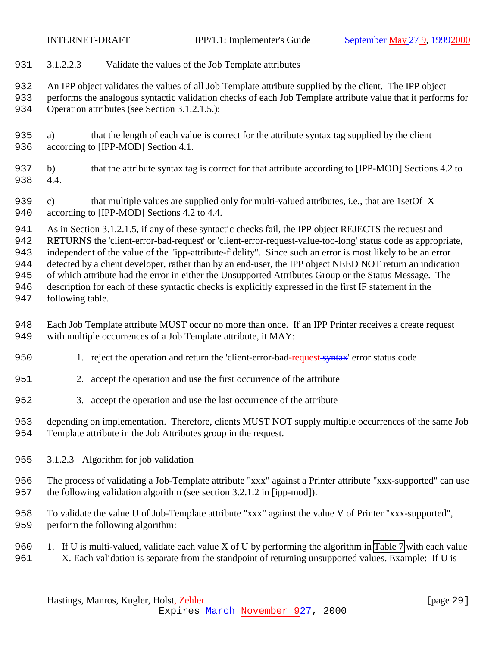<span id="page-28-0"></span>

- 3.1.2.2.3 Validate the values of the Job Template attributes
- An IPP object validates the values of all Job Template attribute supplied by the client. The IPP object
- performs the analogous syntactic validation checks of each Job Template attribute value that it performs for Operation attributes (see Section 3.1.2.1.5.):
- a) that the length of each value is correct for the attribute syntax tag supplied by the client 936 according to [IPP-MOD] Section 4.1.
- b) that the attribute syntax tag is correct for that attribute according to [IPP-MOD] Sections 4.2 to 4.4.
- 939 c) that multiple values are supplied only for multi-valued attributes, i.e., that are 1setOf X 940 according to [IPP-MOD] Sections 4.2 to 4.4.
- As in Section 3.1.2.1.5, if any of these syntactic checks fail, the IPP object REJECTS the request and
- RETURNS the 'client-error-bad-request' or 'client-error-request-value-too-long' status code as appropriate,
- independent of the value of the "ipp-attribute-fidelity". Since such an error is most likely to be an error
- detected by a client developer, rather than by an end-user, the IPP object NEED NOT return an indication
- of which attribute had the error in either the Unsupported Attributes Group or the Status Message. The
- description for each of these syntactic checks is explicitly expressed in the first IF statement in the
- following table.
- Each Job Template attribute MUST occur no more than once. If an IPP Printer receives a create request with multiple occurrences of a Job Template attribute, it MAY:
- 950 1. reject the operation and return the 'client-error-bad-request syntax' error status code
- 2. accept the operation and use the first occurrence of the attribute
- 3. accept the operation and use the last occurrence of the attribute
- depending on implementation. Therefore, clients MUST NOT supply multiple occurrences of the same Job Template attribute in the Job Attributes group in the request.
- 3.1.2.3 Algorithm for job validation
- The process of validating a Job-Template attribute "xxx" against a Printer attribute "xxx-supported" can use the following validation algorithm (see section 3.2.1.2 in [ipp-mod]).
- To validate the value U of Job-Template attribute "xxx" against the value V of Printer "xxx-supported", perform the following algorithm:
- 1. If U is multi-valued, validate each value X of U by performing the algorithm in [Table 7](#page-29-0) with each value X. Each validation is separate from the standpoint of returning unsupported values. Example: If U is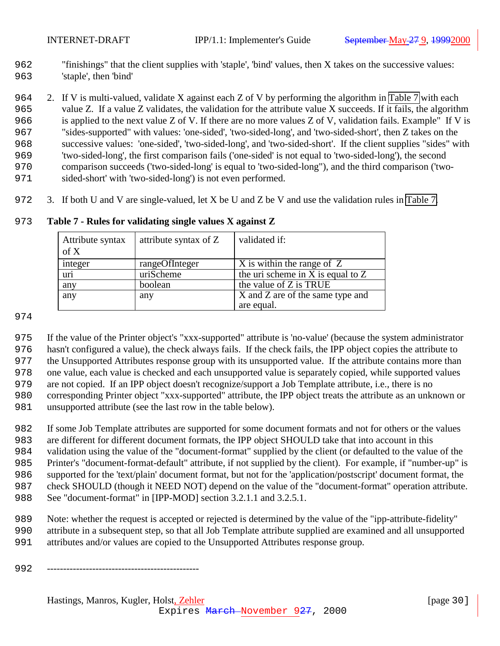<span id="page-29-0"></span>

 "finishings" that the client supplies with 'staple', 'bind' values, then X takes on the successive values: 'staple', then 'bind'

 2. If V is multi-valued, validate X against each Z of V by performing the algorithm in Table 7 with each value Z. If a value Z validates, the validation for the attribute value X succeeds. If it fails, the algorithm is applied to the next value Z of V. If there are no more values Z of V, validation fails. Example" If V is "sides-supported" with values: 'one-sided', 'two-sided-long', and 'two-sided-short', then Z takes on the successive values: 'one-sided', 'two-sided-long', and 'two-sided-short'. If the client supplies "sides" with 'two-sided-long', the first comparison fails ('one-sided' is not equal to 'two-sided-long'), the second comparison succeeds ('two-sided-long' is equal to 'two-sided-long"), and the third comparison ('two-sided-short' with 'two-sided-long') is not even performed.

3. If both U and V are single-valued, let X be U and Z be V and use the validation rules in Table 7.

| Attribute syntax<br>of X | attribute syntax of Z | validated if:                       |
|--------------------------|-----------------------|-------------------------------------|
| integer                  | rangeOfInteger        | X is within the range of Z          |
| uri                      | uriScheme             | the uri scheme in X is equal to $Z$ |
| any                      | boolean               | the value of Z is TRUE              |
| any                      | any                   | X and Z are of the same type and    |
|                          |                       | are equal.                          |

### **Table 7 - Rules for validating single values X against Z**

 If the value of the Printer object's "xxx-supported" attribute is 'no-value' (because the system administrator hasn't configured a value), the check always fails. If the check fails, the IPP object copies the attribute to the Unsupported Attributes response group with its unsupported value. If the attribute contains more than one value, each value is checked and each unsupported value is separately copied, while supported values are not copied. If an IPP object doesn't recognize/support a Job Template attribute, i.e., there is no corresponding Printer object "xxx-supported" attribute, the IPP object treats the attribute as an unknown or

unsupported attribute (see the last row in the table below).

 If some Job Template attributes are supported for some document formats and not for others or the values are different for different document formats, the IPP object SHOULD take that into account in this

validation using the value of the "document-format" supplied by the client (or defaulted to the value of the

Printer's "document-format-default" attribute, if not supplied by the client). For example, if "number-up" is

supported for the 'text/plain' document format, but not for the 'application/postscript' document format, the

check SHOULD (though it NEED NOT) depend on the value of the "document-format" operation attribute.

See "document-format" in [IPP-MOD] section 3.2.1.1 and 3.2.5.1.

Note: whether the request is accepted or rejected is determined by the value of the "ipp-attribute-fidelity"

attribute in a subsequent step, so that all Job Template attribute supplied are examined and all unsupported

attributes and/or values are copied to the Unsupported Attributes response group.

-----------------------------------------------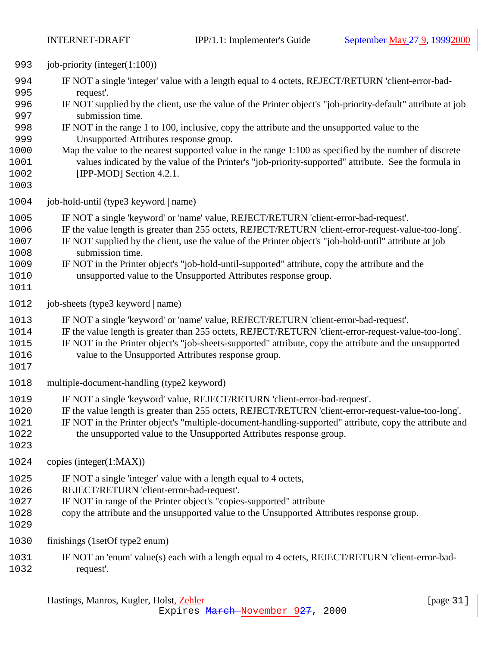| 993                                                                    | job-priority (integer $(1:100)$ )                                                                                                                                                                                                                                                                                                                                                                                                                                                                                                                                                                                                           |
|------------------------------------------------------------------------|---------------------------------------------------------------------------------------------------------------------------------------------------------------------------------------------------------------------------------------------------------------------------------------------------------------------------------------------------------------------------------------------------------------------------------------------------------------------------------------------------------------------------------------------------------------------------------------------------------------------------------------------|
| 994<br>995<br>996<br>997<br>998<br>999<br>1000<br>1001<br>1002<br>1003 | IF NOT a single 'integer' value with a length equal to 4 octets, REJECT/RETURN 'client-error-bad-<br>request'.<br>IF NOT supplied by the client, use the value of the Printer object's "job-priority-default" attribute at job<br>submission time.<br>IF NOT in the range 1 to 100, inclusive, copy the attribute and the unsupported value to the<br>Unsupported Attributes response group.<br>Map the value to the nearest supported value in the range 1:100 as specified by the number of discrete<br>values indicated by the value of the Printer's "job-priority-supported" attribute. See the formula in<br>[IPP-MOD] Section 4.2.1. |
| 1004                                                                   | job-hold-until (type3 keyword   name)                                                                                                                                                                                                                                                                                                                                                                                                                                                                                                                                                                                                       |
| 1005<br>1006<br>1007<br>1008<br>1009<br>1010<br>1011                   | IF NOT a single 'keyword' or 'name' value, REJECT/RETURN 'client-error-bad-request'.<br>IF the value length is greater than 255 octets, REJECT/RETURN 'client-error-request-value-too-long'.<br>IF NOT supplied by the client, use the value of the Printer object's "job-hold-until" attribute at job<br>submission time.<br>IF NOT in the Printer object's "job-hold-until-supported" attribute, copy the attribute and the<br>unsupported value to the Unsupported Attributes response group.                                                                                                                                            |
| 1012                                                                   | job-sheets (type3 keyword   name)                                                                                                                                                                                                                                                                                                                                                                                                                                                                                                                                                                                                           |
| 1013<br>1014<br>1015<br>1016<br>1017                                   | IF NOT a single 'keyword' or 'name' value, REJECT/RETURN 'client-error-bad-request'.<br>IF the value length is greater than 255 octets, REJECT/RETURN 'client-error-request-value-too-long'.<br>IF NOT in the Printer object's "job-sheets-supported" attribute, copy the attribute and the unsupported<br>value to the Unsupported Attributes response group.                                                                                                                                                                                                                                                                              |
| 1018                                                                   | multiple-document-handling (type2 keyword)                                                                                                                                                                                                                                                                                                                                                                                                                                                                                                                                                                                                  |
| 1019<br>1020<br>1021<br>1022<br>1023                                   | IF NOT a single 'keyword' value, REJECT/RETURN 'client-error-bad-request'.<br>IF the value length is greater than 255 octets, REJECT/RETURN 'client-error-request-value-too-long'.<br>IF NOT in the Printer object's "multiple-document-handling-supported" attribute, copy the attribute and<br>the unsupported value to the Unsupported Attributes response group.                                                                                                                                                                                                                                                                        |
| 1024                                                                   | copies (integer $(1:MAX)$ )                                                                                                                                                                                                                                                                                                                                                                                                                                                                                                                                                                                                                 |
| 1025<br>1026<br>1027<br>1028<br>1029                                   | IF NOT a single 'integer' value with a length equal to 4 octets,<br>REJECT/RETURN 'client-error-bad-request'.<br>IF NOT in range of the Printer object's "copies-supported" attribute<br>copy the attribute and the unsupported value to the Unsupported Attributes response group.                                                                                                                                                                                                                                                                                                                                                         |
| 1030                                                                   | finishings (1setOf type2 enum)                                                                                                                                                                                                                                                                                                                                                                                                                                                                                                                                                                                                              |
| 1031<br>1032                                                           | IF NOT an 'enum' value(s) each with a length equal to 4 octets, REJECT/RETURN 'client-error-bad-<br>request'.                                                                                                                                                                                                                                                                                                                                                                                                                                                                                                                               |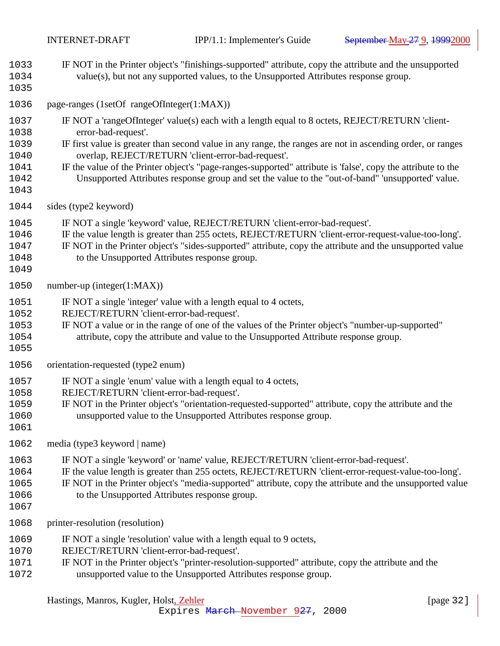Hastings, Manros, Kugler, Holst, Zehler [page 32] IF NOT in the Printer object's "finishings-supported" attribute, copy the attribute and the unsupported value(s), but not any supported values, to the Unsupported Attributes response group. page-ranges (1setOf rangeOfInteger(1:MAX)) IF NOT a 'rangeOfInteger' value(s) each with a length equal to 8 octets, REJECT/RETURN 'client- error-bad-request'. IF first value is greater than second value in any range, the ranges are not in ascending order, or ranges overlap, REJECT/RETURN 'client-error-bad-request'. IF the value of the Printer object's "page-ranges-supported" attribute is 'false', copy the attribute to the Unsupported Attributes response group and set the value to the "out-of-band" 'unsupported' value. sides (type2 keyword) IF NOT a single 'keyword' value, REJECT/RETURN 'client-error-bad-request'. IF the value length is greater than 255 octets, REJECT/RETURN 'client-error-request-value-too-long'. IF NOT in the Printer object's "sides-supported" attribute, copy the attribute and the unsupported value to the Unsupported Attributes response group. number-up (integer(1:MAX)) IF NOT a single 'integer' value with a length equal to 4 octets, REJECT/RETURN 'client-error-bad-request'. IF NOT a value or in the range of one of the values of the Printer object's "number-up-supported" attribute, copy the attribute and value to the Unsupported Attribute response group. orientation-requested (type2 enum) IF NOT a single 'enum' value with a length equal to 4 octets, REJECT/RETURN 'client-error-bad-request'. IF NOT in the Printer object's "orientation-requested-supported" attribute, copy the attribute and the unsupported value to the Unsupported Attributes response group. media (type3 keyword | name) IF NOT a single 'keyword' or 'name' value, REJECT/RETURN 'client-error-bad-request'. IF the value length is greater than 255 octets, REJECT/RETURN 'client-error-request-value-too-long'. IF NOT in the Printer object's "media-supported" attribute, copy the attribute and the unsupported value to the Unsupported Attributes response group. printer-resolution (resolution) IF NOT a single 'resolution' value with a length equal to 9 octets, REJECT/RETURN 'client-error-bad-request'. IF NOT in the Printer object's "printer-resolution-supported" attribute, copy the attribute and the unsupported value to the Unsupported Attributes response group.

Expires March November 927, 2000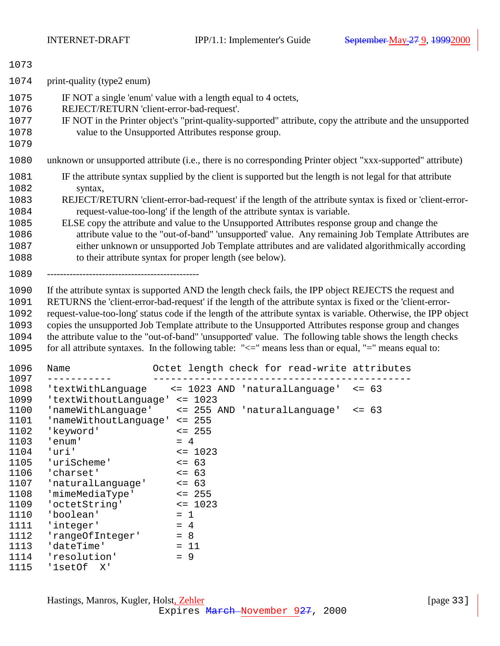| 1074                                                                                                                         | print-quality (type2 enum)                                                                                                                                                                                                                                                                                                                                                                                                                                                                                                                                                                                                                                                                |                                                                                                                                                              |                                              |                                                                                                                  |  |  |
|------------------------------------------------------------------------------------------------------------------------------|-------------------------------------------------------------------------------------------------------------------------------------------------------------------------------------------------------------------------------------------------------------------------------------------------------------------------------------------------------------------------------------------------------------------------------------------------------------------------------------------------------------------------------------------------------------------------------------------------------------------------------------------------------------------------------------------|--------------------------------------------------------------------------------------------------------------------------------------------------------------|----------------------------------------------|------------------------------------------------------------------------------------------------------------------|--|--|
| 1075<br>1076<br>1077<br>1078<br>1079                                                                                         | IF NOT a single 'enum' value with a length equal to 4 octets,<br>REJECT/RETURN 'client-error-bad-request'.<br>IF NOT in the Printer object's "print-quality-supported" attribute, copy the attribute and the unsupported<br>value to the Unsupported Attributes response group.                                                                                                                                                                                                                                                                                                                                                                                                           |                                                                                                                                                              |                                              |                                                                                                                  |  |  |
| 1080                                                                                                                         | unknown or unsupported attribute (i.e., there is no corresponding Printer object "xxx-supported" attribute)                                                                                                                                                                                                                                                                                                                                                                                                                                                                                                                                                                               |                                                                                                                                                              |                                              |                                                                                                                  |  |  |
| 1081<br>1082<br>1083<br>1084<br>1085<br>1086<br>1087<br>1088<br>1089                                                         | IF the attribute syntax supplied by the client is supported but the length is not legal for that attribute<br>syntax,<br>REJECT/RETURN 'client-error-bad-request' if the length of the attribute syntax is fixed or 'client-error-<br>request-value-too-long' if the length of the attribute syntax is variable.<br>ELSE copy the attribute and value to the Unsupported Attributes response group and change the<br>attribute value to the "out-of-band" 'unsupported' value. Any remaining Job Template Attributes are<br>either unknown or unsupported Job Template attributes and are validated algorithmically according<br>to their attribute syntax for proper length (see below). |                                                                                                                                                              |                                              |                                                                                                                  |  |  |
| 1090<br>1091<br>1092<br>1093<br>1094<br>1095<br>1096                                                                         | If the attribute syntax is supported AND the length check fails, the IPP object REJECTS the request and<br>RETURNS the 'client-error-bad-request' if the length of the attribute syntax is fixed or the 'client-error-<br>copies the unsupported Job Template attribute to the Unsupported Attributes response group and changes<br>the attribute value to the "out-of-band" 'unsupported' value. The following table shows the length checks<br>for all attribute syntaxes. In the following table: " $\le$ =" means less than or equal, "=" means equal to:<br>Name                                                                                                                     |                                                                                                                                                              | Octet length check for read-write attributes | request-value-too-long' status code if the length of the attribute syntax is variable. Otherwise, the IPP object |  |  |
| 1097<br>1098                                                                                                                 | 'textWithLanguage                                                                                                                                                                                                                                                                                                                                                                                                                                                                                                                                                                                                                                                                         |                                                                                                                                                              | <= 1023 AND 'naturalLanguage'                | $\leq$ 63                                                                                                        |  |  |
| 1099<br>1100<br>1101<br>1102<br>1103<br>1104<br>1105<br>1106<br>1107<br>1108<br>1109<br>1110<br>1111<br>1112<br>1113<br>1114 | 'textWithoutLanguage' <= 1023<br>'nameWithLanguage'<br>'nameWithoutLanguage'<br>'keyword'<br>'enum'<br>'uri'<br>'uriScheme'<br>'charset'<br>'naturalLanguage'<br>'mimeMediaType'<br>'octetString'<br>'boolean'<br>'integer'<br>'rangeOfInteger'<br>'dateTime'<br>'resolution'                                                                                                                                                                                                                                                                                                                                                                                                             | $\leq$ 255<br>$\leq$ 255<br>$= 4$<br>$\leq 1023$<br>$\leq$ 63<br>$= 63$<br>$= 63$<br>$\leq$ 255<br>$\leq$ 1023<br>$= 1$<br>$= 4$<br>$= 8$<br>$= 11$<br>$= 9$ | <= 255 AND 'naturalLanguage'                 | $\leq$ 63                                                                                                        |  |  |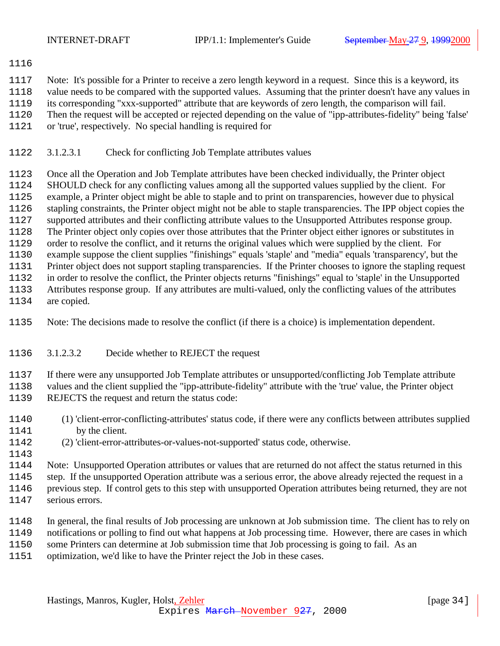<span id="page-33-0"></span>

Note: It's possible for a Printer to receive a zero length keyword in a request. Since this is a keyword, its

value needs to be compared with the supported values. Assuming that the printer doesn't have any values in

its corresponding "xxx-supported" attribute that are keywords of zero length, the comparison will fail.

Then the request will be accepted or rejected depending on the value of "ipp-attributes-fidelity" being 'false'

or 'true', respectively. No special handling is required for

# 3.1.2.3.1 Check for conflicting Job Template attributes values

 Once all the Operation and Job Template attributes have been checked individually, the Printer object SHOULD check for any conflicting values among all the supported values supplied by the client. For example, a Printer object might be able to staple and to print on transparencies, however due to physical stapling constraints, the Printer object might not be able to staple transparencies. The IPP object copies the supported attributes and their conflicting attribute values to the Unsupported Attributes response group. The Printer object only copies over those attributes that the Printer object either ignores or substitutes in order to resolve the conflict, and it returns the original values which were supplied by the client. For example suppose the client supplies "finishings" equals 'staple' and "media" equals 'transparency', but the Printer object does not support stapling transparencies. If the Printer chooses to ignore the stapling request in order to resolve the conflict, the Printer objects returns "finishings" equal to 'staple' in the Unsupported Attributes response group. If any attributes are multi-valued, only the conflicting values of the attributes are copied.

Note: The decisions made to resolve the conflict (if there is a choice) is implementation dependent.

# 3.1.2.3.2 Decide whether to REJECT the request

 If there were any unsupported Job Template attributes or unsupported/conflicting Job Template attribute values and the client supplied the "ipp-attribute-fidelity" attribute with the 'true' value, the Printer object REJECTS the request and return the status code:

 (1) 'client-error-conflicting-attributes' status code, if there were any conflicts between attributes supplied by the client.

(2) 'client-error-attributes-or-values-not-supported' status code, otherwise.

# 

 Note: Unsupported Operation attributes or values that are returned do not affect the status returned in this step. If the unsupported Operation attribute was a serious error, the above already rejected the request in a previous step. If control gets to this step with unsupported Operation attributes being returned, they are not serious errors.

- In general, the final results of Job processing are unknown at Job submission time. The client has to rely on notifications or polling to find out what happens at Job processing time. However, there are cases in which
- some Printers can determine at Job submission time that Job processing is going to fail. As an
- optimization, we'd like to have the Printer reject the Job in these cases.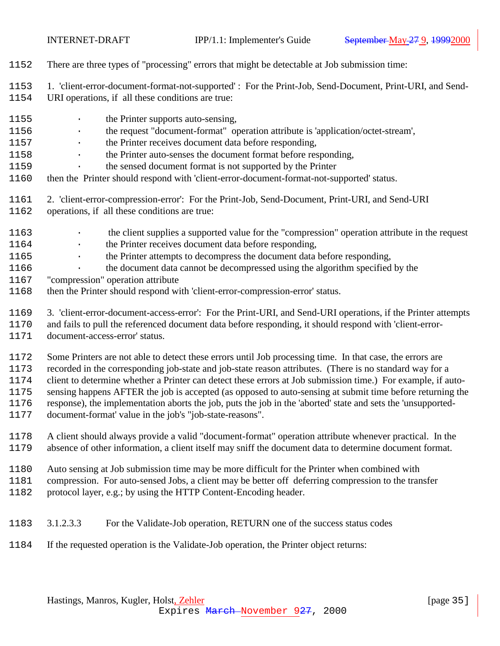<span id="page-34-0"></span>

There are three types of "processing" errors that might be detectable at Job submission time:

 1. 'client-error-document-format-not-supported' : For the Print-Job, Send-Document, Print-URI, and Send-URI operations, if all these conditions are true:

- 1155 · the Printer supports auto-sensing,
- **·** the request "document-format" operation attribute is 'application/octet-stream',
- 1157 · the Printer receives document data before responding,
- 1158 · the Printer auto-senses the document format before responding,
- 1159 · the sensed document format is not supported by the Printer
- then the Printer should respond with 'client-error-document-format-not-supported' status.
- 2. 'client-error-compression-error': For the Print-Job, Send-Document, Print-URI, and Send-URI
- operations, if all these conditions are true:
- · the client supplies a supported value for the "compression" operation attribute in the request
- 1164 · the Printer receives document data before responding,
- 1165 · the Printer attempts to decompress the document data before responding,
- · the document data cannot be decompressed using the algorithm specified by the
- "compression" operation attribute
- then the Printer should respond with 'client-error-compression-error' status.

3. 'client-error-document-access-error': For the Print-URI, and Send-URI operations, if the Printer attempts

and fails to pull the referenced document data before responding, it should respond with 'client-error-

document-access-error' status.

- Some Printers are not able to detect these errors until Job processing time. In that case, the errors are
- recorded in the corresponding job-state and job-state reason attributes. (There is no standard way for a

 client to determine whether a Printer can detect these errors at Job submission time.) For example, if auto-sensing happens AFTER the job is accepted (as opposed to auto-sensing at submit time before returning the

- response), the implementation aborts the job, puts the job in the 'aborted' state and sets the 'unsupported-document-format' value in the job's "job-state-reasons".
- A client should always provide a valid "document-format" operation attribute whenever practical. In the absence of other information, a client itself may sniff the document data to determine document format.
- Auto sensing at Job submission time may be more difficult for the Printer when combined with
- compression. For auto-sensed Jobs, a client may be better off deferring compression to the transfer
- protocol layer, e.g.; by using the HTTP Content-Encoding header.
- 3.1.2.3.3 For the Validate-Job operation, RETURN one of the success status codes
- If the requested operation is the Validate-Job operation, the Printer object returns: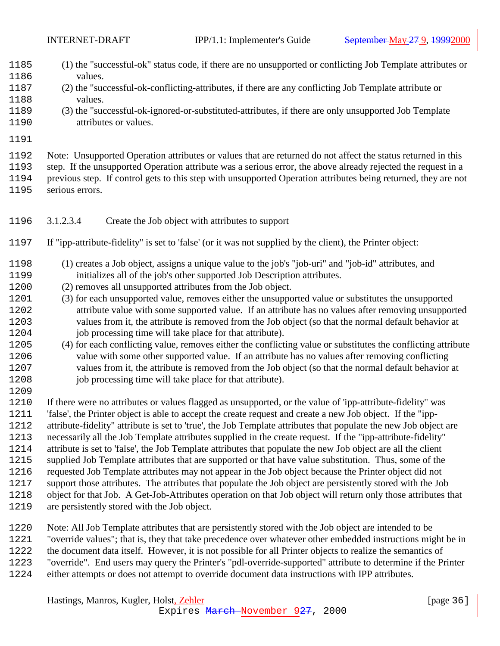<span id="page-35-0"></span>

- (1) the "successful-ok" status code, if there are no unsupported or conflicting Job Template attributes or values.
- (2) the "successful-ok-conflicting-attributes, if there are any conflicting Job Template attribute or values.
- (3) the "successful-ok-ignored-or-substituted-attributes, if there are only unsupported Job Template attributes or values.
- 

 Note: Unsupported Operation attributes or values that are returned do not affect the status returned in this step. If the unsupported Operation attribute was a serious error, the above already rejected the request in a previous step. If control gets to this step with unsupported Operation attributes being returned, they are not serious errors.

- 3.1.2.3.4 Create the Job object with attributes to support
- If "ipp-attribute-fidelity" is set to 'false' (or it was not supplied by the client), the Printer object:
- (1) creates a Job object, assigns a unique value to the job's "job-uri" and "job-id" attributes, and initializes all of the job's other supported Job Description attributes.
- (2) removes all unsupported attributes from the Job object.
- (3) for each unsupported value, removes either the unsupported value or substitutes the unsupported attribute value with some supported value. If an attribute has no values after removing unsupported values from it, the attribute is removed from the Job object (so that the normal default behavior at 1204 job processing time will take place for that attribute).
- (4) for each conflicting value, removes either the conflicting value or substitutes the conflicting attribute value with some other supported value. If an attribute has no values after removing conflicting values from it, the attribute is removed from the Job object (so that the normal default behavior at 1208 job processing time will take place for that attribute).

 If there were no attributes or values flagged as unsupported, or the value of 'ipp-attribute-fidelity" was 'false', the Printer object is able to accept the create request and create a new Job object. If the "ipp- attribute-fidelity" attribute is set to 'true', the Job Template attributes that populate the new Job object are necessarily all the Job Template attributes supplied in the create request. If the "ipp-attribute-fidelity" attribute is set to 'false', the Job Template attributes that populate the new Job object are all the client supplied Job Template attributes that are supported or that have value substitution. Thus, some of the requested Job Template attributes may not appear in the Job object because the Printer object did not support those attributes. The attributes that populate the Job object are persistently stored with the Job object for that Job. A Get-Job-Attributes operation on that Job object will return only those attributes that are persistently stored with the Job object.

 Note: All Job Template attributes that are persistently stored with the Job object are intended to be "override values"; that is, they that take precedence over whatever other embedded instructions might be in the document data itself. However, it is not possible for all Printer objects to realize the semantics of "override". End users may query the Printer's "pdl-override-supported" attribute to determine if the Printer either attempts or does not attempt to override document data instructions with IPP attributes.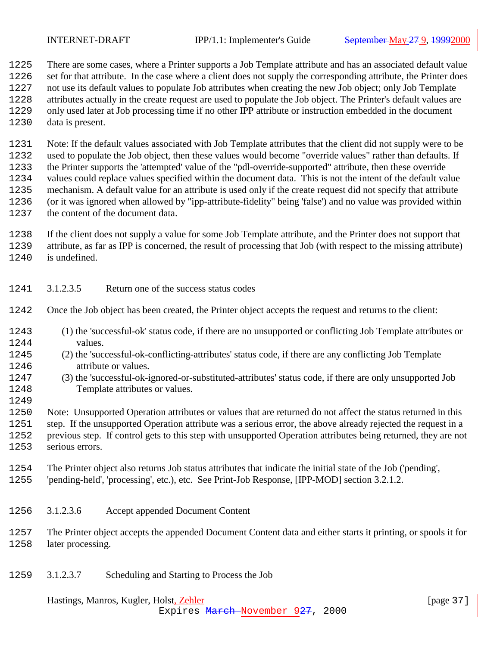<span id="page-36-0"></span>

 There are some cases, where a Printer supports a Job Template attribute and has an associated default value set for that attribute. In the case where a client does not supply the corresponding attribute, the Printer does not use its default values to populate Job attributes when creating the new Job object; only Job Template attributes actually in the create request are used to populate the Job object. The Printer's default values are only used later at Job processing time if no other IPP attribute or instruction embedded in the document data is present.

 Note: If the default values associated with Job Template attributes that the client did not supply were to be used to populate the Job object, then these values would become "override values" rather than defaults. If the Printer supports the 'attempted' value of the "pdl-override-supported" attribute, then these override values could replace values specified within the document data. This is not the intent of the default value mechanism. A default value for an attribute is used only if the create request did not specify that attribute (or it was ignored when allowed by "ipp-attribute-fidelity" being 'false') and no value was provided within the content of the document data.

 If the client does not supply a value for some Job Template attribute, and the Printer does not support that attribute, as far as IPP is concerned, the result of processing that Job (with respect to the missing attribute) is undefined.

- 3.1.2.3.5 Return one of the success status codes
- Once the Job object has been created, the Printer object accepts the request and returns to the client:
- (1) the 'successful-ok' status code, if there are no unsupported or conflicting Job Template attributes or values.
- (2) the 'successful-ok-conflicting-attributes' status code, if there are any conflicting Job Template attribute or values.
- (3) the 'successful-ok-ignored-or-substituted-attributes' status code, if there are only unsupported Job Template attributes or values.
- 

 Note: Unsupported Operation attributes or values that are returned do not affect the status returned in this step. If the unsupported Operation attribute was a serious error, the above already rejected the request in a previous step. If control gets to this step with unsupported Operation attributes being returned, they are not serious errors.

- The Printer object also returns Job status attributes that indicate the initial state of the Job ('pending',
- 'pending-held', 'processing', etc.), etc. See Print-Job Response, [IPP-MOD] section 3.2.1.2.
- 3.1.2.3.6 Accept appended Document Content

 The Printer object accepts the appended Document Content data and either starts it printing, or spools it for later processing.

3.1.2.3.7 Scheduling and Starting to Process the Job

## Hastings, Manros, Kugler, Holst, Zehler [page 37]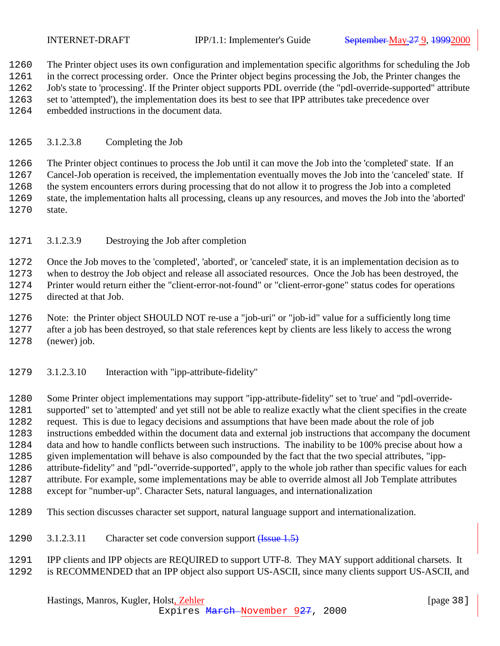<span id="page-37-0"></span>

The Printer object uses its own configuration and implementation specific algorithms for scheduling the Job

 in the correct processing order. Once the Printer object begins processing the Job, the Printer changes the Job's state to 'processing'. If the Printer object supports PDL override (the "pdl-override-supported" attribute

set to 'attempted'), the implementation does its best to see that IPP attributes take precedence over

embedded instructions in the document data.

### 3.1.2.3.8 Completing the Job

 The Printer object continues to process the Job until it can move the Job into the 'completed' state. If an Cancel-Job operation is received, the implementation eventually moves the Job into the 'canceled' state. If the system encounters errors during processing that do not allow it to progress the Job into a completed state, the implementation halts all processing, cleans up any resources, and moves the Job into the 'aborted' state.

3.1.2.3.9 Destroying the Job after completion

 Once the Job moves to the 'completed', 'aborted', or 'canceled' state, it is an implementation decision as to when to destroy the Job object and release all associated resources. Once the Job has been destroyed, the Printer would return either the "client-error-not-found" or "client-error-gone" status codes for operations directed at that Job.

 Note: the Printer object SHOULD NOT re-use a "job-uri" or "job-id" value for a sufficiently long time after a job has been destroyed, so that stale references kept by clients are less likely to access the wrong (newer) job.

3.1.2.3.10 Interaction with "ipp-attribute-fidelity"

 Some Printer object implementations may support "ipp-attribute-fidelity" set to 'true' and "pdl-override- supported" set to 'attempted' and yet still not be able to realize exactly what the client specifies in the create request. This is due to legacy decisions and assumptions that have been made about the role of job instructions embedded within the document data and external job instructions that accompany the document data and how to handle conflicts between such instructions. The inability to be 100% precise about how a given implementation will behave is also compounded by the fact that the two special attributes, "ipp- attribute-fidelity" and "pdl-"override-supported", apply to the whole job rather than specific values for each attribute. For example, some implementations may be able to override almost all Job Template attributes except for "number-up". Character Sets, natural languages, and internationalization

- This section discusses character set support, natural language support and internationalization.
- 1290 3.1.2.3.11 Character set code conversion support (Issue 1.5)

# IPP clients and IPP objects are REQUIRED to support UTF-8. They MAY support additional charsets. It

is RECOMMENDED that an IPP object also support US-ASCII, since many clients support US-ASCII, and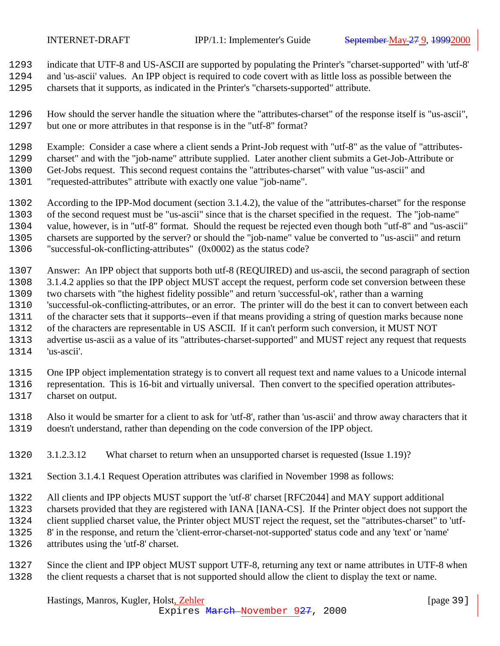<span id="page-38-0"></span>

indicate that UTF-8 and US-ASCII are supported by populating the Printer's "charset-supported" with 'utf-8'

- and 'us-ascii' values. An IPP object is required to code covert with as little loss as possible between the charsets that it supports, as indicated in the Printer's "charsets-supported" attribute.
- How should the server handle the situation where the "attributes-charset" of the response itself is "us-ascii", but one or more attributes in that response is in the "utf-8" format?
- Example: Consider a case where a client sends a Print-Job request with "utf-8" as the value of "attributes-
- charset" and with the "job-name" attribute supplied. Later another client submits a Get-Job-Attribute or
- Get-Jobs request. This second request contains the "attributes-charset" with value "us-ascii" and
- "requested-attributes" attribute with exactly one value "job-name".
- According to the IPP-Mod document (section 3.1.4.2), the value of the "attributes-charset" for the response
- of the second request must be "us-ascii" since that is the charset specified in the request. The "job-name"
- value, however, is in "utf-8" format. Should the request be rejected even though both "utf-8" and "us-ascii"
- charsets are supported by the server? or should the "job-name" value be converted to "us-ascii" and return
- "successful-ok-conflicting-attributes" (0x0002) as the status code?
- Answer: An IPP object that supports both utf-8 (REQUIRED) and us-ascii, the second paragraph of section
- 3.1.4.2 applies so that the IPP object MUST accept the request, perform code set conversion between these
- two charsets with "the highest fidelity possible" and return 'successful-ok', rather than a warning 'successful-ok-conflicting-attributes, or an error. The printer will do the best it can to convert between each
- of the character sets that it supports--even if that means providing a string of question marks because none
- of the characters are representable in US ASCII. If it can't perform such conversion, it MUST NOT
- advertise us-ascii as a value of its "attributes-charset-supported" and MUST reject any request that requests
- 'us-ascii'.
- One IPP object implementation strategy is to convert all request text and name values to a Unicode internal representation. This is 16-bit and virtually universal. Then convert to the specified operation attributes-
- charset on output.
- Also it would be smarter for a client to ask for 'utf-8', rather than 'us-ascii' and throw away characters that it doesn't understand, rather than depending on the code conversion of the IPP object.
- 3.1.2.3.12 What charset to return when an unsupported charset is requested (Issue 1.19)?
- Section 3.1.4.1 Request Operation attributes was clarified in November 1998 as follows:
- All clients and IPP objects MUST support the 'utf-8' charset [RFC2044] and MAY support additional
- charsets provided that they are registered with IANA [IANA-CS]. If the Printer object does not support the
- client supplied charset value, the Printer object MUST reject the request, set the "attributes-charset" to 'utf-
- 8' in the response, and return the 'client-error-charset-not-supported' status code and any 'text' or 'name'
- attributes using the 'utf-8' charset.
- Since the client and IPP object MUST support UTF-8, returning any text or name attributes in UTF-8 when the client requests a charset that is not supported should allow the client to display the text or name.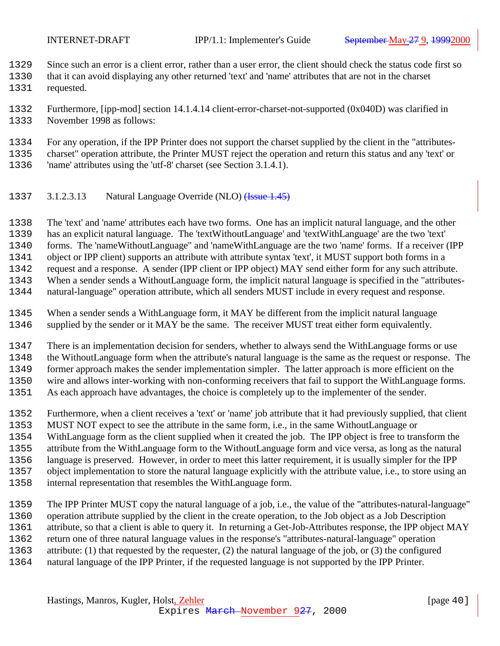<span id="page-39-0"></span>

- Since such an error is a client error, rather than a user error, the client should check the status code first so
- that it can avoid displaying any other returned 'text' and 'name' attributes that are not in the charset requested.
- Furthermore, [ipp-mod] section 14.1.4.14 client-error-charset-not-supported (0x040D) was clarified in November 1998 as follows:
- For any operation, if the IPP Printer does not support the charset supplied by the client in the "attributes-
- charset" operation attribute, the Printer MUST reject the operation and return this status and any 'text' or
- 'name' attributes using the 'utf-8' charset (see Section 3.1.4.1).
- 1337 3.1.2.3.13 Natural Language Override (NLO) (Issue 1.45)
- The 'text' and 'name' attributes each have two forms. One has an implicit natural language, and the other
- has an explicit natural language. The 'textWithoutLanguage' and 'textWithLanguage' are the two 'text'
- forms. The 'nameWithoutLanguage" and 'nameWithLanguage are the two 'name' forms. If a receiver (IPP
- object or IPP client) supports an attribute with attribute syntax 'text', it MUST support both forms in a
- request and a response. A sender (IPP client or IPP object) MAY send either form for any such attribute.
- When a sender sends a WithoutLanguage form, the implicit natural language is specified in the "attributes-
- natural-language" operation attribute, which all senders MUST include in every request and response.
- When a sender sends a WithLanguage form, it MAY be different from the implicit natural language supplied by the sender or it MAY be the same. The receiver MUST treat either form equivalently.
- There is an implementation decision for senders, whether to always send the WithLanguage forms or use
- the WithoutLanguage form when the attribute's natural language is the same as the request or response. The
- former approach makes the sender implementation simpler. The latter approach is more efficient on the
- wire and allows inter-working with non-conforming receivers that fail to support the WithLanguage forms.
- As each approach have advantages, the choice is completely up to the implementer of the sender.
- Furthermore, when a client receives a 'text' or 'name' job attribute that it had previously supplied, that client
- MUST NOT expect to see the attribute in the same form, i.e., in the same WithoutLanguage or
- WithLanguage form as the client supplied when it created the job. The IPP object is free to transform the
- attribute from the WithLanguage form to the WithoutLanguage form and vice versa, as long as the natural
- language is preserved. However, in order to meet this latter requirement, it is usually simpler for the IPP
- object implementation to store the natural language explicitly with the attribute value, i.e., to store using an
- internal representation that resembles the WithLanguage form.
- The IPP Printer MUST copy the natural language of a job, i.e., the value of the "attributes-natural-language" operation attribute supplied by the client in the create operation, to the Job object as a Job Description attribute, so that a client is able to query it. In returning a Get-Job-Attributes response, the IPP object MAY return one of three natural language values in the response's "attributes-natural-language" operation attribute: (1) that requested by the requester, (2) the natural language of the job, or (3) the configured natural language of the IPP Printer, if the requested language is not supported by the IPP Printer.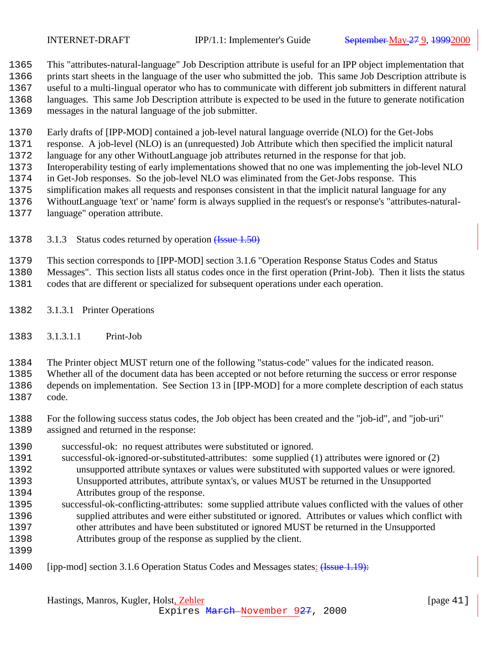<span id="page-40-0"></span>

This "attributes-natural-language" Job Description attribute is useful for an IPP object implementation that

- prints start sheets in the language of the user who submitted the job. This same Job Description attribute is
- useful to a multi-lingual operator who has to communicate with different job submitters in different natural languages. This same Job Description attribute is expected to be used in the future to generate notification
- messages in the natural language of the job submitter.
- 1370 Early drafts of [IPP-MOD] contained a job-level natural language override (NLO) for the Get-Jobs<br>1371 response. A iob-level (NLO) is an (unrequested) Job Attribute which then specified the implicit na
- response. A job-level (NLO) is an (unrequested) Job Attribute which then specified the implicit natural
- language for any other WithoutLanguage job attributes returned in the response for that job.
- Interoperability testing of early implementations showed that no one was implementing the job-level NLO
- in Get-Job responses. So the job-level NLO was eliminated from the Get-Jobs response. This
- simplification makes all requests and responses consistent in that the implicit natural language for any
- WithoutLanguage 'text' or 'name' form is always supplied in the request's or response's "attributes-natural-language" operation attribute.
- 1378 3.1.3 Status codes returned by operation (Issue 1.50)
- This section corresponds to [IPP-MOD] section 3.1.6 "Operation Response Status Codes and Status
- Messages". This section lists all status codes once in the first operation (Print-Job). Then it lists the status
- codes that are different or specialized for subsequent operations under each operation.
- 3.1.3.1 Printer Operations
- 3.1.3.1.1 Print-Job

The Printer object MUST return one of the following "status-code" values for the indicated reason.

Whether all of the document data has been accepted or not before returning the success or error response

 depends on implementation. See Section 13 in [IPP-MOD] for a more complete description of each status code.

- For the following success status codes, the Job object has been created and the "job-id", and "job-uri" assigned and returned in the response:
- successful-ok: no request attributes were substituted or ignored.
- successful-ok-ignored-or-substituted-attributes: some supplied (1) attributes were ignored or (2)
- unsupported attribute syntaxes or values were substituted with supported values or were ignored. Unsupported attributes, attribute syntax's, or values MUST be returned in the Unsupported
- Attributes group of the response.
- successful-ok-conflicting-attributes: some supplied attribute values conflicted with the values of other supplied attributes and were either substituted or ignored. Attributes or values which conflict with other attributes and have been substituted or ignored MUST be returned in the Unsupported Attributes group of the response as supplied by the client.
- 
- 1400 [ipp-mod] section 3.1.6 Operation Status Codes and Messages states: (Issue 1.19):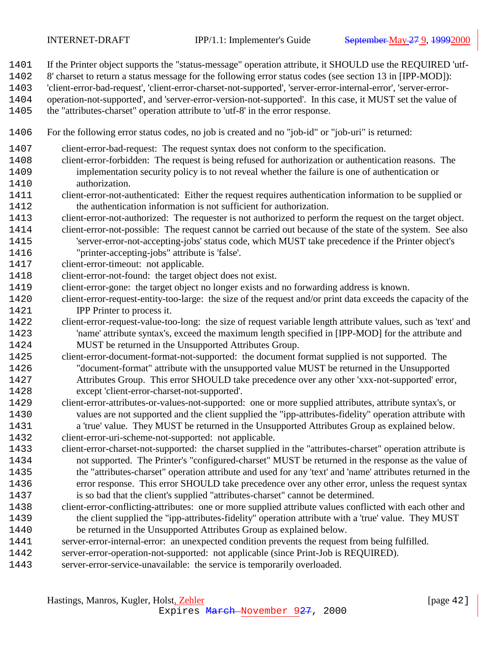- If the Printer object supports the "status-message" operation attribute, it SHOULD use the REQUIRED 'utf-
- 8' charset to return a status message for the following error status codes (see section 13 in [IPP-MOD]):
- 'client-error-bad-request', 'client-error-charset-not-supported', 'server-error-internal-error', 'server-error-
- operation-not-supported', and 'server-error-version-not-supported'. In this case, it MUST set the value of
- the "attributes-charset" operation attribute to 'utf-8' in the error response.
- For the following error status codes, no job is created and no "job-id" or "job-uri" is returned:
- client-error-bad-request: The request syntax does not conform to the specification.
- client-error-forbidden: The request is being refused for authorization or authentication reasons. The implementation security policy is to not reveal whether the failure is one of authentication or authorization.
- client-error-not-authenticated: Either the request requires authentication information to be supplied or the authentication information is not sufficient for authorization.
- client-error-not-authorized: The requester is not authorized to perform the request on the target object.
- client-error-not-possible: The request cannot be carried out because of the state of the system. See also 'server-error-not-accepting-jobs' status code, which MUST take precedence if the Printer object's
- "printer-accepting-jobs" attribute is 'false'.
- client-error-timeout: not applicable.
- client-error-not-found: the target object does not exist.
- client-error-gone: the target object no longer exists and no forwarding address is known.
- client-error-request-entity-too-large: the size of the request and/or print data exceeds the capacity of the IPP Printer to process it.
- client-error-request-value-too-long: the size of request variable length attribute values, such as 'text' and 'name' attribute syntax's, exceed the maximum length specified in [IPP-MOD] for the attribute and MUST be returned in the Unsupported Attributes Group.
- client-error-document-format-not-supported: the document format supplied is not supported. The "document-format" attribute with the unsupported value MUST be returned in the Unsupported Attributes Group. This error SHOULD take precedence over any other 'xxx-not-supported' error, except 'client-error-charset-not-supported'.
- client-error-attributes-or-values-not-supported: one or more supplied attributes, attribute syntax's, or values are not supported and the client supplied the "ipp-attributes-fidelity" operation attribute with a 'true' value. They MUST be returned in the Unsupported Attributes Group as explained below.
- client-error-uri-scheme-not-supported: not applicable.
- client-error-charset-not-supported: the charset supplied in the "attributes-charset" operation attribute is not supported. The Printer's "configured-charset" MUST be returned in the response as the value of the "attributes-charset" operation attribute and used for any 'text' and 'name' attributes returned in the error response. This error SHOULD take precedence over any other error, unless the request syntax is so bad that the client's supplied "attributes-charset" cannot be determined.
- client-error-conflicting-attributes: one or more supplied attribute values conflicted with each other and the client supplied the "ipp-attributes-fidelity" operation attribute with a 'true' value. They MUST be returned in the Unsupported Attributes Group as explained below.
- server-error-internal-error: an unexpected condition prevents the request from being fulfilled.
- server-error-operation-not-supported: not applicable (since Print-Job is REQUIRED).
- server-error-service-unavailable: the service is temporarily overloaded.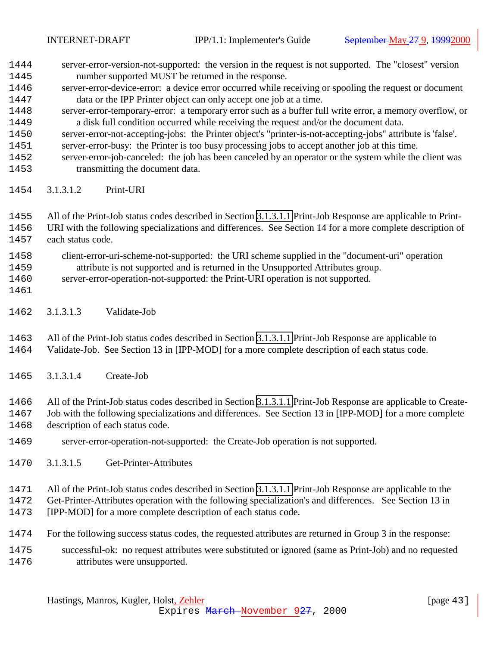- <span id="page-42-0"></span> server-error-version-not-supported: the version in the request is not supported. The "closest" version number supported MUST be returned in the response.
- server-error-device-error: a device error occurred while receiving or spooling the request or document data or the IPP Printer object can only accept one job at a time.
- server-error-temporary-error: a temporary error such as a buffer full write error, a memory overflow, or a disk full condition occurred while receiving the request and/or the document data.
- server-error-not-accepting-jobs: the Printer object's "printer-is-not-accepting-jobs" attribute is 'false'.
- server-error-busy: the Printer is too busy processing jobs to accept another job at this time.
- server-error-job-canceled: the job has been canceled by an operator or the system while the client was transmitting the document data.
- 3.1.3.1.2 Print-URI
- All of the Print-Job status codes described in Section [3.1.3.1.1](#page-40-0) Print-Job Response are applicable to Print-URI with the following specializations and differences. See Section 14 for a more complete description of
- each status code.
- client-error-uri-scheme-not-supported: the URI scheme supplied in the "document-uri" operation attribute is not supported and is returned in the Unsupported Attributes group.
- server-error-operation-not-supported: the Print-URI operation is not supported.
- 

3.1.3.1.3 Validate-Job

 All of the Print-Job status codes described in Section [3.1.3.1.1](#page-40-0) Print-Job Response are applicable to Validate-Job. See Section 13 in [IPP-MOD] for a more complete description of each status code.

3.1.3.1.4 Create-Job

 All of the Print-Job status codes described in Section [3.1.3.1.1](#page-40-0) Print-Job Response are applicable to Create-Job with the following specializations and differences. See Section 13 in [IPP-MOD] for a more complete

- description of each status code.
- server-error-operation-not-supported: the Create-Job operation is not supported.
- 3.1.3.1.5 Get-Printer-Attributes

All of the Print-Job status codes described in Section [3.1.3.1.1](#page-40-0) Print-Job Response are applicable to the

- Get-Printer-Attributes operation with the following specialization's and differences. See Section 13 in
- [IPP-MOD] for a more complete description of each status code.
- For the following success status codes, the requested attributes are returned in Group 3 in the response:
- successful-ok: no request attributes were substituted or ignored (same as Print-Job) and no requested attributes were unsupported.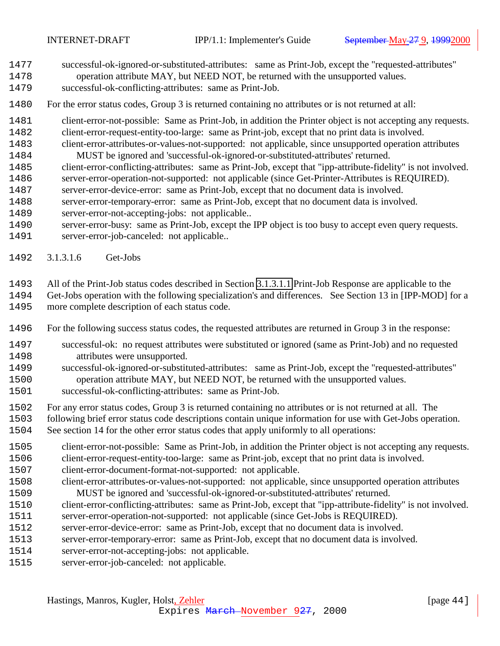- <span id="page-43-0"></span>successful-ok-ignored-or-substituted-attributes: same as Print-Job, except the "requested-attributes"
- operation attribute MAY, but NEED NOT, be returned with the unsupported values.
- successful-ok-conflicting-attributes: same as Print-Job.
- For the error status codes, Group 3 is returned containing no attributes or is not returned at all:
- 1481 client-error-not-possible: Same as Print-Job, in addition the Printer object is not accepting any requests.
- client-error-request-entity-too-large: same as Print-job, except that no print data is involved.
- client-error-attributes-or-values-not-supported: not applicable, since unsupported operation attributes MUST be ignored and 'successful-ok-ignored-or-substituted-attributes' returned.
- client-error-conflicting-attributes: same as Print-Job, except that "ipp-attribute-fidelity" is not involved.
- server-error-operation-not-supported: not applicable (since Get-Printer-Attributes is REQUIRED).
- server-error-device-error: same as Print-Job, except that no document data is involved.
- server-error-temporary-error: same as Print-Job, except that no document data is involved.
- server-error-not-accepting-jobs: not applicable..
- server-error-busy: same as Print-Job, except the IPP object is too busy to accept even query requests.
- server-error-job-canceled: not applicable..
- 3.1.3.1.6 Get-Jobs

All of the Print-Job status codes described in Section [3.1.3.1.1](#page-40-0) Print-Job Response are applicable to the

Get-Jobs operation with the following specialization's and differences. See Section 13 in [IPP-MOD] for a

- more complete description of each status code.
- For the following success status codes, the requested attributes are returned in Group 3 in the response:
- successful-ok: no request attributes were substituted or ignored (same as Print-Job) and no requested attributes were unsupported.
- successful-ok-ignored-or-substituted-attributes: same as Print-Job, except the "requested-attributes" operation attribute MAY, but NEED NOT, be returned with the unsupported values.
- successful-ok-conflicting-attributes: same as Print-Job.
- For any error status codes, Group 3 is returned containing no attributes or is not returned at all. The
- following brief error status code descriptions contain unique information for use with Get-Jobs operation.
- See section 14 for the other error status codes that apply uniformly to all operations:
- client-error-not-possible: Same as Print-Job, in addition the Printer object is not accepting any requests.
- client-error-request-entity-too-large: same as Print-job, except that no print data is involved.
- client-error-document-format-not-supported: not applicable.
- client-error-attributes-or-values-not-supported: not applicable, since unsupported operation attributes MUST be ignored and 'successful-ok-ignored-or-substituted-attributes' returned.
- client-error-conflicting-attributes: same as Print-Job, except that "ipp-attribute-fidelity" is not involved.
- server-error-operation-not-supported: not applicable (since Get-Jobs is REQUIRED).
- server-error-device-error: same as Print-Job, except that no document data is involved.
- server-error-temporary-error: same as Print-Job, except that no document data is involved.
- server-error-not-accepting-jobs: not applicable.
- server-error-job-canceled: not applicable.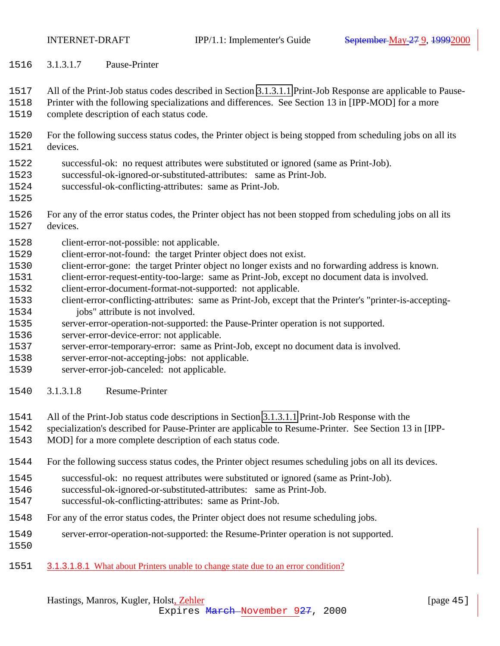<span id="page-44-0"></span>3.1.3.1.7 Pause-Printer

All of the Print-Job status codes described in Section [3.1.3.1.1](#page-40-0) Print-Job Response are applicable to Pause-

- Printer with the following specializations and differences. See Section 13 in [IPP-MOD] for a more
- complete description of each status code.
- For the following success status codes, the Printer object is being stopped from scheduling jobs on all its devices.
- successful-ok: no request attributes were substituted or ignored (same as Print-Job).
- successful-ok-ignored-or-substituted-attributes: same as Print-Job.
- successful-ok-conflicting-attributes: same as Print-Job.
- 
- For any of the error status codes, the Printer object has not been stopped from scheduling jobs on all its devices.
- client-error-not-possible: not applicable.
- client-error-not-found: the target Printer object does not exist.
- client-error-gone: the target Printer object no longer exists and no forwarding address is known.
- client-error-request-entity-too-large: same as Print-Job, except no document data is involved.
- client-error-document-format-not-supported: not applicable.
- client-error-conflicting-attributes: same as Print-Job, except that the Printer's "printer-is-accepting-jobs" attribute is not involved.
- server-error-operation-not-supported: the Pause-Printer operation is not supported.
- server-error-device-error: not applicable.
- server-error-temporary-error: same as Print-Job, except no document data is involved.
- server-error-not-accepting-jobs: not applicable.
- server-error-job-canceled: not applicable.
- 3.1.3.1.8 Resume-Printer
- All of the Print-Job status code descriptions in Section [3.1.3.1.1](#page-40-0) Print-Job Response with the
- specialization's described for Pause-Printer are applicable to Resume-Printer. See Section 13 in [IPP-
- MOD] for a more complete description of each status code.
- For the following success status codes, the Printer object resumes scheduling jobs on all its devices.
- successful-ok: no request attributes were substituted or ignored (same as Print-Job).
- successful-ok-ignored-or-substituted-attributes: same as Print-Job.
- successful-ok-conflicting-attributes: same as Print-Job.
- For any of the error status codes, the Printer object does not resume scheduling jobs.
- server-error-operation-not-supported: the Resume-Printer operation is not supported.
- 
- 3.1.3.1.8.1 What about Printers unable to change state due to an error condition?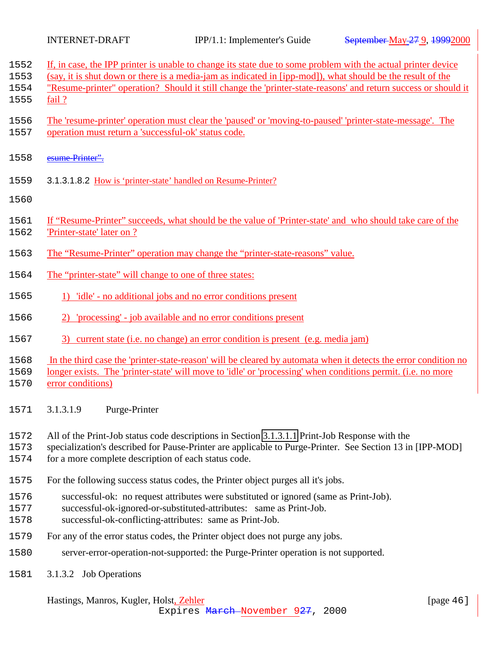<span id="page-45-0"></span>

|                      | If, in case, the IPP printer is unable to change its state due to some problem with the actual printer device                                                                                                                                                       |
|----------------------|---------------------------------------------------------------------------------------------------------------------------------------------------------------------------------------------------------------------------------------------------------------------|
| 1552<br>1553         | (say, it is shut down or there is a media-jam as indicated in [ipp-mod]), what should be the result of the                                                                                                                                                          |
| 1554<br>1555         | "Resume-printer" operation? Should it still change the 'printer-state-reasons' and return success or should it<br>fail?                                                                                                                                             |
| 1556<br>1557         | The 'resume-printer' operation must clear the 'paused' or 'moving-to-paused' 'printer-state-message'. The<br>operation must return a 'successful-ok' status code.                                                                                                   |
| 1558                 | esume-Printer".                                                                                                                                                                                                                                                     |
| 1559                 | 3.1.3.1.8.2 How is 'printer-state' handled on Resume-Printer?                                                                                                                                                                                                       |
| 1560                 |                                                                                                                                                                                                                                                                     |
| 1561<br>1562         | If "Resume-Printer" succeeds, what should be the value of 'Printer-state' and who should take care of the<br>'Printer-state' later on ?                                                                                                                             |
| 1563                 | The "Resume-Printer" operation may change the "printer-state-reasons" value.                                                                                                                                                                                        |
| 1564                 | The "printer-state" will change to one of three states:                                                                                                                                                                                                             |
| 1565                 | 1) 'idle' - no additional jobs and no error conditions present                                                                                                                                                                                                      |
| 1566                 | 'processing' - job available and no error conditions present                                                                                                                                                                                                        |
| 1567                 | 3) current state (i.e. no change) an error condition is present (e.g. media jam)                                                                                                                                                                                    |
| 1568<br>1569<br>1570 | In the third case the 'printer-state-reason' will be cleared by automata when it detects the error condition no<br>longer exists. The 'printer-state' will move to 'idle' or 'processing' when conditions permit. (i.e. no more<br>error conditions)                |
| 1571                 | 3.1.3.1.9<br>Purge-Printer                                                                                                                                                                                                                                          |
| 1572<br>1573<br>1574 | All of the Print-Job status code descriptions in Section 3.1.3.1.1 Print-Job Response with the<br>specialization's described for Pause-Printer are applicable to Purge-Printer. See Section 13 in [IPP-MOD]<br>for a more complete description of each status code. |
| 1575                 | For the following success status codes, the Printer object purges all it's jobs.                                                                                                                                                                                    |
| 1576<br>1577<br>1578 | successful-ok: no request attributes were substituted or ignored (same as Print-Job).<br>successful-ok-ignored-or-substituted-attributes: same as Print-Job.<br>successful-ok-conflicting-attributes: same as Print-Job.                                            |
| 1579                 | For any of the error status codes, the Printer object does not purge any jobs.                                                                                                                                                                                      |
| 1580                 | server-error-operation-not-supported: the Purge-Printer operation is not supported.                                                                                                                                                                                 |
| 1581                 | 3.1.3.2 Job Operations                                                                                                                                                                                                                                              |

Hastings, Manros, Kugler, Holst, Zehler [page 46]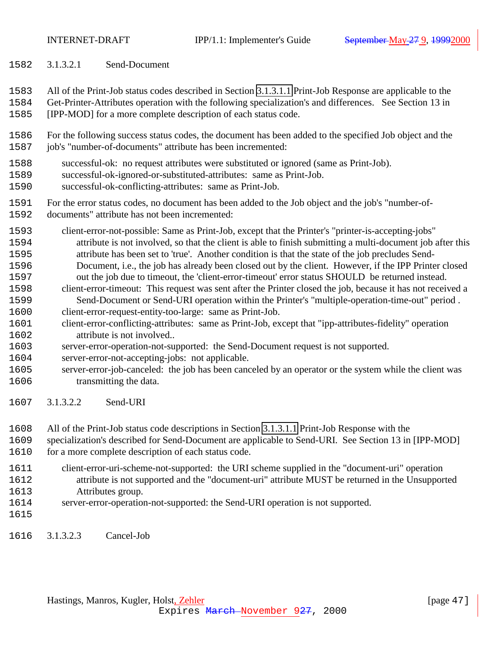- <span id="page-46-0"></span>3.1.3.2.1 Send-Document
- All of the Print-Job status codes described in Section [3.1.3.1.1](#page-40-0) Print-Job Response are applicable to the
- Get-Printer-Attributes operation with the following specialization's and differences. See Section 13 in
- [IPP-MOD] for a more complete description of each status code.
- For the following success status codes, the document has been added to the specified Job object and the job's "number-of-documents" attribute has been incremented:
- successful-ok: no request attributes were substituted or ignored (same as Print-Job).
- successful-ok-ignored-or-substituted-attributes: same as Print-Job.
- successful-ok-conflicting-attributes: same as Print-Job.
- For the error status codes, no document has been added to the Job object and the job's "number-of-
- documents" attribute has not been incremented:
- client-error-not-possible: Same as Print-Job, except that the Printer's "printer-is-accepting-jobs" attribute is not involved, so that the client is able to finish submitting a multi-document job after this
- attribute has been set to 'true'. Another condition is that the state of the job precludes Send-
- Document, i.e., the job has already been closed out by the client. However, if the IPP Printer closed
- out the job due to timeout, the 'client-error-timeout' error status SHOULD be returned instead. client-error-timeout: This request was sent after the Printer closed the job, because it has not received a
- Send-Document or Send-URI operation within the Printer's "multiple-operation-time-out" period . client-error-request-entity-too-large: same as Print-Job.
- client-error-conflicting-attributes: same as Print-Job, except that "ipp-attributes-fidelity" operation attribute is not involved..
- server-error-operation-not-supported: the Send-Document request is not supported.
- server-error-not-accepting-jobs: not applicable.
- server-error-job-canceled: the job has been canceled by an operator or the system while the client was transmitting the data.
- 3.1.3.2.2 Send-URI
- All of the Print-Job status code descriptions in Section [3.1.3.1.1](#page-40-0) Print-Job Response with the
- specialization's described for Send-Document are applicable to Send-URI. See Section 13 in [IPP-MOD] 1610 for a more complete description of each status code.
- client-error-uri-scheme-not-supported: the URI scheme supplied in the "document-uri" operation attribute is not supported and the "document-uri" attribute MUST be returned in the Unsupported Attributes group.
- server-error-operation-not-supported: the Send-URI operation is not supported.
- 

3.1.3.2.3 Cancel-Job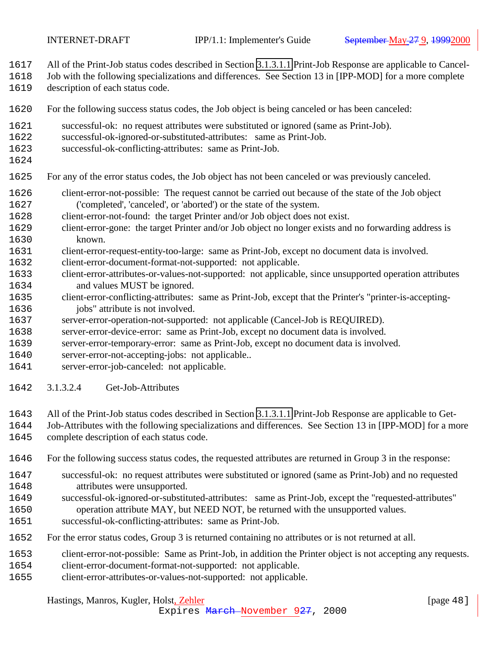<span id="page-47-0"></span>

- All of the Print-Job status codes described in Section [3.1.3.1.1](#page-40-0) Print-Job Response are applicable to Cancel-
- Job with the following specializations and differences. See Section 13 in [IPP-MOD] for a more complete
- description of each status code.
- For the following success status codes, the Job object is being canceled or has been canceled:
- successful-ok: no request attributes were substituted or ignored (same as Print-Job).
- successful-ok-ignored-or-substituted-attributes: same as Print-Job.
- successful-ok-conflicting-attributes: same as Print-Job.
- 
- For any of the error status codes, the Job object has not been canceled or was previously canceled.
- client-error-not-possible: The request cannot be carried out because of the state of the Job object ('completed', 'canceled', or 'aborted') or the state of the system.
- client-error-not-found: the target Printer and/or Job object does not exist.
- client-error-gone: the target Printer and/or Job object no longer exists and no forwarding address is known.
- client-error-request-entity-too-large: same as Print-Job, except no document data is involved.
- client-error-document-format-not-supported: not applicable.
- client-error-attributes-or-values-not-supported: not applicable, since unsupported operation attributes and values MUST be ignored.
- client-error-conflicting-attributes: same as Print-Job, except that the Printer's "printer-is-accepting-jobs" attribute is not involved.
- server-error-operation-not-supported: not applicable (Cancel-Job is REQUIRED).
- server-error-device-error: same as Print-Job, except no document data is involved.
- server-error-temporary-error: same as Print-Job, except no document data is involved.
- server-error-not-accepting-jobs: not applicable..
- server-error-job-canceled: not applicable.
- 3.1.3.2.4 Get-Job-Attributes
- All of the Print-Job status codes described in Section [3.1.3.1.1](#page-40-0) Print-Job Response are applicable to Get-
- Job-Attributes with the following specializations and differences. See Section 13 in [IPP-MOD] for a more complete description of each status code.
- For the following success status codes, the requested attributes are returned in Group 3 in the response:
- successful-ok: no request attributes were substituted or ignored (same as Print-Job) and no requested attributes were unsupported.
- successful-ok-ignored-or-substituted-attributes: same as Print-Job, except the "requested-attributes" operation attribute MAY, but NEED NOT, be returned with the unsupported values.
- successful-ok-conflicting-attributes: same as Print-Job.
- For the error status codes, Group 3 is returned containing no attributes or is not returned at all.
- client-error-not-possible: Same as Print-Job, in addition the Printer object is not accepting any requests.
- client-error-document-format-not-supported: not applicable.
- client-error-attributes-or-values-not-supported: not applicable.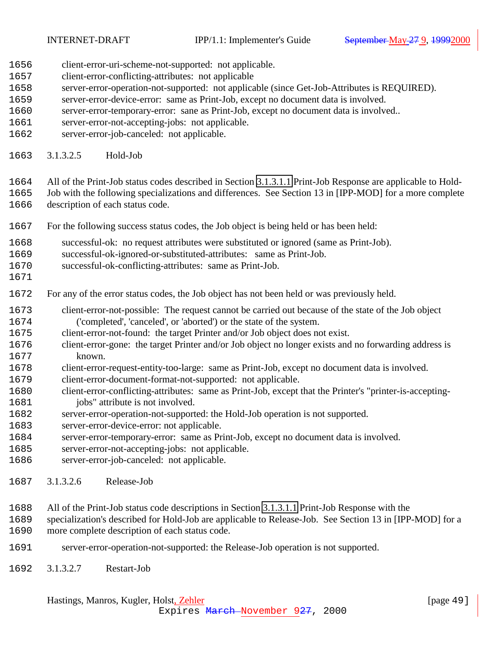<span id="page-48-0"></span>

- client-error-uri-scheme-not-supported: not applicable.
- client-error-conflicting-attributes: not applicable
- server-error-operation-not-supported: not applicable (since Get-Job-Attributes is REQUIRED).
- server-error-device-error: same as Print-Job, except no document data is involved.
- server-error-temporary-error: sane as Print-Job, except no document data is involved..
- server-error-not-accepting-jobs: not applicable.
- server-error-job-canceled: not applicable.
- 3.1.3.2.5 Hold-Job
- All of the Print-Job status codes described in Section [3.1.3.1.1](#page-40-0) Print-Job Response are applicable to Hold-
- Job with the following specializations and differences. See Section 13 in [IPP-MOD] for a more complete description of each status code.
- For the following success status codes, the Job object is being held or has been held:
- successful-ok: no request attributes were substituted or ignored (same as Print-Job).
- successful-ok-ignored-or-substituted-attributes: same as Print-Job.
- successful-ok-conflicting-attributes: same as Print-Job.
- 
- For any of the error status codes, the Job object has not been held or was previously held.
- client-error-not-possible: The request cannot be carried out because of the state of the Job object ('completed', 'canceled', or 'aborted') or the state of the system.
- client-error-not-found: the target Printer and/or Job object does not exist.
- client-error-gone: the target Printer and/or Job object no longer exists and no forwarding address is known.
- client-error-request-entity-too-large: same as Print-Job, except no document data is involved.
- client-error-document-format-not-supported: not applicable.
- client-error-conflicting-attributes: same as Print-Job, except that the Printer's "printer-is-accepting-1681 jobs" attribute is not involved.
- server-error-operation-not-supported: the Hold-Job operation is not supported.
- server-error-device-error: not applicable.
- server-error-temporary-error: same as Print-Job, except no document data is involved.
- server-error-not-accepting-jobs: not applicable.
- server-error-job-canceled: not applicable.
- 3.1.3.2.6 Release-Job
- All of the Print-Job status code descriptions in Section [3.1.3.1.1](#page-40-0) Print-Job Response with the
- specialization's described for Hold-Job are applicable to Release-Job. See Section 13 in [IPP-MOD] for a more complete description of each status code.
- server-error-operation-not-supported: the Release-Job operation is not supported.
- 3.1.3.2.7 Restart-Job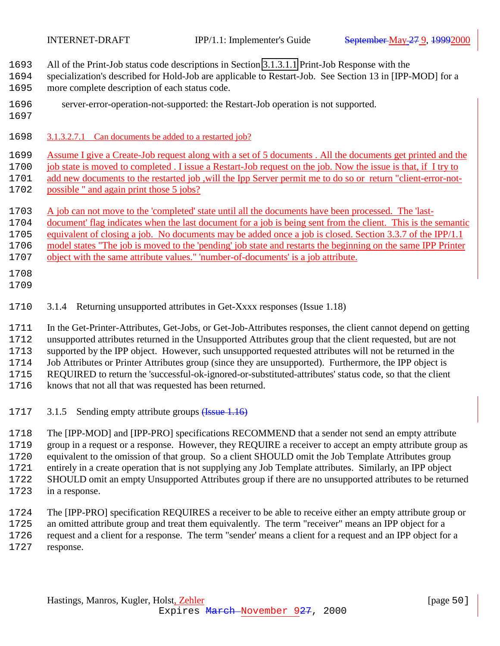- <span id="page-49-0"></span>All of the Print-Job status code descriptions in Section [3.1.3.1.1](#page-40-0) Print-Job Response with the
- specialization's described for Hold-Job are applicable to Restart-Job. See Section 13 in [IPP-MOD] for a more complete description of each status code.
- server-error-operation-not-supported: the Restart-Job operation is not supported.
- 
- 3.1.3.2.7.1 Can documents be added to a restarted job?
- Assume I give a Create-Job request along with a set of 5 documents . All the documents get printed and the
- 1700 job state is moved to completed . I issue a Restart-Job request on the job. Now the issue is that, if I try to
- add new documents to the restarted job ,will the Ipp Server permit me to do so or return "client-error-not-possible " and again print those 5 jobs?
- A job can not move to the 'completed' state until all the documents have been processed. The 'last-
- document' flag indicates when the last document for a job is being sent from the client. This is the semantic
- equivalent of closing a job. No documents may be added once a job is closed. Section 3.3.7 of the IPP/1.1
- model states "The job is moved to the 'pending' job state and restarts the beginning on the same IPP Printer
- 1707 object with the same attribute values." 'number-of-documents' is a job attribute.
- 
- 
- 3.1.4 Returning unsupported attributes in Get-Xxxx responses (Issue 1.18)
- In the Get-Printer-Attributes, Get-Jobs, or Get-Job-Attributes responses, the client cannot depend on getting unsupported attributes returned in the Unsupported Attributes group that the client requested, but are not supported by the IPP object. However, such unsupported requested attributes will not be returned in the Job Attributes or Printer Attributes group (since they are unsupported). Furthermore, the IPP object is REQUIRED to return the 'successful-ok-ignored-or-substituted-attributes' status code, so that the client
- knows that not all that was requested has been returned.
- 1717 3.1.5 Sending empty attribute groups (Issue 1.16)
- The [IPP-MOD] and [IPP-PRO] specifications RECOMMEND that a sender not send an empty attribute group in a request or a response. However, they REQUIRE a receiver to accept an empty attribute group as equivalent to the omission of that group. So a client SHOULD omit the Job Template Attributes group entirely in a create operation that is not supplying any Job Template attributes. Similarly, an IPP object SHOULD omit an empty Unsupported Attributes group if there are no unsupported attributes to be returned in a response.
- The [IPP-PRO] specification REQUIRES a receiver to be able to receive either an empty attribute group or an omitted attribute group and treat them equivalently. The term "receiver" means an IPP object for a request and a client for a response. The term "sender' means a client for a request and an IPP object for a response.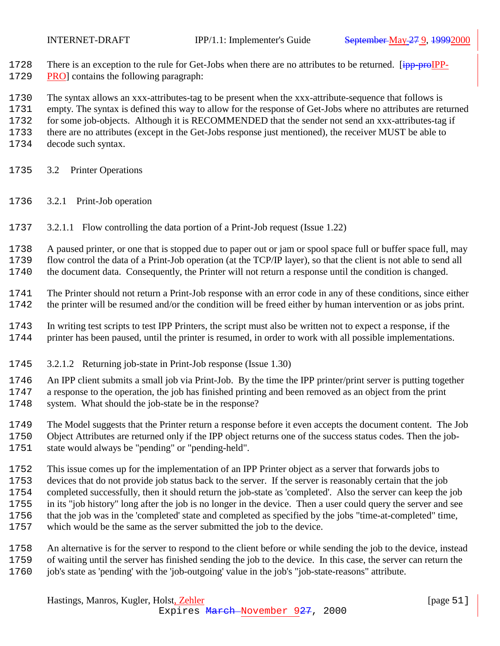<span id="page-50-0"></span>

- 1728 There is an exception to the rule for Get-Jobs when there are no attributes to be returned. [ipp-proIPP-
- PRO] contains the following paragraph:
- The syntax allows an xxx-attributes-tag to be present when the xxx-attribute-sequence that follows is
- empty. The syntax is defined this way to allow for the response of Get-Jobs where no attributes are returned
- for some job-objects. Although it is RECOMMENDED that the sender not send an xxx-attributes-tag if
- there are no attributes (except in the Get-Jobs response just mentioned), the receiver MUST be able to
- decode such syntax.
- 3.2 Printer Operations
- 3.2.1 Print-Job operation
- 3.2.1.1 Flow controlling the data portion of a Print-Job request (Issue 1.22)
- A paused printer, or one that is stopped due to paper out or jam or spool space full or buffer space full, may flow control the data of a Print-Job operation (at the TCP/IP layer), so that the client is not able to send all the document data. Consequently, the Printer will not return a response until the condition is changed.
- The Printer should not return a Print-Job response with an error code in any of these conditions, since either the printer will be resumed and/or the condition will be freed either by human intervention or as jobs print.
- In writing test scripts to test IPP Printers, the script must also be written not to expect a response, if the printer has been paused, until the printer is resumed, in order to work with all possible implementations.
- 3.2.1.2 Returning job-state in Print-Job response (Issue 1.30)
- An IPP client submits a small job via Print-Job. By the time the IPP printer/print server is putting together a response to the operation, the job has finished printing and been removed as an object from the print 1748 system. What should the job-state be in the response?
- The Model suggests that the Printer return a response before it even accepts the document content. The Job Object Attributes are returned only if the IPP object returns one of the success status codes. Then the job-state would always be "pending" or "pending-held".
- This issue comes up for the implementation of an IPP Printer object as a server that forwards jobs to devices that do not provide job status back to the server. If the server is reasonably certain that the job completed successfully, then it should return the job-state as 'completed'. Also the server can keep the job in its "job history" long after the job is no longer in the device. Then a user could query the server and see that the job was in the 'completed' state and completed as specified by the jobs "time-at-completed" time, which would be the same as the server submitted the job to the device.
- An alternative is for the server to respond to the client before or while sending the job to the device, instead of waiting until the server has finished sending the job to the device. In this case, the server can return the job's state as 'pending' with the 'job-outgoing' value in the job's "job-state-reasons" attribute.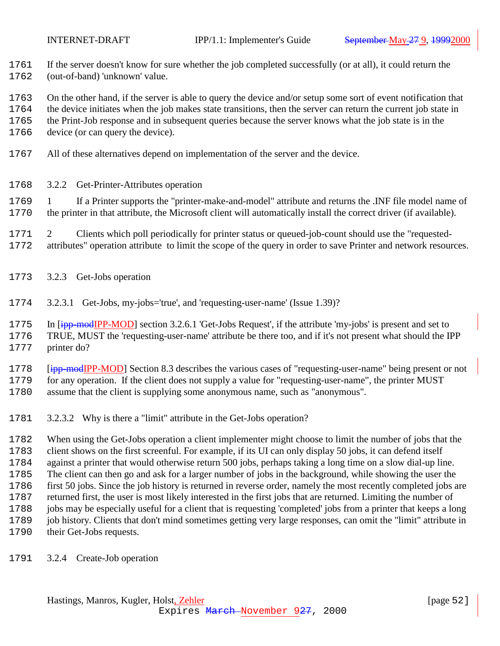<span id="page-51-0"></span>

 If the server doesn't know for sure whether the job completed successfully (or at all), it could return the (out-of-band) 'unknown' value.

On the other hand, if the server is able to query the device and/or setup some sort of event notification that

the device initiates when the job makes state transitions, then the server can return the current job state in

the Print-Job response and in subsequent queries because the server knows what the job state is in the

device (or can query the device).

- All of these alternatives depend on implementation of the server and the device.
- 3.2.2 Get-Printer-Attributes operation

 1 If a Printer supports the "printer-make-and-model" attribute and returns the .INF file model name of the printer in that attribute, the Microsoft client will automatically install the correct driver (if available).

 2 Clients which poll periodically for printer status or queued-job-count should use the "requested-attributes" operation attribute to limit the scope of the query in order to save Printer and network resources.

- 3.2.3 Get-Jobs operation
- 3.2.3.1 Get-Jobs, my-jobs='true', and 'requesting-user-name' (Issue 1.39)?

1775 In [ipp-modIPP-MOD] section 3.2.6.1 'Get-Jobs Request', if the attribute 'my-jobs' is present and set to TRUE, MUST the 'requesting-user-name' attribute be there too, and if it's not present what should the IPP

printer do?

[ipp-modIPP-MOD] Section 8.3 describes the various cases of "requesting-user-name" being present or not

for any operation. If the client does not supply a value for "requesting-user-name", the printer MUST

assume that the client is supplying some anonymous name, such as "anonymous".

3.2.3.2 Why is there a "limit" attribute in the Get-Jobs operation?

 When using the Get-Jobs operation a client implementer might choose to limit the number of jobs that the client shows on the first screenful. For example, if its UI can only display 50 jobs, it can defend itself against a printer that would otherwise return 500 jobs, perhaps taking a long time on a slow dial-up line. The client can then go and ask for a larger number of jobs in the background, while showing the user the first 50 jobs. Since the job history is returned in reverse order, namely the most recently completed jobs are returned first, the user is most likely interested in the first jobs that are returned. Limiting the number of jobs may be especially useful for a client that is requesting 'completed' jobs from a printer that keeps a long job history. Clients that don't mind sometimes getting very large responses, can omit the "limit" attribute in their Get-Jobs requests.

3.2.4 Create-Job operation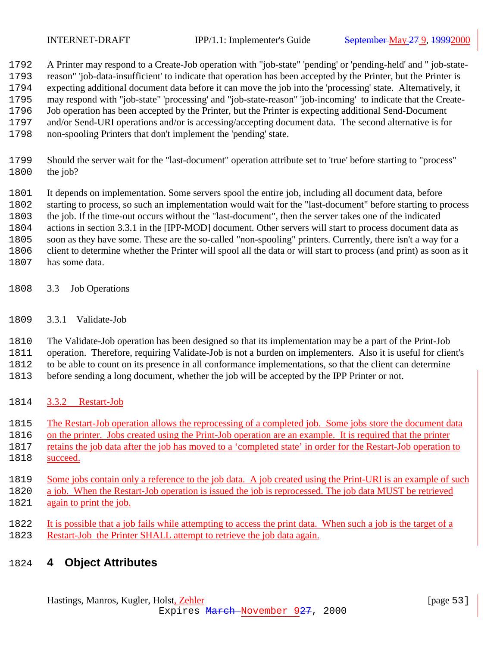<span id="page-52-0"></span>

A Printer may respond to a Create-Job operation with "job-state" 'pending' or 'pending-held' and " job-state-

- reason" 'job-data-insufficient' to indicate that operation has been accepted by the Printer, but the Printer is
- expecting additional document data before it can move the job into the 'processing' state. Alternatively, it
- may respond with "job-state" 'processing' and "job-state-reason" 'job-incoming' to indicate that the Create-
- Job operation has been accepted by the Printer, but the Printer is expecting additional Send-Document
- and/or Send-URI operations and/or is accessing/accepting document data. The second alternative is for
- non-spooling Printers that don't implement the 'pending' state.
- Should the server wait for the "last-document" operation attribute set to 'true' before starting to "process" the job?
- It depends on implementation. Some servers spool the entire job, including all document data, before

starting to process, so such an implementation would wait for the "last-document" before starting to process

the job. If the time-out occurs without the "last-document", then the server takes one of the indicated

actions in section 3.3.1 in the [IPP-MOD] document. Other servers will start to process document data as

- soon as they have some. These are the so-called "non-spooling" printers. Currently, there isn't a way for a client to determine whether the Printer will spool all the data or will start to process (and print) as soon as it
- has some data.
- 3.3 Job Operations
- 3.3.1 Validate-Job

The Validate-Job operation has been designed so that its implementation may be a part of the Print-Job

operation. Therefore, requiring Validate-Job is not a burden on implementers. Also it is useful for client's

to be able to count on its presence in all conformance implementations, so that the client can determine

- before sending a long document, whether the job will be accepted by the IPP Printer or not.
- 3.3.2 Restart-Job
- The Restart-Job operation allows the reprocessing of a completed job. Some jobs store the document data

on the printer. Jobs created using the Print-Job operation are an example. It is required that the printer

- retains the job data after the job has moved to a 'completed state' in order for the Restart-Job operation to succeed.
- Some jobs contain only a reference to the job data. A job created using the Print-URI is an example of such
	- a job. When the Restart-Job operation is issued the job is reprocessed. The job data MUST be retrieved
	- again to print the job.
	- It is possible that a job fails while attempting to access the print data. When such a job is the target of a
	- 1823 Restart-Job the Printer SHALL attempt to retrieve the job data again.

# **4 Object Attributes**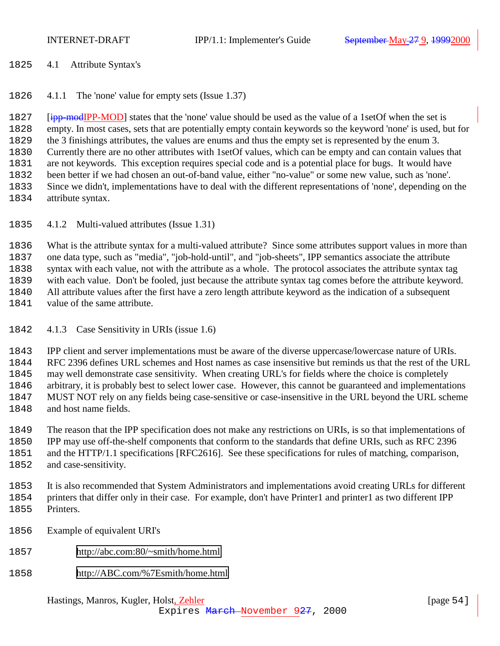- <span id="page-53-0"></span>4.1 Attribute Syntax's
- 4.1.1 The 'none' value for empty sets (Issue 1.37)

**[ipp-modIPP-MOD]** states that the 'none' value should be used as the value of a 1setOf when the set is empty. In most cases, sets that are potentially empty contain keywords so the keyword 'none' is used, but for the 3 finishings attributes, the values are enums and thus the empty set is represented by the enum 3. Currently there are no other attributes with 1setOf values, which can be empty and can contain values that are not keywords. This exception requires special code and is a potential place for bugs. It would have been better if we had chosen an out-of-band value, either "no-value" or some new value, such as 'none'. Since we didn't, implementations have to deal with the different representations of 'none', depending on the attribute syntax.

4.1.2 Multi-valued attributes (Issue 1.31)

 What is the attribute syntax for a multi-valued attribute? Since some attributes support values in more than one data type, such as "media", "job-hold-until", and "job-sheets", IPP semantics associate the attribute syntax with each value, not with the attribute as a whole. The protocol associates the attribute syntax tag with each value. Don't be fooled, just because the attribute syntax tag comes before the attribute keyword. All attribute values after the first have a zero length attribute keyword as the indication of a subsequent value of the same attribute.

4.1.3 Case Sensitivity in URIs (issue 1.6)

 IPP client and server implementations must be aware of the diverse uppercase/lowercase nature of URIs. RFC 2396 defines URL schemes and Host names as case insensitive but reminds us that the rest of the URL may well demonstrate case sensitivity. When creating URL's for fields where the choice is completely arbitrary, it is probably best to select lower case. However, this cannot be guaranteed and implementations MUST NOT rely on any fields being case-sensitive or case-insensitive in the URL beyond the URL scheme and host name fields.

 The reason that the IPP specification does not make any restrictions on URIs, is so that implementations of IPP may use off-the-shelf components that conform to the standards that define URIs, such as RFC 2396 and the HTTP/1.1 specifications [RFC2616]. See these specifications for rules of matching, comparison,

and case-sensitivity.

 It is also recommended that System Administrators and implementations avoid creating URLs for different printers that differ only in their case. For example, don't have Printer1 and printer1 as two different IPP Printers.

- Example of equivalent URI's
- [http://abc.com:80/~smith/home.html](http://abc.com/~smith/home.html)
- [http://ABC.com/%7Esmith/home.html](http://abc.com/%7Esmith/home.html)

Hastings, Manros, Kugler, Holst, Zehler [page 54]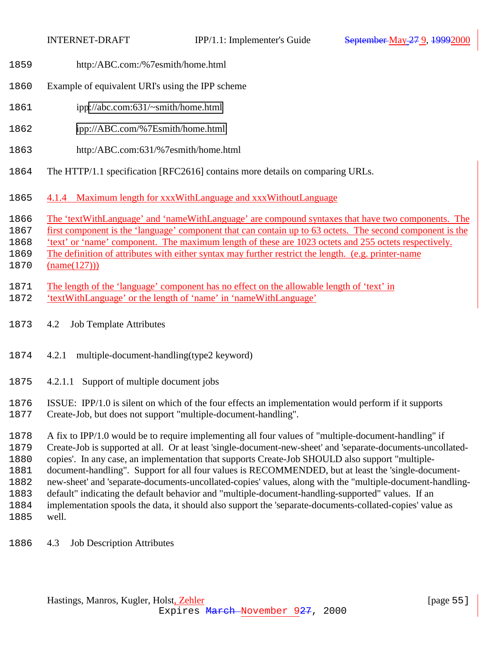- <span id="page-54-0"></span>http:/ABC.com:/%7esmith/home.html
- Example of equivalent URI's using the IPP scheme
- ipp[://abc.com:631/~smith/home.html](http://abc.com/~smith/home.html)
- [ipp://ABC.com/%7Esmith/home.html](http://abc.com/%7Esmith/home.html)
- http:/ABC.com:631/%7esmith/home.html
- The HTTP/1.1 specification [RFC2616] contains more details on comparing URLs.
- 4.1.4 Maximum length for xxxWithLanguage and xxxWithoutLanguage
- The 'textWithLanguage' and 'nameWithLanguage' are compound syntaxes that have two components. The
- 1867 first component is the 'language' component that can contain up to 63 octets. The second component is the
- 'text' or 'name' component. The maximum length of these are 1023 octets and 255 octets respectively.
- The definition of attributes with either syntax may further restrict the length. (e.g. printer-name
- (name(127)))
- 1871 The length of the 'language' component has no effect on the allowable length of 'text' in
- 'textWithLanguage' or the length of 'name' in 'nameWithLanguage'
- 4.2 Job Template Attributes
- 4.2.1 multiple-document-handling(type2 keyword)
- 4.2.1.1 Support of multiple document jobs
- ISSUE: IPP/1.0 is silent on which of the four effects an implementation would perform if it supports
- Create-Job, but does not support "multiple-document-handling".
- A fix to IPP/1.0 would be to require implementing all four values of "multiple-document-handling" if
- Create-Job is supported at all. Or at least 'single-document-new-sheet' and 'separate-documents-uncollated-
- copies'. In any case, an implementation that supports Create-Job SHOULD also support "multiple-
- document-handling". Support for all four values is RECOMMENDED, but at least the 'single-document-
- new-sheet' and 'separate-documents-uncollated-copies' values, along with the "multiple-document-handling-
- default" indicating the default behavior and "multiple-document-handling-supported" values. If an
- implementation spools the data, it should also support the 'separate-documents-collated-copies' value as well.
- 4.3 Job Description Attributes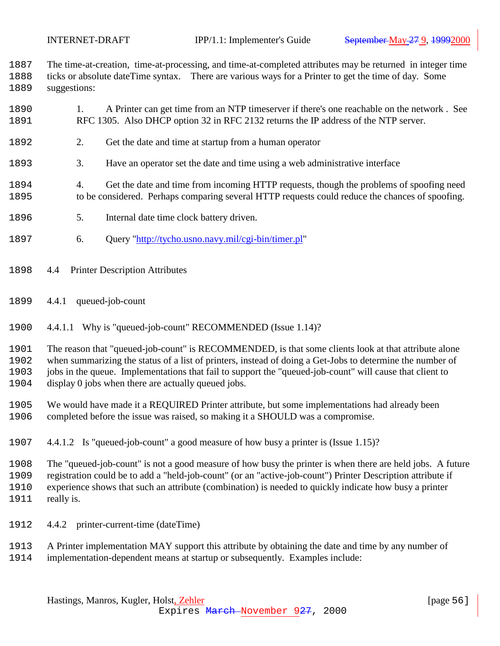<span id="page-55-0"></span>

 The time-at-creation, time-at-processing, and time-at-completed attributes may be returned in integer time ticks or absolute dateTime syntax. There are various ways for a Printer to get the time of day. Some

- suggestions:
- 1. A Printer can get time from an NTP timeserver if there's one reachable on the network . See RFC 1305. Also DHCP option 32 in RFC 2132 returns the IP address of the NTP server.
- 2. Get the date and time at startup from a human operator
- 3. Have an operator set the date and time using a web administrative interface
- 4. Get the date and time from incoming HTTP requests, though the problems of spoofing need to be considered. Perhaps comparing several HTTP requests could reduce the chances of spoofing.
- 5. Internal date time clock battery driven.
- 6. Query "http://tycho.usno.navy.mil/cgi-bin/timer.pl"
- 4.4 Printer Description Attributes
- 4.4.1 queued-job-count
- 4.4.1.1 Why is "queued-job-count" RECOMMENDED (Issue 1.14)?

 The reason that "queued-job-count" is RECOMMENDED, is that some clients look at that attribute alone when summarizing the status of a list of printers, instead of doing a Get-Jobs to determine the number of jobs in the queue. Implementations that fail to support the "queued-job-count" will cause that client to

display 0 jobs when there are actually queued jobs.

- We would have made it a REQUIRED Printer attribute, but some implementations had already been completed before the issue was raised, so making it a SHOULD was a compromise.
- 4.4.1.2 Is "queued-job-count" a good measure of how busy a printer is (Issue 1.15)?
- The "queued-job-count" is not a good measure of how busy the printer is when there are held jobs. A future registration could be to add a "held-job-count" (or an "active-job-count") Printer Description attribute if experience shows that such an attribute (combination) is needed to quickly indicate how busy a printer
- 1911 really is.
- 4.4.2 printer-current-time (dateTime)
- A Printer implementation MAY support this attribute by obtaining the date and time by any number of
- implementation-dependent means at startup or subsequently. Examples include: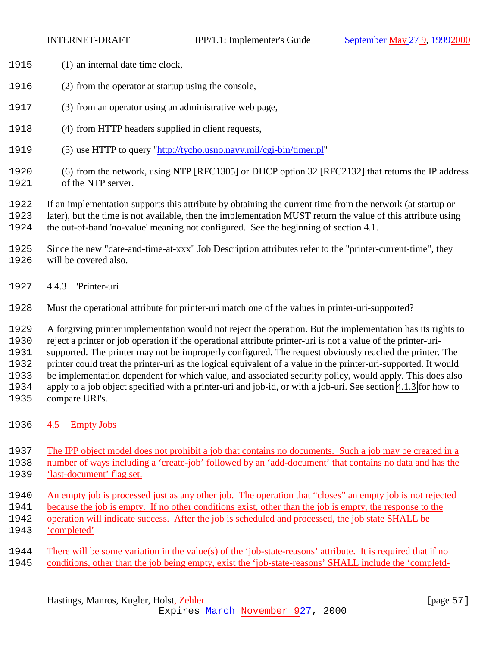- <span id="page-56-0"></span>1915 (1) an internal date time clock,
- (2) from the operator at startup using the console,
- (3) from an operator using an administrative web page,
- (4) from HTTP headers supplied in client requests,
- (5) use HTTP to query "http://tycho.usno.navy.mil/cgi-bin/timer.pl"
- (6) from the network, using NTP [RFC1305] or DHCP option 32 [RFC2132] that returns the IP address of the NTP server.
- If an implementation supports this attribute by obtaining the current time from the network (at startup or later), but the time is not available, then the implementation MUST return the value of this attribute using the out-of-band 'no-value' meaning not configured. See the beginning of section 4.1.

## Since the new "date-and-time-at-xxx" Job Description attributes refer to the "printer-current-time", they will be covered also.

- 4.4.3 'Printer-uri
- Must the operational attribute for printer-uri match one of the values in printer-uri-supported?

A forgiving printer implementation would not reject the operation. But the implementation has its rights to

reject a printer or job operation if the operational attribute printer-uri is not a value of the printer-uri-

supported. The printer may not be improperly configured. The request obviously reached the printer. The

printer could treat the printer-uri as the logical equivalent of a value in the printer-uri-supported. It would

be implementation dependent for which value, and associated security policy, would apply. This does also

apply to a job object specified with a printer-uri and job-id, or with a job-uri. See section [4.1.3](#page-53-0) for how to

- compare URI's.
- **4.5 Empty Jobs**
- The IPP object model does not prohibit a job that contains no documents. Such a job may be created in a
- number of ways including a 'create-job' followed by an 'add-document' that contains no data and has the
- 'last-document' flag set.
- An empty job is processed just as any other job. The operation that "closes" an empty job is not rejected
- because the job is empty. If no other conditions exist, other than the job is empty, the response to the
- operation will indicate success. After the job is scheduled and processed, the job state SHALL be
- 'completed'
- 1944 There will be some variation in the value(s) of the 'job-state-reasons' attribute. It is required that if no
- conditions, other than the job being empty, exist the 'job-state-reasons' SHALL include the 'completd-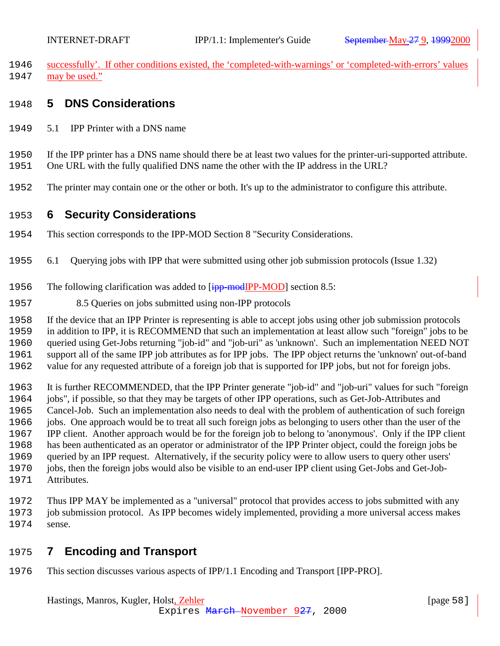<span id="page-57-0"></span>

 successfully'. If other conditions existed, the 'completed-with-warnings' or 'completed-with-errors' values 1947 may be used."

## **5 DNS Considerations**

- 5.1 IPP Printer with a DNS name
- If the IPP printer has a DNS name should there be at least two values for the printer-uri-supported attribute.
- One URL with the fully qualified DNS name the other with the IP address in the URL?
- The printer may contain one or the other or both. It's up to the administrator to configure this attribute.

# **6 Security Considerations**

- This section corresponds to the IPP-MOD Section 8 "Security Considerations.
- 6.1 Querying jobs with IPP that were submitted using other job submission protocols (Issue 1.32)
- 1956 The following clarification was added to [ipp-modIPP-MOD] section 8.5:
- 8.5 Queries on jobs submitted using non-IPP protocols

If the device that an IPP Printer is representing is able to accept jobs using other job submission protocols

in addition to IPP, it is RECOMMEND that such an implementation at least allow such "foreign" jobs to be

queried using Get-Jobs returning "job-id" and "job-uri" as 'unknown'. Such an implementation NEED NOT

support all of the same IPP job attributes as for IPP jobs. The IPP object returns the 'unknown' out-of-band

value for any requested attribute of a foreign job that is supported for IPP jobs, but not for foreign jobs.

 It is further RECOMMENDED, that the IPP Printer generate "job-id" and "job-uri" values for such "foreign jobs", if possible, so that they may be targets of other IPP operations, such as Get-Job-Attributes and Cancel-Job. Such an implementation also needs to deal with the problem of authentication of such foreign jobs. One approach would be to treat all such foreign jobs as belonging to users other than the user of the IPP client. Another approach would be for the foreign job to belong to 'anonymous'. Only if the IPP client has been authenticated as an operator or administrator of the IPP Printer object, could the foreign jobs be queried by an IPP request. Alternatively, if the security policy were to allow users to query other users' jobs, then the foreign jobs would also be visible to an end-user IPP client using Get-Jobs and Get-Job-Attributes.

 Thus IPP MAY be implemented as a "universal" protocol that provides access to jobs submitted with any job submission protocol. As IPP becomes widely implemented, providing a more universal access makes sense.

# **7 Encoding and Transport**

This section discusses various aspects of IPP/1.1 Encoding and Transport [IPP-PRO].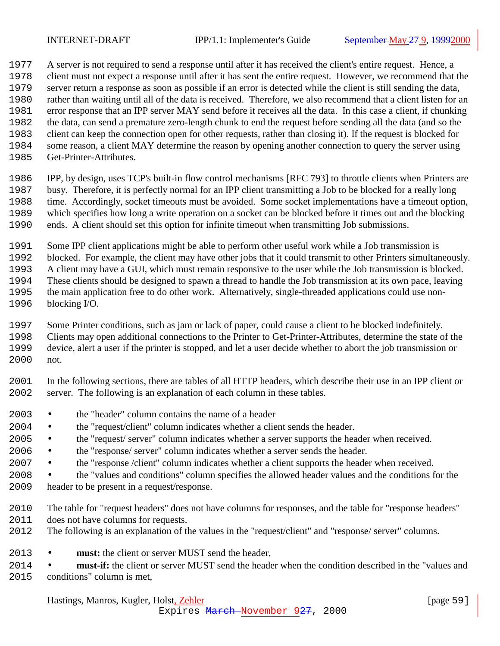A server is not required to send a response until after it has received the client's entire request. Hence, a client must not expect a response until after it has sent the entire request. However, we recommend that the server return a response as soon as possible if an error is detected while the client is still sending the data, rather than waiting until all of the data is received. Therefore, we also recommend that a client listen for an error response that an IPP server MAY send before it receives all the data. In this case a client, if chunking the data, can send a premature zero-length chunk to end the request before sending all the data (and so the client can keep the connection open for other requests, rather than closing it). If the request is blocked for some reason, a client MAY determine the reason by opening another connection to query the server using

Get-Printer-Attributes.

 IPP, by design, uses TCP's built-in flow control mechanisms [RFC 793] to throttle clients when Printers are busy. Therefore, it is perfectly normal for an IPP client transmitting a Job to be blocked for a really long time. Accordingly, socket timeouts must be avoided. Some socket implementations have a timeout option, which specifies how long a write operation on a socket can be blocked before it times out and the blocking ends. A client should set this option for infinite timeout when transmitting Job submissions.

Some IPP client applications might be able to perform other useful work while a Job transmission is

blocked. For example, the client may have other jobs that it could transmit to other Printers simultaneously.

A client may have a GUI, which must remain responsive to the user while the Job transmission is blocked.

These clients should be designed to spawn a thread to handle the Job transmission at its own pace, leaving

 the main application free to do other work. Alternatively, single-threaded applications could use non-blocking I/O.

Some Printer conditions, such as jam or lack of paper, could cause a client to be blocked indefinitely.

 Clients may open additional connections to the Printer to Get-Printer-Attributes, determine the state of the device, alert a user if the printer is stopped, and let a user decide whether to abort the job transmission or not.

 In the following sections, there are tables of all HTTP headers, which describe their use in an IPP client or server. The following is an explanation of each column in these tables.

- the "header" column contains the name of a header
- the "request/client" column indicates whether a client sends the header.
- the "request/ server" column indicates whether a server supports the header when received.
- the "response/ server" column indicates whether a server sends the header.
- the "response /client" column indicates whether a client supports the header when received.

 • the "values and conditions" column specifies the allowed header values and the conditions for the header to be present in a request/response.

- The table for "request headers" does not have columns for responses, and the table for "response headers" does not have columns for requests.
- The following is an explanation of the values in the "request/client" and "response/ server" columns.
- **must:** the client or server MUST send the header,

 • **must-if:** the client or server MUST send the header when the condition described in the "values and conditions" column is met,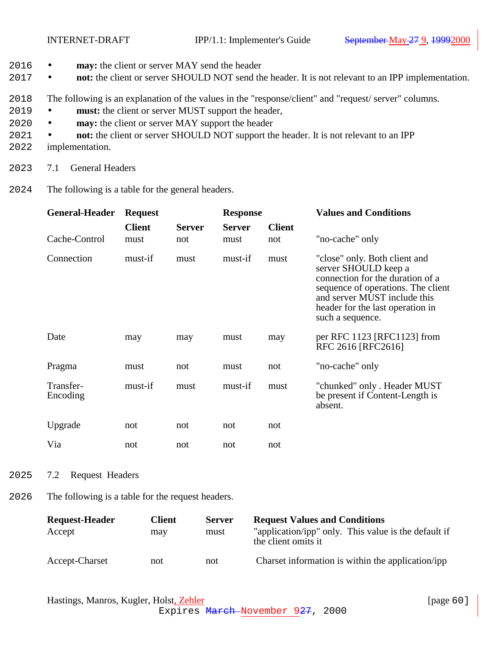<span id="page-59-0"></span>

- 2016 **may:** the client or server MAY send the header
- 2017 **not:** the client or server SHOULD NOT send the header. It is not relevant to an IPP implementation.
- 2018 The following is an explanation of the values in the "response/client" and "request/ server" columns.
- 2019 **must:** the client or server MUST support the header,
- 2020 **may:** the client or server MAY support the header
- 2021 **not:** the client or server SHOULD NOT support the header. It is not relevant to an IPP
- 2022 implementation.
- 2023 7.1 General Headers
- 2024 The following is a table for the general headers.

| <b>General-Header</b> | <b>Request</b>        |                      | <b>Response</b>       |                      | <b>Values and Conditions</b>                                                                                                                                                                                            |  |
|-----------------------|-----------------------|----------------------|-----------------------|----------------------|-------------------------------------------------------------------------------------------------------------------------------------------------------------------------------------------------------------------------|--|
| Cache-Control         | <b>Client</b><br>must | <b>Server</b><br>not | <b>Server</b><br>must | <b>Client</b><br>not | "no-cache" only                                                                                                                                                                                                         |  |
| Connection            | must-if               | must                 | must-if               | must                 | "close" only. Both client and<br>server SHOULD keep a<br>connection for the duration of a<br>sequence of operations. The client<br>and server MUST include this<br>header for the last operation in<br>such a sequence. |  |
| Date                  | may                   | may                  | must                  | may                  | per RFC 1123 [RFC1123] from<br>RFC 2616 [RFC2616]                                                                                                                                                                       |  |
| Pragma                | must                  | not                  | must                  | not                  | "no-cache" only                                                                                                                                                                                                         |  |
| Transfer-<br>Encoding | must-if               | must                 | must-if               | must                 | "chunked" only . Header MUST<br>be present if Content-Length is<br>absent.                                                                                                                                              |  |
| Upgrade               | not                   | not                  | not                   | not                  |                                                                                                                                                                                                                         |  |
| Via                   | not                   | not                  | not                   | not                  |                                                                                                                                                                                                                         |  |

- 2025 7.2 Request Headers
- 2026 The following is a table for the request headers.

| <b>Request-Header</b> | <b>Client</b> | <b>Server</b> | <b>Request Values and Conditions</b>                                        |
|-----------------------|---------------|---------------|-----------------------------------------------------------------------------|
| Accept                | may           | must          | "application/ipp" only. This value is the default if<br>the client omits it |
| Accept-Charset        | not           | not           | Charset information is within the application/ipp                           |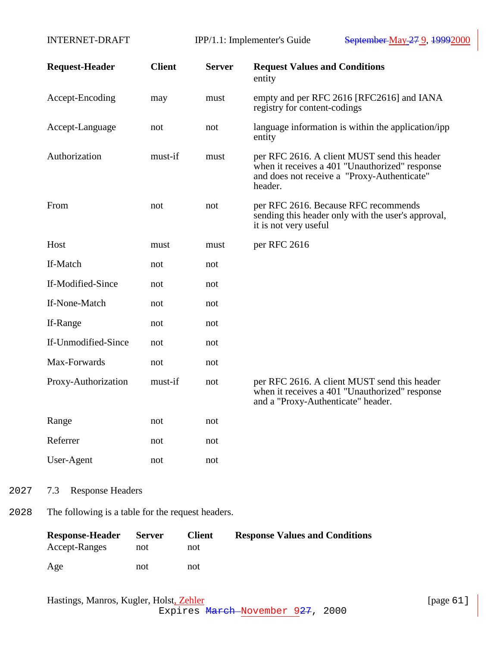<span id="page-60-0"></span>

| <b>Request-Header</b> | <b>Client</b> | <b>Server</b> | <b>Request Values and Conditions</b><br>entity                                                                                                           |
|-----------------------|---------------|---------------|----------------------------------------------------------------------------------------------------------------------------------------------------------|
| Accept-Encoding       | may           | must          | empty and per RFC 2616 [RFC2616] and IANA<br>registry for content-codings                                                                                |
| Accept-Language       | not           | not           | language information is within the application/ipp<br>entity                                                                                             |
| Authorization         | must-if       | must          | per RFC 2616. A client MUST send this header<br>when it receives a 401 "Unauthorized" response<br>and does not receive a "Proxy-Authenticate"<br>header. |
| From                  | not           | not           | per RFC 2616. Because RFC recommends<br>sending this header only with the user's approval,<br>it is not very useful                                      |
| Host                  | must          | must          | per RFC 2616                                                                                                                                             |
| If-Match              | not           | not           |                                                                                                                                                          |
| If-Modified-Since     | not           | not           |                                                                                                                                                          |
| If-None-Match         | not           | not           |                                                                                                                                                          |
| If-Range              | not           | not           |                                                                                                                                                          |
| If-Unmodified-Since   | not           | not           |                                                                                                                                                          |
| Max-Forwards          | not           | not           |                                                                                                                                                          |
| Proxy-Authorization   | must-if       | not           | per RFC 2616. A client MUST send this header<br>when it receives a 401 "Unauthorized" response<br>and a "Proxy-Authenticate" header.                     |
| Range                 | not           | not           |                                                                                                                                                          |
| Referrer              | not           | not           |                                                                                                                                                          |
| User-Agent            | not           | not           |                                                                                                                                                          |

- 2027 7.3 Response Headers
- 2028 The following is a table for the request headers.

| <b>Response-Header</b> | <b>Server</b> | <b>Client</b> | <b>Response Values and Conditions</b> |
|------------------------|---------------|---------------|---------------------------------------|
| Accept-Ranges          | not           | not           |                                       |
| Age                    | not           | not           |                                       |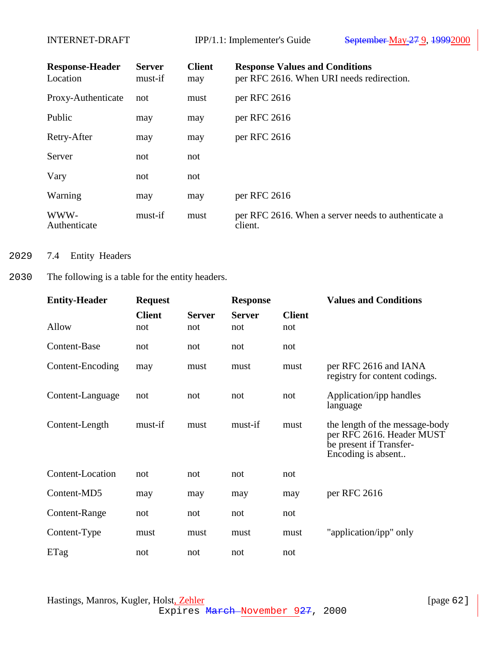<span id="page-61-0"></span>

| <b>Response-Header</b><br>Location | <b>Server</b><br>must-if | <b>Client</b><br>may | <b>Response Values and Conditions</b><br>per RFC 2616. When URI needs redirection. |
|------------------------------------|--------------------------|----------------------|------------------------------------------------------------------------------------|
| Proxy-Authenticate                 | not                      | must                 | per RFC 2616                                                                       |
| Public                             | may                      | may                  | per RFC 2616                                                                       |
| Retry-After                        | may                      | may                  | per RFC 2616                                                                       |
| Server                             | not                      | not                  |                                                                                    |
| Vary                               | not                      | not                  |                                                                                    |
| Warning                            | may                      | may                  | per RFC 2616                                                                       |
| WWW-<br>Authenticate               | must-if                  | must                 | per RFC 2616. When a server needs to authenticate a<br>client.                     |

## 2029 7.4 Entity Headers

## 2030 The following is a table for the entity headers.

| <b>Entity-Header</b> | <b>Request</b>       |                      | <b>Response</b>      |                      | <b>Values and Conditions</b>                                                                                 |  |
|----------------------|----------------------|----------------------|----------------------|----------------------|--------------------------------------------------------------------------------------------------------------|--|
| Allow                | <b>Client</b><br>not | <b>Server</b><br>not | <b>Server</b><br>not | <b>Client</b><br>not |                                                                                                              |  |
| Content-Base         | not                  | not                  | not                  | not                  |                                                                                                              |  |
| Content-Encoding     | may                  | must                 | must                 | must                 | per RFC 2616 and IANA<br>registry for content codings.                                                       |  |
| Content-Language     | not                  | not                  | not                  | not                  | Application/ipp handles<br>language                                                                          |  |
| Content-Length       | must-if              | must                 | must-if              | must                 | the length of the message-body<br>per RFC 2616. Header MUST<br>be present if Transfer-<br>Encoding is absent |  |
| Content-Location     | not                  | not                  | not                  | not                  |                                                                                                              |  |
| Content-MD5          | may                  | may                  | may                  | may                  | per RFC 2616                                                                                                 |  |
| Content-Range        | not                  | not                  | not                  | not                  |                                                                                                              |  |
| Content-Type         | must                 | must                 | must                 | must                 | "application/ipp" only                                                                                       |  |
| ETag                 | not                  | not                  | not                  | not                  |                                                                                                              |  |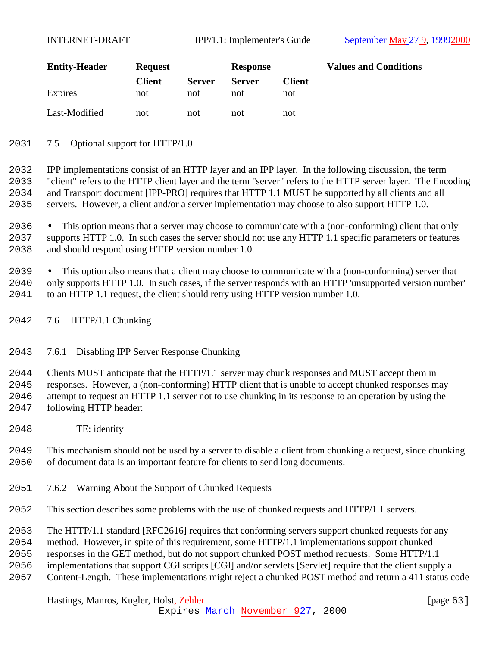<span id="page-62-0"></span>

| <b>Entity-Header</b> | <b>Request</b> |               | <b>Response</b> |               | <b>Values and Conditions</b> |
|----------------------|----------------|---------------|-----------------|---------------|------------------------------|
|                      | <b>Client</b>  | <b>Server</b> | <b>Server</b>   | <b>Client</b> |                              |
| Expires              | not            | not           | not             | not           |                              |
| Last-Modified        | not            | not           | not             | not           |                              |

7.5 Optional support for HTTP/1.0

 IPP implementations consist of an HTTP layer and an IPP layer. In the following discussion, the term "client" refers to the HTTP client layer and the term "server" refers to the HTTP server layer. The Encoding and Transport document [IPP-PRO] requires that HTTP 1.1 MUST be supported by all clients and all servers. However, a client and/or a server implementation may choose to also support HTTP 1.0.

 • This option means that a server may choose to communicate with a (non-conforming) client that only supports HTTP 1.0. In such cases the server should not use any HTTP 1.1 specific parameters or features and should respond using HTTP version number 1.0.

 • This option also means that a client may choose to communicate with a (non-conforming) server that only supports HTTP 1.0. In such cases, if the server responds with an HTTP 'unsupported version number' to an HTTP 1.1 request, the client should retry using HTTP version number 1.0.

7.6 HTTP/1.1 Chunking

### 7.6.1 Disabling IPP Server Response Chunking

 Clients MUST anticipate that the HTTP/1.1 server may chunk responses and MUST accept them in responses. However, a (non-conforming) HTTP client that is unable to accept chunked responses may attempt to request an HTTP 1.1 server not to use chunking in its response to an operation by using the following HTTP header:

TE: identity

 This mechanism should not be used by a server to disable a client from chunking a request, since chunking of document data is an important feature for clients to send long documents.

- 7.6.2 Warning About the Support of Chunked Requests
- This section describes some problems with the use of chunked requests and HTTP/1.1 servers.
- The HTTP/1.1 standard [RFC2616] requires that conforming servers support chunked requests for any
- method. However, in spite of this requirement, some HTTP/1.1 implementations support chunked
- responses in the GET method, but do not support chunked POST method requests. Some HTTP/1.1
- implementations that support CGI scripts [CGI] and/or servlets [Servlet] require that the client supply a
- Content-Length. These implementations might reject a chunked POST method and return a 411 status code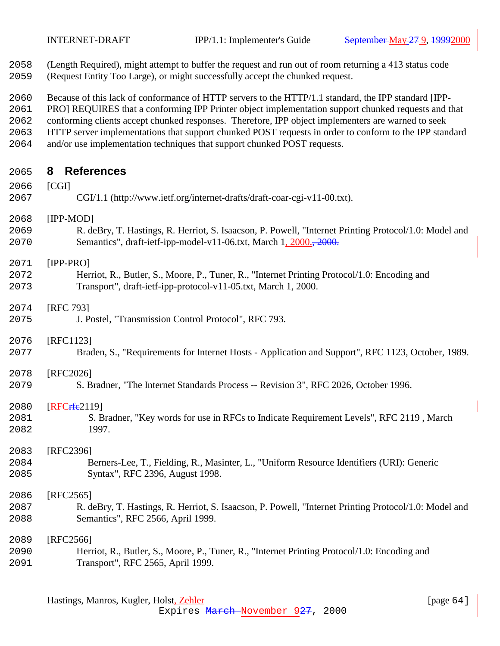<span id="page-63-0"></span>

|      | 2058 (Length Required), might attempt to buffer the request and run out of room returning a 413 status code |
|------|-------------------------------------------------------------------------------------------------------------|
| 2059 | (Request Entity Too Large), or might successfully accept the chunked request.                               |

- 
- Because of this lack of conformance of HTTP servers to the HTTP/1.1 standard, the IPP standard [IPP-
- PRO] REQUIRES that a conforming IPP Printer object implementation support chunked requests and that
- conforming clients accept chunked responses. Therefore, IPP object implementers are warned to seek
- HTTP server implementations that support chunked POST requests in order to conform to the IPP standard
- and/or use implementation techniques that support chunked POST requests.

## **8 References**

| 2066 | [CGI]                                                                                                 |
|------|-------------------------------------------------------------------------------------------------------|
| 2067 | CGI/1.1 (http://www.ietf.org/internet-drafts/draft-coar-cgi-v11-00.txt).                              |
| 2068 | $[IPP-MOD]$                                                                                           |
| 2069 | R. deBry, T. Hastings, R. Herriot, S. Isaacson, P. Powell, "Internet Printing Protocol/1.0: Model and |
| 2070 | Semantics", draft-ietf-ipp-model-v11-06.txt, March 1, 2000., 2000.                                    |
| 2071 | $[IPP-PRO]$                                                                                           |
| 2072 | Herriot, R., Butler, S., Moore, P., Tuner, R., "Internet Printing Protocol/1.0: Encoding and          |
| 2073 | Transport", draft-ietf-ipp-protocol-v11-05.txt, March 1, 2000.                                        |
| 2074 | [RFC 793]                                                                                             |
| 2075 | J. Postel, "Transmission Control Protocol", RFC 793.                                                  |
| 2076 | [RFC1123]                                                                                             |
| 2077 | Braden, S., "Requirements for Internet Hosts - Application and Support", RFC 1123, October, 1989.     |
| 2078 | [RFC2026]                                                                                             |
| 2079 | S. Bradner, "The Internet Standards Process -- Revision 3", RFC 2026, October 1996.                   |
| 2080 | $[RFC$ <del>:</del> fe2119]                                                                           |
| 2081 | S. Bradner, "Key words for use in RFCs to Indicate Requirement Levels", RFC 2119, March               |
| 2082 | 1997.                                                                                                 |
| 2083 | [RFC2396]                                                                                             |
| 2084 | Berners-Lee, T., Fielding, R., Masinter, L., "Uniform Resource Identifiers (URI): Generic             |
| 2085 | Syntax", RFC 2396, August 1998.                                                                       |
| 2086 | $[RFC2565]$                                                                                           |
| 2087 | R. deBry, T. Hastings, R. Herriot, S. Isaacson, P. Powell, "Internet Printing Protocol/1.0: Model and |
| 2088 | Semantics", RFC 2566, April 1999.                                                                     |
| 2089 | [RFC2566]                                                                                             |
| 2090 | Herriot, R., Butler, S., Moore, P., Tuner, R., "Internet Printing Protocol/1.0: Encoding and          |
| 2091 | Transport", RFC 2565, April 1999.                                                                     |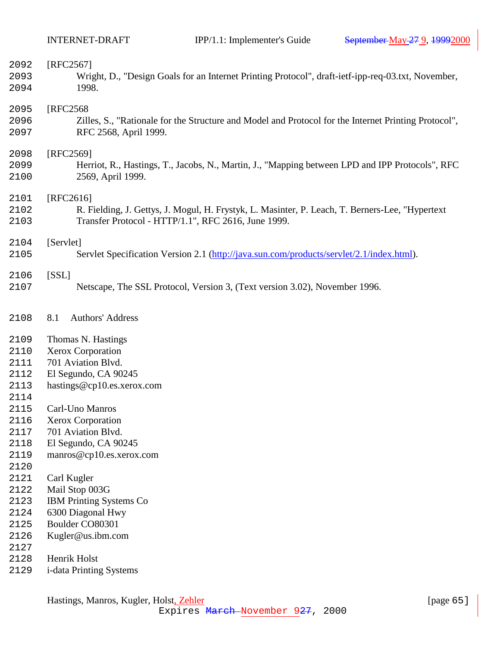<span id="page-64-0"></span>

| 2092                                                                                                                                 | [RFC2567]                                                                                                                                                                                                                                                                                                                                               |
|--------------------------------------------------------------------------------------------------------------------------------------|---------------------------------------------------------------------------------------------------------------------------------------------------------------------------------------------------------------------------------------------------------------------------------------------------------------------------------------------------------|
| 2093                                                                                                                                 | Wright, D., "Design Goals for an Internet Printing Protocol", draft-ietf-ipp-req-03.txt, November,                                                                                                                                                                                                                                                      |
| 2094                                                                                                                                 | 1998.                                                                                                                                                                                                                                                                                                                                                   |
| 2095                                                                                                                                 | [RFC2568]                                                                                                                                                                                                                                                                                                                                               |
| 2096                                                                                                                                 | Zilles, S., "Rationale for the Structure and Model and Protocol for the Internet Printing Protocol",                                                                                                                                                                                                                                                    |
| 2097                                                                                                                                 | RFC 2568, April 1999.                                                                                                                                                                                                                                                                                                                                   |
| 2098                                                                                                                                 | [RFC2569]                                                                                                                                                                                                                                                                                                                                               |
| 2099                                                                                                                                 | Herriot, R., Hastings, T., Jacobs, N., Martin, J., "Mapping between LPD and IPP Protocols", RFC                                                                                                                                                                                                                                                         |
| 2100                                                                                                                                 | 2569, April 1999.                                                                                                                                                                                                                                                                                                                                       |
| 2101                                                                                                                                 | [RFC2616]                                                                                                                                                                                                                                                                                                                                               |
| 2102                                                                                                                                 | R. Fielding, J. Gettys, J. Mogul, H. Frystyk, L. Masinter, P. Leach, T. Berners-Lee, "Hypertext                                                                                                                                                                                                                                                         |
| 2103                                                                                                                                 | Transfer Protocol - HTTP/1.1", RFC 2616, June 1999.                                                                                                                                                                                                                                                                                                     |
| 2104                                                                                                                                 | [Servlet]                                                                                                                                                                                                                                                                                                                                               |
| 2105                                                                                                                                 | Servlet Specification Version 2.1 (http://java.sun.com/products/servlet/2.1/index.html).                                                                                                                                                                                                                                                                |
| 2106                                                                                                                                 | [SSL]                                                                                                                                                                                                                                                                                                                                                   |
| 2107                                                                                                                                 | Netscape, The SSL Protocol, Version 3, (Text version 3.02), November 1996.                                                                                                                                                                                                                                                                              |
| 2108                                                                                                                                 | Authors' Address<br>8.1                                                                                                                                                                                                                                                                                                                                 |
| 2109<br>2110<br>2111<br>2112<br>2113<br>2114<br>2115<br>2116<br>2117<br>2118<br>2119<br>2120<br>2121<br>2122<br>2123<br>2124<br>2125 | Thomas N. Hastings<br>Xerox Corporation<br>701 Aviation Blvd.<br>El Segundo, CA 90245<br>hastings@cp10.es.xerox.com<br>Carl-Uno Manros<br><b>Xerox Corporation</b><br>701 Aviation Blvd.<br>El Segundo, CA 90245<br>manros@cp10.es.xerox.com<br>Carl Kugler<br>Mail Stop 003G<br><b>IBM Printing Systems Co</b><br>6300 Diagonal Hwy<br>Boulder CO80301 |
| 2126<br>2127                                                                                                                         | Kugler@us.ibm.com                                                                                                                                                                                                                                                                                                                                       |
| 2128                                                                                                                                 | Henrik Holst                                                                                                                                                                                                                                                                                                                                            |
| 2129                                                                                                                                 | i-data Printing Systems                                                                                                                                                                                                                                                                                                                                 |
|                                                                                                                                      |                                                                                                                                                                                                                                                                                                                                                         |

Hastings, Manros, Kugler, Holst, Zehler [page 65]

Expires March November 927, 2000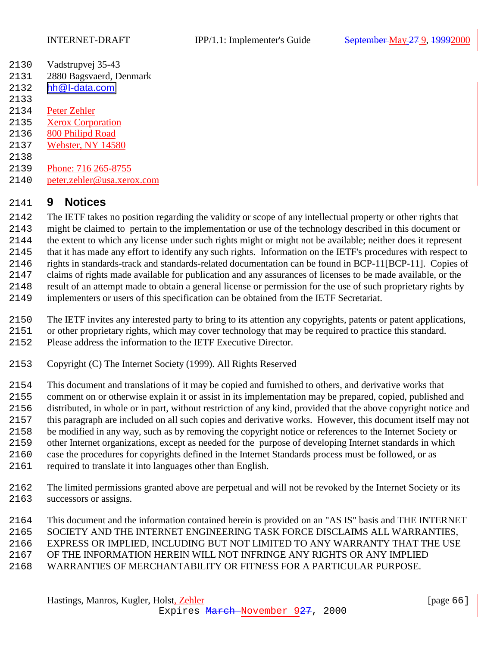- <span id="page-65-0"></span>Vadstrupvej 35-43
- 2880 Bagsvaerd, Denmark
- [hh@I-data.com](mailto:hh@I-data.com)
- 
- Peter Zehler
- Xerox Corporation
- 800 Philipd Road
- Webster, NY 14580
- 
- Phone: 716 265-8755
- peter.zehler@usa.xerox.com

# **9 Notices**

 The IETF takes no position regarding the validity or scope of any intellectual property or other rights that might be claimed to pertain to the implementation or use of the technology described in this document or

 the extent to which any license under such rights might or might not be available; neither does it represent that it has made any effort to identify any such rights. Information on the IETF's procedures with respect to

rights in standards-track and standards-related documentation can be found in BCP-11[BCP-11]. Copies of

claims of rights made available for publication and any assurances of licenses to be made available, or the

result of an attempt made to obtain a general license or permission for the use of such proprietary rights by

implementers or users of this specification can be obtained from the IETF Secretariat.

The IETF invites any interested party to bring to its attention any copyrights, patents or patent applications,

or other proprietary rights, which may cover technology that may be required to practice this standard.

- Please address the information to the IETF Executive Director.
- Copyright (C) The Internet Society (1999). All Rights Reserved

 This document and translations of it may be copied and furnished to others, and derivative works that comment on or otherwise explain it or assist in its implementation may be prepared, copied, published and distributed, in whole or in part, without restriction of any kind, provided that the above copyright notice and this paragraph are included on all such copies and derivative works. However, this document itself may not

be modified in any way, such as by removing the copyright notice or references to the Internet Society or

other Internet organizations, except as needed for the purpose of developing Internet standards in which

case the procedures for copyrights defined in the Internet Standards process must be followed, or as

- required to translate it into languages other than English.
- The limited permissions granted above are perpetual and will not be revoked by the Internet Society or its successors or assigns.

 This document and the information contained herein is provided on an "AS IS" basis and THE INTERNET SOCIETY AND THE INTERNET ENGINEERING TASK FORCE DISCLAIMS ALL WARRANTIES,

EXPRESS OR IMPLIED, INCLUDING BUT NOT LIMITED TO ANY WARRANTY THAT THE USE

- OF THE INFORMATION HEREIN WILL NOT INFRINGE ANY RIGHTS OR ANY IMPLIED
- WARRANTIES OF MERCHANTABILITY OR FITNESS FOR A PARTICULAR PURPOSE.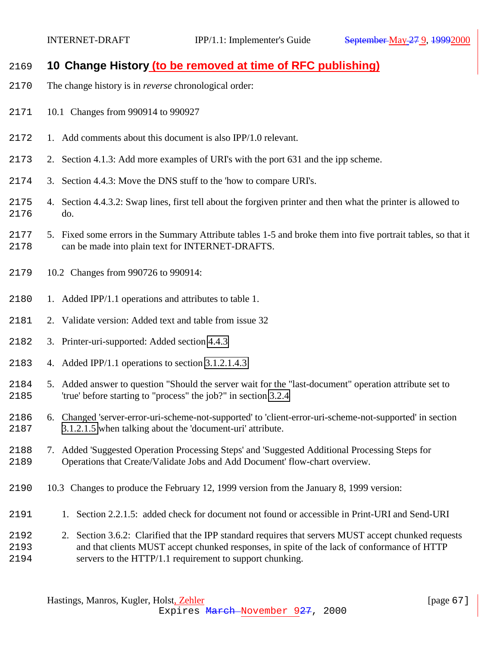<span id="page-66-0"></span>

# **10 Change History (to be removed at time of RFC publishing)**

- The change history is in *reverse* chronological order:
- 10.1 Changes from 990914 to 990927
- 1. Add comments about this document is also IPP/1.0 relevant.
- 2. Section 4.1.3: Add more examples of URI's with the port 631 and the ipp scheme.
- 3. Section 4.4.3: Move the DNS stuff to the 'how to compare URI's.
- 4. Section 4.4.3.2: Swap lines, first tell about the forgiven printer and then what the printer is allowed to do.
- 5. Fixed some errors in the Summary Attribute tables 1-5 and broke them into five portrait tables, so that it can be made into plain text for INTERNET-DRAFTS.
- 10.2 Changes from 990726 to 990914:
- 2180 1. Added IPP/1.1 operations and attributes to table 1.
- 2. Validate version: Added text and table from issue 32
- 3. Printer-uri-supported: Added section [4.4.3](#page-56-0)
- 4. Added IPP/1.1 operations to section [3.1.2.1.4.3](#page-15-0)
- 5. Added answer to question "Should the server wait for the "last-document" operation attribute set to 'true' before starting to "process" the job?" in section [3.2.4](#page-51-0)
- 6. Changed 'server-error-uri-scheme-not-supported' to 'client-error-uri-scheme-not-supported' in section [3.1.2.1.5](#page-21-0) when talking about the 'document-uri' attribute.
- 7. Added 'Suggested Operation Processing Steps' and 'Suggested Additional Processing Steps for Operations that Create/Validate Jobs and Add Document' flow-chart overview.
- 10.3 Changes to produce the February 12, 1999 version from the January 8, 1999 version:
- 1. Section 2.2.1.5: added check for document not found or accessible in Print-URI and Send-URI
- 2. Section 3.6.2: Clarified that the IPP standard requires that servers MUST accept chunked requests and that clients MUST accept chunked responses, in spite of the lack of conformance of HTTP servers to the HTTP/1.1 requirement to support chunking.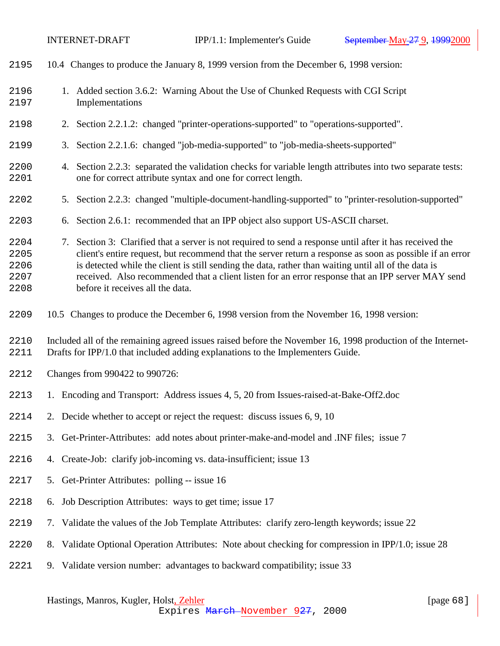<span id="page-67-0"></span>

| 2195                                 | 10.4 Changes to produce the January 8, 1999 version from the December 6, 1998 version:                                                                                                                                                                                                                                                                                                                                                                                |
|--------------------------------------|-----------------------------------------------------------------------------------------------------------------------------------------------------------------------------------------------------------------------------------------------------------------------------------------------------------------------------------------------------------------------------------------------------------------------------------------------------------------------|
| 2196<br>2197                         | 1. Added section 3.6.2: Warning About the Use of Chunked Requests with CGI Script<br>Implementations                                                                                                                                                                                                                                                                                                                                                                  |
| 2198                                 | 2. Section 2.2.1.2: changed "printer-operations-supported" to "operations-supported".                                                                                                                                                                                                                                                                                                                                                                                 |
| 2199                                 | 3. Section 2.2.1.6: changed "job-media-supported" to "job-media-sheets-supported"                                                                                                                                                                                                                                                                                                                                                                                     |
| 2200<br>2201                         | 4. Section 2.2.3: separated the validation checks for variable length attributes into two separate tests:<br>one for correct attribute syntax and one for correct length.                                                                                                                                                                                                                                                                                             |
| 2202                                 | 5. Section 2.2.3: changed "multiple-document-handling-supported" to "printer-resolution-supported"                                                                                                                                                                                                                                                                                                                                                                    |
| 2203                                 | 6. Section 2.6.1: recommended that an IPP object also support US-ASCII charset.                                                                                                                                                                                                                                                                                                                                                                                       |
| 2204<br>2205<br>2206<br>2207<br>2208 | 7. Section 3: Clarified that a server is not required to send a response until after it has received the<br>client's entire request, but recommend that the server return a response as soon as possible if an error<br>is detected while the client is still sending the data, rather than waiting until all of the data is<br>received. Also recommended that a client listen for an error response that an IPP server MAY send<br>before it receives all the data. |
| 2209                                 | 10.5 Changes to produce the December 6, 1998 version from the November 16, 1998 version:                                                                                                                                                                                                                                                                                                                                                                              |
| 2210<br>2211                         | Included all of the remaining agreed issues raised before the November 16, 1998 production of the Internet-<br>Drafts for IPP/1.0 that included adding explanations to the Implementers Guide.                                                                                                                                                                                                                                                                        |
| 2212                                 | Changes from 990422 to 990726:                                                                                                                                                                                                                                                                                                                                                                                                                                        |
| 2213                                 | 1. Encoding and Transport: Address issues 4, 5, 20 from Issues-raised-at-Bake-Off2.doc                                                                                                                                                                                                                                                                                                                                                                                |
| 2214                                 | 2. Decide whether to accept or reject the request: discuss issues 6, 9, 10                                                                                                                                                                                                                                                                                                                                                                                            |
| 2215                                 | 3. Get-Printer-Attributes: add notes about printer-make-and-model and .INF files; issue 7                                                                                                                                                                                                                                                                                                                                                                             |
| 2216                                 | 4. Create-Job: clarify job-incoming vs. data-insufficient; issue 13                                                                                                                                                                                                                                                                                                                                                                                                   |
| 2217                                 | 5. Get-Printer Attributes: polling -- issue 16                                                                                                                                                                                                                                                                                                                                                                                                                        |
| 2218                                 | 6. Job Description Attributes: ways to get time; issue 17                                                                                                                                                                                                                                                                                                                                                                                                             |
| 2219                                 | 7. Validate the values of the Job Template Attributes: clarify zero-length keywords; issue 22                                                                                                                                                                                                                                                                                                                                                                         |
| 2220                                 | 8. Validate Optional Operation Attributes: Note about checking for compression in IPP/1.0; issue 28                                                                                                                                                                                                                                                                                                                                                                   |
| 2221                                 | 9. Validate version number: advantages to backward compatibility; issue 33                                                                                                                                                                                                                                                                                                                                                                                            |

Hastings, Manros, Kugler, Holst, Zehler [page 68]